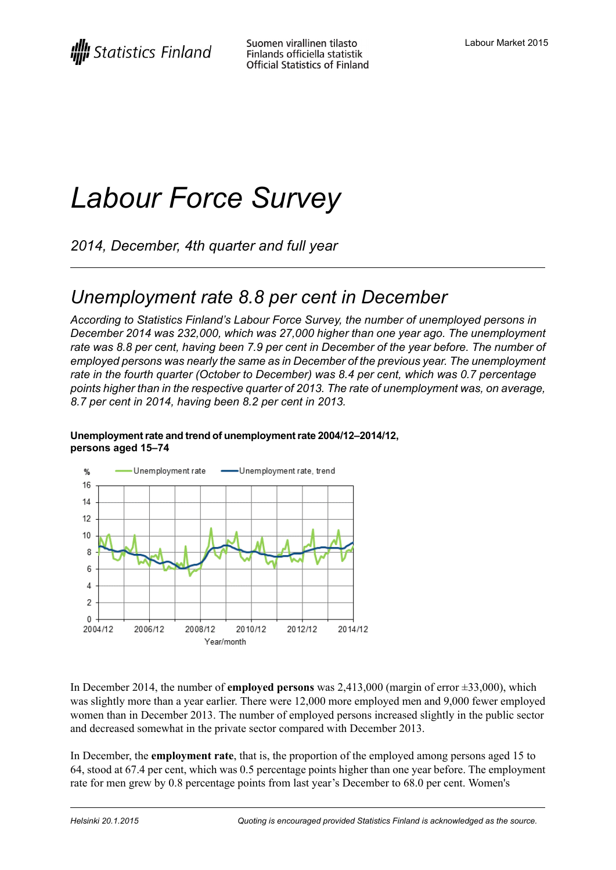# *Labour Force Survey*

*2014, December, 4th quarter and full year*

## *Unemployment rate 8.8 per cent in December*

*According to Statistics Finland's Labour Force Survey, the number of unemployed persons in December 2014 was 232,000, which was 27,000 higher than one year ago. The unemployment* rate was 8.8 per cent, having been 7.9 per cent in December of the vear before. The number of *employed persons was nearly the same as in December of the previous year. The unemployment rate in the fourth quarter (October to December) was 8.4 per cent, which was 0.7 percentage points higher than in the respective quarter of 2013. The rate of unemployment was, on average, 8.7 per cent in 2014, having been 8.2 per cent in 2013.*



#### **Unemploymentrateand trend of unemploymentrate2004/12–2014/12, persons aged 15–74**

In December 2014, the number of **employed persons** was 2,413,000 (margin of error ±33,000), which was slightly more than a year earlier. There were 12,000 more employed men and 9,000 fewer employed women than in December 2013. The number of employed persons increased slightly in the public sector and decreased somewhat in the private sector compared with December 2013.

In December, the **employment rate**, that is, the proportion of the employed among persons aged 15 to 64, stood at 67.4 per cent, which was 0.5 percentage points higher than one year before. The employment rate for men grew by 0.8 percentage points from last year's December to 68.0 per cent. Women's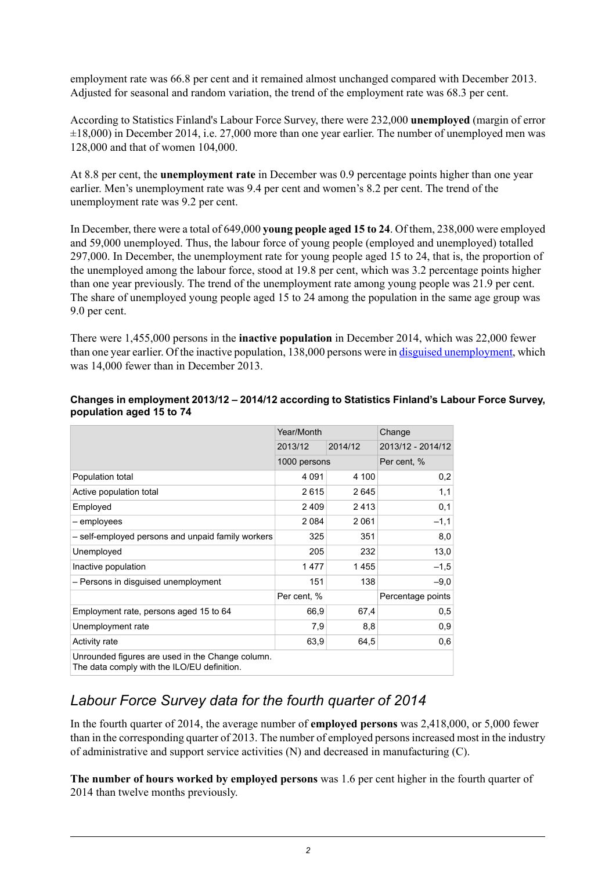employment rate was 66.8 per cent and it remained almost unchanged compared with December 2013. Adjusted for seasonal and random variation, the trend of the employment rate was 68.3 per cent.

According to Statistics Finland's Labour Force Survey, there were 232,000 **unemployed** (margin of error  $\pm 18,000$ ) in December 2014, i.e. 27,000 more than one year earlier. The number of unemployed men was 128,000 and that of women 104,000.

At 8.8 per cent, the **unemployment rate** in December was 0.9 percentage points higher than one year earlier. Men's unemployment rate was 9.4 per cent and women's 8.2 per cent. The trend of the unemployment rate was 9.2 per cent.

In December, there were a total of 649,000 **young people aged 15 to 24**. Of them, 238,000 were employed and 59,000 unemployed. Thus, the labour force of young people (employed and unemployed) totalled 297,000. In December, the unemployment rate for young people aged 15 to 24, that is, the proportion of the unemployed among the labour force, stood at 19.8 per cent, which was 3.2 percentage points higher than one year previously. The trend of the unemployment rate among young people was 21.9 per cent. The share of unemployed young people aged 15 to 24 among the population in the same age group was 9.0 per cent.

There were 1,455,000 persons in the **inactive population** in December 2014, which was 22,000 fewer than one year earlier. Of the inactive population, 138,000 persons were in disguised [unemployment,](http://tilastokeskus.fi/til/tyti/kas_en.html) which was 14,000 fewer than in December 2013.

|                                                                                                 | Year/Month   |         | Change            |
|-------------------------------------------------------------------------------------------------|--------------|---------|-------------------|
|                                                                                                 | 2013/12      | 2014/12 | 2013/12 - 2014/12 |
|                                                                                                 | 1000 persons |         | Per cent, %       |
| Population total                                                                                | 4 0 9 1      | 4 100   | 0,2               |
| Active population total                                                                         | 2615         | 2645    | 1,1               |
| Employed                                                                                        | 2409         | 2413    | 0,1               |
| - employees                                                                                     | 2084         | 2 0 6 1 | $-1,1$            |
| - self-employed persons and unpaid family workers                                               | 325          | 351     | 8,0               |
| Unemployed                                                                                      | 205          | 232     | 13,0              |
| Inactive population                                                                             | 1477         | 1455    | $-1,5$            |
| - Persons in disguised unemployment                                                             | 151          | 138     | $-9,0$            |
|                                                                                                 | Per cent, %  |         | Percentage points |
| Employment rate, persons aged 15 to 64                                                          | 66,9         | 67,4    | 0,5               |
| Unemployment rate                                                                               | 7,9          | 8,8     | 0,9               |
| Activity rate                                                                                   | 63,9         | 64,5    | 0,6               |
| Unrounded figures are used in the Change column.<br>The data comply with the ILO/EU definition. |              |         |                   |

#### **Changes in employment 2013/12 – 2014/12 according to Statistics Finland's Labour Force Survey, population aged 15 to 74**

## *Labour Force Survey data for the fourth quarter of 2014*

In the fourth quarter of 2014, the average number of **employed persons** was 2,418,000, or 5,000 fewer than in the corresponding quarter of 2013. The number of employed personsincreased most in the industry of administrative and support service activities (N) and decreased in manufacturing (C).

**The number of hours worked by employed persons** was 1.6 per cent higher in the fourth quarter of 2014 than twelve months previously.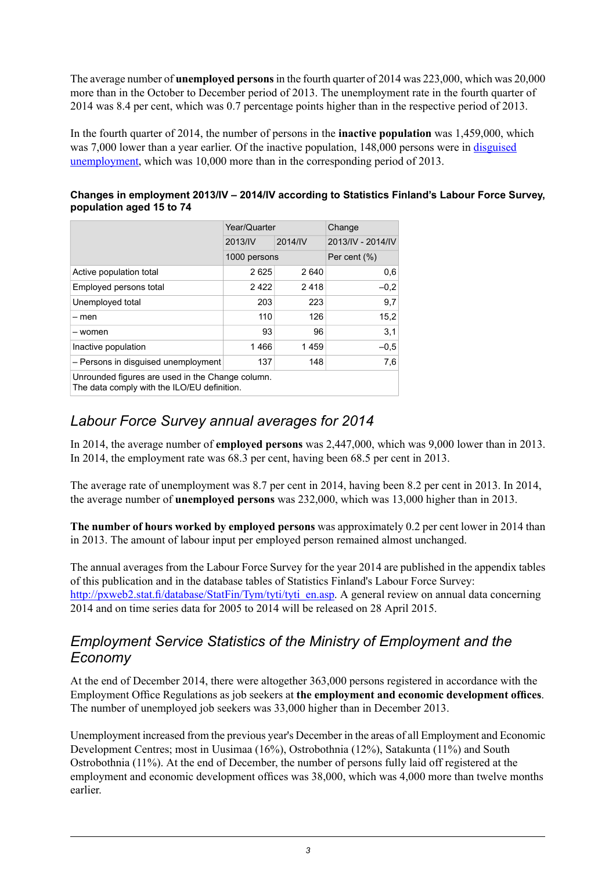The average number of **unemployed persons**in the fourth quarter of 2014 was 223,000, which was 20,000 more than in the October to December period of 2013. The unemployment rate in the fourth quarter of 2014 was 8.4 per cent, which was 0.7 percentage points higher than in the respective period of 2013.

In the fourth quarter of 2014, the number of persons in the **inactive population** was 1,459,000, which was 7,000 lower than a year earlier. Of the inactive population, 148,000 persons were in [disguised](http://tilastokeskus.fi/til/tyti/kas_en.html) [unemployment,](http://tilastokeskus.fi/til/tyti/kas_en.html) which was 10,000 more than in the corresponding period of 2013.

#### **Changes in employment 2013/IV – 2014/IV according to Statistics Finland's Labour Force Survey, population aged 15 to 74**

|                                                                                                 | Year/Quarter |         | Change            |  |  |  |
|-------------------------------------------------------------------------------------------------|--------------|---------|-------------------|--|--|--|
|                                                                                                 | 2013/IV      | 2014/IV | 2013/IV - 2014/IV |  |  |  |
|                                                                                                 | 1000 persons |         | Per cent $(\%)$   |  |  |  |
| Active population total                                                                         | 2625         | 2640    | 0,6               |  |  |  |
| Employed persons total                                                                          | 2422         | 2418    | $-0.2$            |  |  |  |
| Unemployed total                                                                                | 203          | 223     | 9,7               |  |  |  |
| – men                                                                                           | 110          | 126     | 15,2              |  |  |  |
| – women                                                                                         | 93           | 96      | 3,1               |  |  |  |
| Inactive population                                                                             | 1466         | 1459    | $-0.5$            |  |  |  |
| - Persons in disguised unemployment                                                             | 137          | 148     | 7,6               |  |  |  |
| Unrounded figures are used in the Change column.<br>The data comply with the ILO/EU definition. |              |         |                   |  |  |  |

## *Labour Force Survey annual averages for 2014*

In 2014, the average number of **employed persons** was 2,447,000, which was 9,000 lower than in 2013. In 2014, the employment rate was 68.3 per cent, having been 68.5 per cent in 2013.

The average rate of unemployment was 8.7 per cent in 2014, having been 8.2 per cent in 2013. In 2014, the average number of **unemployed persons** was 232,000, which was 13,000 higher than in 2013.

**The number of hours worked by employed persons** was approximately 0.2 per cent lower in 2014 than in 2013. The amount of labour input per employed person remained almost unchanged.

The annual averages from the Labour Force Survey for the year 2014 are published in the appendix tables of this publication and in the database tables of Statistics Finland's Labour Force Survey: [http://pxweb2.stat.fi/database/StatFin/Tym/tyti/tyti\\_en.asp](http://pxweb2.stat.fi/database/StatFin/Tym/tyti/tyti_en.asp). A general review on annual data concerning 2014 and on time series data for 2005 to 2014 will be released on 28 April 2015.

## *Employment Service Statistics of the Ministry of Employment and the Economy*

At the end of December 2014, there were altogether 363,000 persons registered in accordance with the Employment Office Regulations as job seekers at **the employment and economic development offices**. The number of unemployed job seekers was 33,000 higher than in December 2013.

Unemployment increased from the previous year's December in the areas of all Employment and Economic Development Centres; most in Uusimaa (16%), Ostrobothnia (12%), Satakunta (11%) and South Ostrobothnia (11%). At the end of December, the number of persons fully laid off registered at the employment and economic development offices was 38,000, which was 4,000 more than twelve months earlier.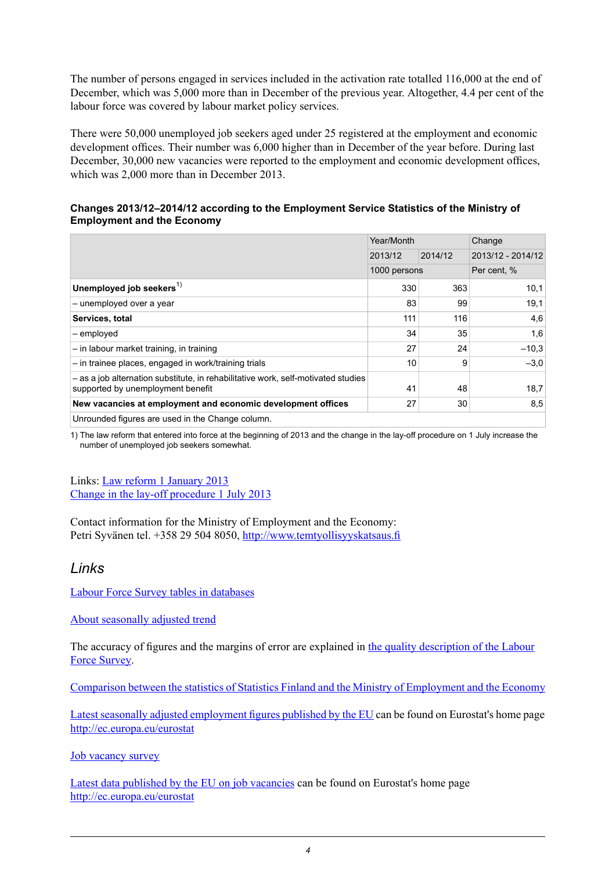The number of persons engaged in services included in the activation rate totalled 116,000 at the end of December, which was 5,000 more than in December of the previous year. Altogether, 4.4 per cent of the labour force was covered by labour market policy services.

There were 50,000 unemployed job seekers aged under 25 registered at the employment and economic development offices. Their number was 6,000 higher than in December of the year before. During last December, 30,000 new vacancies were reported to the employment and economic development offices, which was 2,000 more than in December 2013.

#### **Changes 2013/12–2014/12 according to the Employment Service Statistics of the Ministry of Employment and the Economy**

|                                                                                                                        | Year/Month   |         | Change            |         |
|------------------------------------------------------------------------------------------------------------------------|--------------|---------|-------------------|---------|
|                                                                                                                        | 2013/12      | 2014/12 | 2013/12 - 2014/12 |         |
|                                                                                                                        | 1000 persons |         | Per cent, %       |         |
| Unemployed job seekers <sup>1)</sup>                                                                                   | 330          | 363     |                   | 10,1    |
| - unemployed over a year                                                                                               | 83           | 99      |                   | 19,1    |
| Services, total                                                                                                        | 111          | 116     |                   | 4,6     |
| - employed                                                                                                             | 34           | 35      |                   | 1,6     |
| - in labour market training, in training                                                                               | 27           | 24      |                   | $-10.3$ |
| - in trainee places, engaged in work/training trials                                                                   | 10           | 9       |                   | $-3.0$  |
| - as a job alternation substitute, in rehabilitative work, self-motivated studies<br>supported by unemployment benefit | 41           | 48      |                   | 18,7    |
| New vacancies at employment and economic development offices                                                           | 27           | 30      |                   | 8,5     |
| Unrounded figures are used in the Change column.                                                                       |              |         |                   |         |

1) The law reform that entered into force at the beginning of 2013 and the change in the lay-off procedure on 1 July increase the number of unemployed job seekers somewhat.

Links: Law reform 1 [January](http://www.tem.fi/files/35843/TVT_2013_muutokset.pdf) 2013 Change in the lay-off [procedure](http://www.tem.fi/files/37319/TVT_1.7.2013_muutokset.pdf) 1 July 2013

Contact information for the Ministry of Employment and the Economy: Petri Syvänen tel. +358 29 504 8050, [http://www.temtyollisyyskatsaus.fi](http://www.temtyollisyyskatsaus.fi/graph/tkat/tkat.aspx?lang=en#)

### *Links*

Labour Force Survey tables in [databases](http://pxweb2.stat.fi/database/StatFin/Tym/tyti/tyti_en.asp)

About [seasonally](http://tilastokeskus.fi/til/tramo_seats_en.html) adjusted trend

The accuracy of figures and the margins of error are explained in the quality [description](http://tilastokeskus.fi/til/tyti/2014/12/tyti_2014_12_2015-01-20_laa_001_en.html#3.Correctnessandaccuracyofdata) of the Labour Force [Survey.](http://tilastokeskus.fi/til/tyti/2014/12/tyti_2014_12_2015-01-20_laa_001_en.html#3.Correctnessandaccuracyofdata)

Comparison between the statistics of Statistics Finland and the Ministry of [Employment](http://tilastokeskus.fi/til/tyti/tyti_2013-04-04_men_002_en.html) and the Economy

Latest seasonally adjusted [employment](http://ec.europa.eu/eurostat/documents/2995521/6454659/3-07012015-AP-EN.pdf/f4d2866e-0562-49f5-8f29-67e1be16f50a) figures published by the EU can be found on Eurostat's home page <http://ec.europa.eu/eurostat>

Job [vacancy](http://tilastokeskus.fi/til/atp/index_en.html) survey

Latest data [published](http://ec.europa.eu/eurostat/documents/2995521/6393270/3-18122014-AP-EN.pdf/3d9b9d3e-a53d-4414-863c-b9608087d436) by the EU on job vacancies can be found on Eurostat's home page <http://ec.europa.eu/eurostat>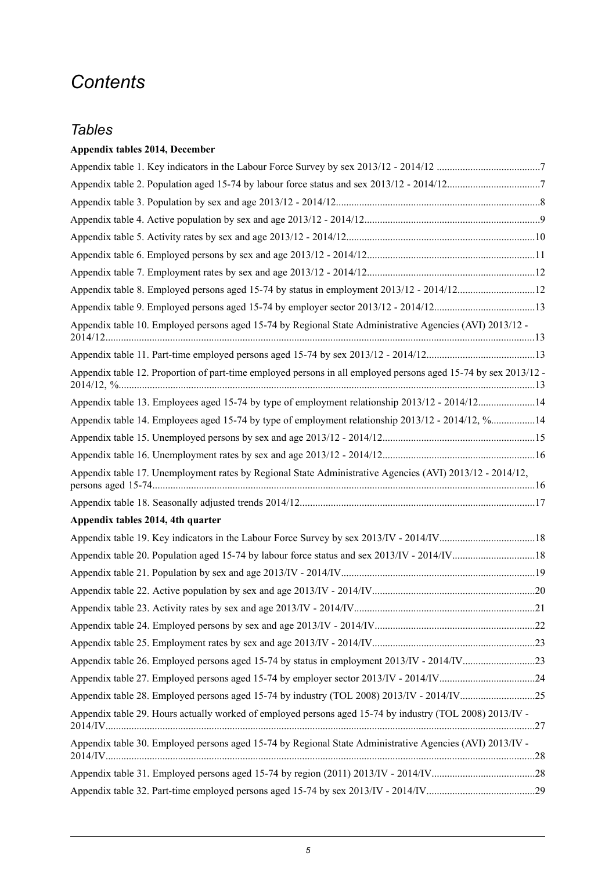## *Contents*

## *Tables*

### **Appendix tables 2014, December**

| Appendix table 8. Employed persons aged 15-74 by status in employment 2013/12 - 2014/1212                       |  |
|-----------------------------------------------------------------------------------------------------------------|--|
| Appendix table 9. Employed persons aged 15-74 by employer sector 2013/12 - 2014/1213                            |  |
| Appendix table 10. Employed persons aged 15-74 by Regional State Administrative Agencies (AVI) 2013/12 -        |  |
|                                                                                                                 |  |
| Appendix table 12. Proportion of part-time employed persons in all employed persons aged 15-74 by sex 2013/12 - |  |
| Appendix table 13. Employees aged 15-74 by type of employment relationship 2013/12 - 2014/1214                  |  |
| Appendix table 14. Employees aged 15-74 by type of employment relationship 2013/12 - 2014/12, %14               |  |
|                                                                                                                 |  |
|                                                                                                                 |  |
| Appendix table 17. Unemployment rates by Regional State Administrative Agencies (AVI) 2013/12 - 2014/12,        |  |
|                                                                                                                 |  |
| Appendix tables 2014, 4th quarter                                                                               |  |
|                                                                                                                 |  |
|                                                                                                                 |  |
|                                                                                                                 |  |
|                                                                                                                 |  |
|                                                                                                                 |  |
|                                                                                                                 |  |
|                                                                                                                 |  |
| Appendix table 26. Employed persons aged 15-74 by status in employment 2013/IV - 2014/IV23                      |  |
| Appendix table 27. Employed persons aged 15-74 by employer sector 2013/IV - 2014/IV24                           |  |
|                                                                                                                 |  |
| Appendix table 29. Hours actually worked of employed persons aged 15-74 by industry (TOL 2008) 2013/IV -        |  |
| Appendix table 30. Employed persons aged 15-74 by Regional State Administrative Agencies (AVI) 2013/IV -        |  |
|                                                                                                                 |  |
|                                                                                                                 |  |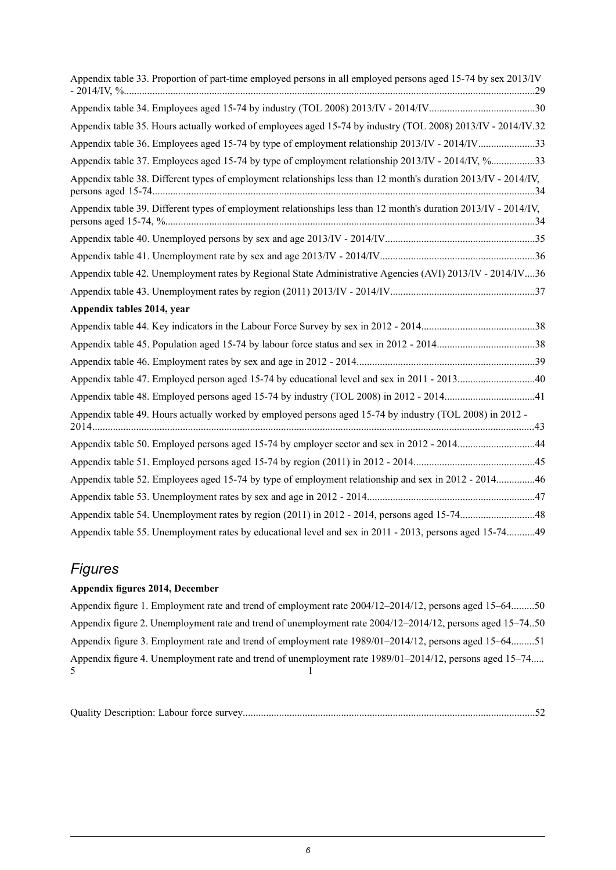|                            | Appendix table 33. Proportion of part-time employed persons in all employed persons aged 15-74 by sex 2013/IV   |  |
|----------------------------|-----------------------------------------------------------------------------------------------------------------|--|
|                            |                                                                                                                 |  |
|                            | Appendix table 35. Hours actually worked of employees aged 15-74 by industry (TOL 2008) 2013/IV - 2014/IV.32    |  |
|                            | Appendix table 36. Employees aged 15-74 by type of employment relationship 2013/IV - 2014/IV33                  |  |
|                            | Appendix table 37. Employees aged 15-74 by type of employment relationship 2013/IV - 2014/IV, %33               |  |
|                            | Appendix table 38. Different types of employment relationships less than 12 month's duration 2013/IV - 2014/IV, |  |
|                            | Appendix table 39. Different types of employment relationships less than 12 month's duration 2013/IV - 2014/IV, |  |
|                            |                                                                                                                 |  |
|                            |                                                                                                                 |  |
|                            | Appendix table 42. Unemployment rates by Regional State Administrative Agencies (AVI) 2013/IV - 2014/IV36       |  |
|                            |                                                                                                                 |  |
| Appendix tables 2014, year |                                                                                                                 |  |
|                            |                                                                                                                 |  |
|                            | Appendix table 45. Population aged 15-74 by labour force status and sex in 2012 - 201438                        |  |
|                            |                                                                                                                 |  |
|                            |                                                                                                                 |  |
|                            |                                                                                                                 |  |
|                            | Appendix table 49. Hours actually worked by employed persons aged 15-74 by industry (TOL 2008) in 2012 -        |  |
|                            | Appendix table 50. Employed persons aged 15-74 by employer sector and sex in 2012 - 201444                      |  |
|                            |                                                                                                                 |  |
|                            | Appendix table 52. Employees aged 15-74 by type of employment relationship and sex in 2012 - 201446             |  |
|                            |                                                                                                                 |  |
|                            |                                                                                                                 |  |
|                            | Appendix table 55. Unemployment rates by educational level and sex in 2011 - 2013, persons aged 15-7449         |  |

## *Figures*

#### **Appendix figures 2014, December**

Appendix figure 1. Employment rate and trend of employment rate [2004/12–2014/12,](#page-49-0) persons aged 15–64.........50 Appendix figure 2. Unemployment rate and trend of unemployment rate [2004/12–2014/12,](#page-49-1) persons aged 15–74..50 Appendix figure 3. Employment rate and trend of employment rate [1989/01–2014/12,](#page-50-0) persons aged 15–64.........51 Appendix figure 4. Unemployment rate and trend of unemployment rate [1989/01–2014/12,](#page-50-1) persons aged 15–74.....  $\sim$  1

|--|--|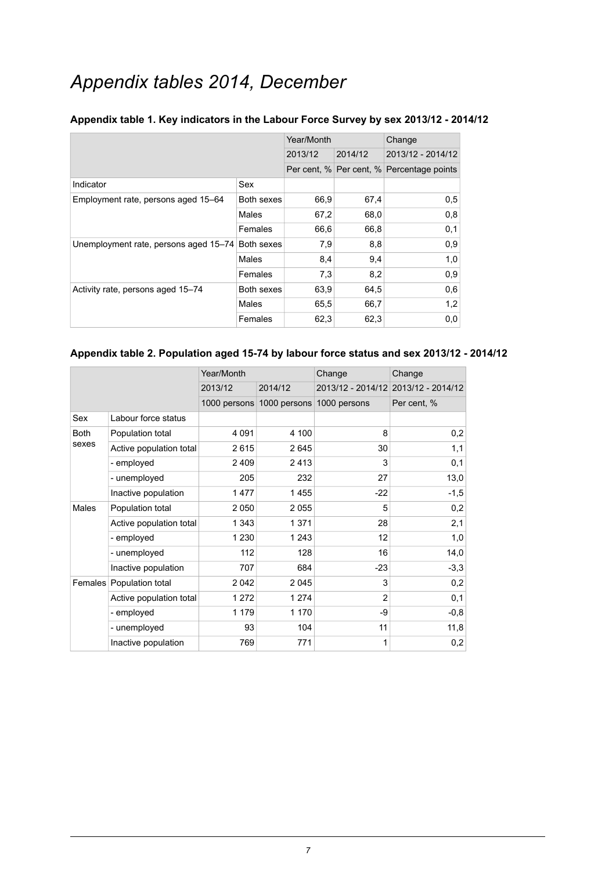## *Appendix tables 2014, December*

|                                       |            | Year/Month |         | Change                                    |
|---------------------------------------|------------|------------|---------|-------------------------------------------|
|                                       |            | 2013/12    | 2014/12 | 2013/12 - 2014/12                         |
|                                       |            |            |         | Per cent, % Per cent, % Percentage points |
| Indicator                             | Sex        |            |         |                                           |
| Employment rate, persons aged 15–64   | Both sexes | 66,9       | 67,4    | 0,5                                       |
|                                       | Males      | 67,2       | 68,0    | 0,8                                       |
|                                       | Females    | 66,6       | 66,8    | 0,1                                       |
| Unemployment rate, persons aged 15-74 | Both sexes | 7,9        | 8,8     | 0,9                                       |
|                                       | Males      | 8,4        | 9,4     | 1,0                                       |
|                                       | Females    | 7,3        | 8,2     | 0,9                                       |
| Activity rate, persons aged 15-74     | Both sexes | 63,9       | 64,5    | 0,6                                       |
|                                       | Males      | 65,5       | 66,7    | 1,2                                       |
|                                       | Females    | 62,3       | 62,3    | 0,0                                       |

#### <span id="page-6-0"></span>**Appendix table 1. Key indicators in the Labour Force Survey by sex 2013/12 - 2014/12**

#### <span id="page-6-1"></span>**Appendix table 2. Population aged 15-74 by labour force status and sex 2013/12 - 2014/12**

|              |                          | Year/Month   |              | Change         | Change                              |  |
|--------------|--------------------------|--------------|--------------|----------------|-------------------------------------|--|
|              |                          | 2013/12      | 2014/12      |                | 2013/12 - 2014/12 2013/12 - 2014/12 |  |
|              |                          | 1000 persons | 1000 persons | 1000 persons   | Per cent, %                         |  |
| Sex          | Labour force status      |              |              |                |                                     |  |
| <b>Both</b>  | Population total         | 4 0 9 1      | 4 100        | 8              | 0,2                                 |  |
| sexes        | Active population total  | 2615         | 2645         | 30             | 1,1                                 |  |
|              | - employed               | 2 4 0 9      | 2413         | 3              | 0,1                                 |  |
|              | - unemployed             | 205          | 232          | 27             | 13,0                                |  |
|              | Inactive population      | 1477         | 1455         | $-22$          | $-1,5$                              |  |
| <b>Males</b> | Population total         | 2 0 5 0      | 2055         | 5              | 0,2                                 |  |
|              | Active population total  | 1 3 4 3      | 1 3 7 1      | 28             | 2,1                                 |  |
|              | - employed               | 1 2 3 0      | 1 2 4 3      | 12             | 1,0                                 |  |
|              | - unemployed             | 112          | 128          | 16             | 14,0                                |  |
|              | Inactive population      | 707          | 684          | $-23$          | $-3,3$                              |  |
|              | Females Population total | 2 0 4 2      | 2045         | 3              | 0,2                                 |  |
|              | Active population total  | 1 272        | 1 2 7 4      | $\overline{2}$ | 0,1                                 |  |
|              | - employed               | 1 1 7 9      | 1 1 7 0      | -9             | $-0,8$                              |  |
|              | - unemployed             | 93           | 104          | 11             | 11,8                                |  |
|              | Inactive population      | 769          | 771          | 1              | 0,2                                 |  |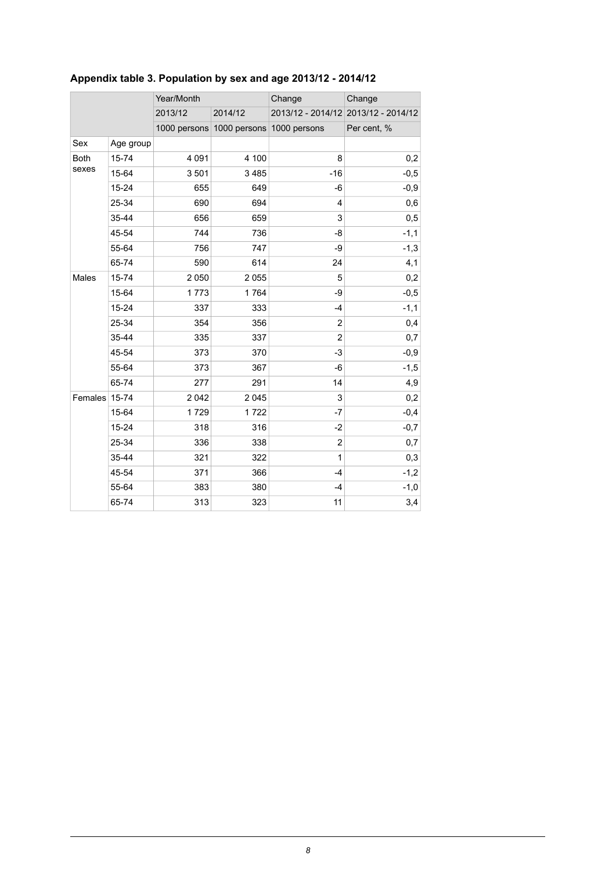|               |           | Year/Month |                                        | Change         | Change                              |
|---------------|-----------|------------|----------------------------------------|----------------|-------------------------------------|
|               |           | 2013/12    | 2014/12                                |                | 2013/12 - 2014/12 2013/12 - 2014/12 |
|               |           |            | 1000 persons 1000 persons 1000 persons |                | Per cent, %                         |
| Sex           | Age group |            |                                        |                |                                     |
| <b>Both</b>   | 15-74     | 4 0 9 1    | 4 100                                  | 8              | 0,2                                 |
| sexes         | 15-64     | 3501       | 3 4 8 5                                | $-16$          | $-0,5$                              |
|               | $15 - 24$ | 655        | 649                                    | -6             | $-0,9$                              |
|               | 25-34     | 690        | 694                                    | 4              | 0,6                                 |
|               | 35-44     | 656        | 659                                    | 3              | 0,5                                 |
|               | 45-54     | 744        | 736                                    | -8             | $-1,1$                              |
|               | 55-64     | 756        | 747                                    | -9             | $-1,3$                              |
|               | 65-74     | 590        | 614                                    | 24             | 4,1                                 |
| Males         | 15-74     | 2 0 5 0    | 2 0 5 5                                | 5              | 0,2                                 |
|               | 15-64     | 1773       | 1764                                   | -9             | $-0,5$                              |
|               | $15 - 24$ | 337        | 333                                    | $-4$           | $-1,1$                              |
|               | 25-34     | 354        | 356                                    | $\overline{2}$ | 0,4                                 |
|               | 35-44     | 335        | 337                                    | $\overline{c}$ | 0,7                                 |
|               | 45-54     | 373        | 370                                    | $-3$           | $-0,9$                              |
|               | 55-64     | 373        | 367                                    | -6             | $-1,5$                              |
|               | 65-74     | 277        | 291                                    | 14             | 4,9                                 |
| Females 15-74 |           | 2 0 4 2    | 2 0 4 5                                | 3              | 0,2                                 |
|               | 15-64     | 1729       | 1722                                   | -7             | $-0,4$                              |
|               | 15-24     | 318        | 316                                    | $-2$           | $-0,7$                              |
|               | 25-34     | 336        | 338                                    | $\overline{c}$ | 0,7                                 |
|               | 35-44     | 321        | 322                                    | 1              | 0,3                                 |
|               | 45-54     | 371        | 366                                    | $-4$           | $-1,2$                              |
|               | 55-64     | 383        | 380                                    | $-4$           | $-1,0$                              |
|               | 65-74     | 313        | 323                                    | 11             | 3,4                                 |

## <span id="page-7-0"></span>**Appendix table 3. Population by sex and age 2013/12 - 2014/12**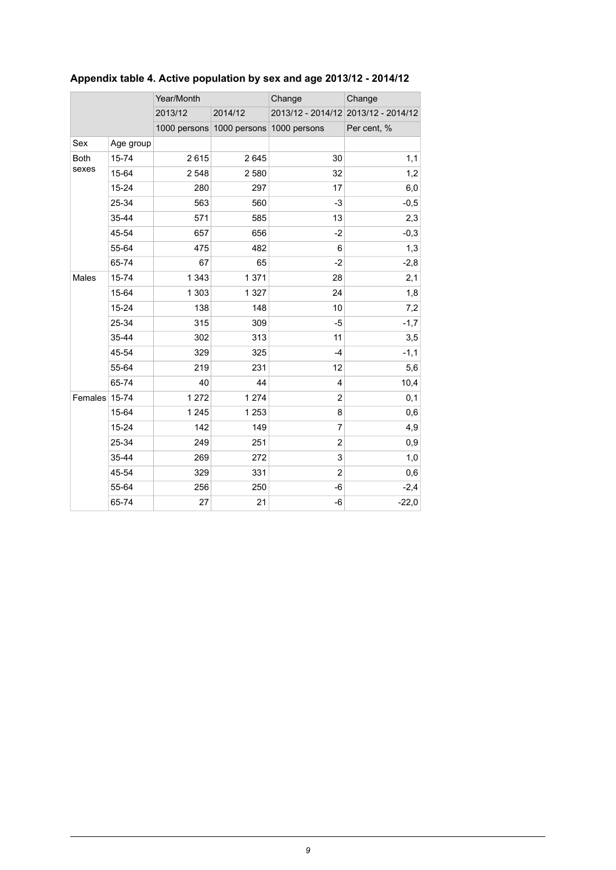|               |           | Year/Month |                                        | Change         | Change                              |
|---------------|-----------|------------|----------------------------------------|----------------|-------------------------------------|
|               |           | 2013/12    | 2014/12                                |                | 2013/12 - 2014/12 2013/12 - 2014/12 |
|               |           |            | 1000 persons 1000 persons 1000 persons |                | Per cent, %                         |
| Sex           | Age group |            |                                        |                |                                     |
| <b>Both</b>   | 15-74     | 2615       | 2645                                   | 30             | 1,1                                 |
| sexes         | 15-64     | 2 5 4 8    | 2 5 8 0                                | 32             | 1,2                                 |
|               | $15 - 24$ | 280        | 297                                    | 17             | 6,0                                 |
|               | 25-34     | 563        | 560                                    | -3             | $-0,5$                              |
|               | 35-44     | 571        | 585                                    | 13             | 2,3                                 |
|               | 45-54     | 657        | 656                                    | $-2$           | $-0,3$                              |
|               | 55-64     | 475        | 482                                    | 6              | 1,3                                 |
|               | 65-74     | 67         | 65                                     | $-2$           | $-2,8$                              |
| Males         | $15 - 74$ | 1 3 4 3    | 1 3 7 1                                | 28             | 2,1                                 |
|               | 15-64     | 1 3 0 3    | 1 3 2 7                                | 24             | 1,8                                 |
|               | 15-24     | 138        | 148                                    | 10             | 7,2                                 |
|               | 25-34     | 315        | 309                                    | -5             | $-1,7$                              |
|               | 35-44     | 302        | 313                                    | 11             | 3,5                                 |
|               | 45-54     | 329        | 325                                    | $-4$           | $-1,1$                              |
|               | 55-64     | 219        | 231                                    | 12             | 5,6                                 |
|               | 65-74     | 40         | 44                                     | $\overline{4}$ | 10,4                                |
| Females 15-74 |           | 1 272      | 1 2 7 4                                | $\overline{2}$ | 0,1                                 |
|               | 15-64     | 1 2 4 5    | 1 2 5 3                                | 8              | 0,6                                 |
|               | $15 - 24$ | 142        | 149                                    | $\overline{7}$ | 4,9                                 |
|               | 25-34     | 249        | 251                                    | $\overline{2}$ | 0,9                                 |
|               | 35-44     | 269        | 272                                    | 3              | 1,0                                 |
|               | 45-54     | 329        | 331                                    | $\overline{c}$ | 0,6                                 |
|               | 55-64     | 256        | 250                                    | -6             | $-2,4$                              |
|               | 65-74     | 27         | 21                                     | -6             | $-22,0$                             |
|               |           |            |                                        |                |                                     |

## <span id="page-8-0"></span>**Appendix table 4. Active population by sex and age 2013/12 - 2014/12**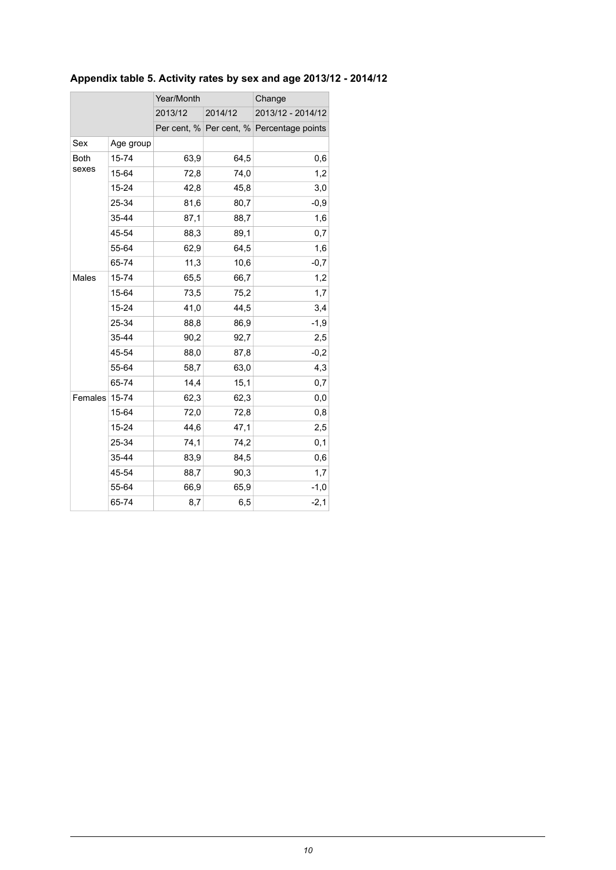## <span id="page-9-0"></span>**Appendix table 5. Activity rates by sex and age 2013/12 - 2014/12**

|             |           | Year/Month |         | Change                                    |  |
|-------------|-----------|------------|---------|-------------------------------------------|--|
|             |           | 2013/12    | 2014/12 | 2013/12 - 2014/12                         |  |
|             |           |            |         | Per cent, % Per cent, % Percentage points |  |
| Sex         | Age group |            |         |                                           |  |
| <b>Both</b> | 15-74     | 63,9       | 64,5    | 0,6                                       |  |
| sexes       | 15-64     | 72,8       | 74,0    | 1,2                                       |  |
|             | 15-24     | 42,8       | 45,8    | 3,0                                       |  |
|             | 25-34     | 81,6       | 80,7    | $-0,9$                                    |  |
|             | 35-44     | 87,1       | 88,7    | 1,6                                       |  |
|             | 45-54     | 88,3       | 89,1    | 0,7                                       |  |
|             | 55-64     | 62,9       | 64,5    | 1,6                                       |  |
|             | 65-74     | 11,3       | 10,6    | $-0,7$                                    |  |
| Males       | 15-74     | 65,5       | 66,7    | 1,2                                       |  |
|             | 15-64     | 73,5       | 75,2    | 1,7                                       |  |
|             | 15-24     | 41,0       | 44,5    | 3,4                                       |  |
|             | 25-34     | 88,8       | 86,9    | $-1,9$                                    |  |
|             | 35-44     | 90,2       | 92,7    | 2,5                                       |  |
|             | 45-54     | 88,0       | 87,8    | $-0,2$                                    |  |
|             | 55-64     | 58,7       | 63,0    | 4,3                                       |  |
|             | 65-74     | 14,4       | 15,1    | 0,7                                       |  |
| Females     | 15-74     | 62,3       | 62,3    | $_{0,0}$                                  |  |
|             | 15-64     | 72,0       | 72,8    | 0,8                                       |  |
|             | 15-24     | 44,6       | 47,1    | 2,5                                       |  |
|             | 25-34     | 74,1       | 74,2    | 0,1                                       |  |
|             | 35-44     | 83,9       | 84,5    | 0,6                                       |  |
|             | 45-54     | 88,7       | 90,3    | 1,7                                       |  |
|             | 55-64     | 66,9       | 65,9    | $-1,0$                                    |  |
|             | 65-74     | 8,7        | 6,5     | $-2,1$                                    |  |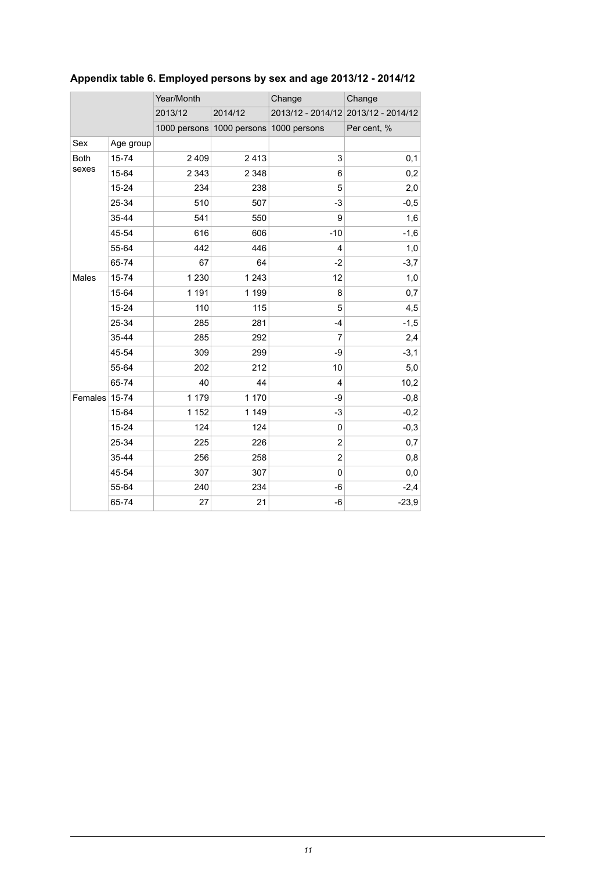|               |           | Year/Month |                           | Change                  | Change                              |
|---------------|-----------|------------|---------------------------|-------------------------|-------------------------------------|
|               |           | 2013/12    | 2014/12                   |                         | 2013/12 - 2014/12 2013/12 - 2014/12 |
|               |           |            | 1000 persons 1000 persons | 1000 persons            | Per cent, %                         |
| Sex           | Age group |            |                           |                         |                                     |
| <b>Both</b>   | 15-74     | 2 4 0 9    | 2413                      | 3                       | 0,1                                 |
| sexes         | 15-64     | 2 3 4 3    | 2 3 4 8                   | 6                       | 0,2                                 |
|               | $15 - 24$ | 234        | 238                       | 5                       | 2,0                                 |
|               | 25-34     | 510        | 507                       | $-3$                    | $-0,5$                              |
|               | 35-44     | 541        | 550                       | 9                       | 1,6                                 |
|               | 45-54     | 616        | 606                       | $-10$                   | $-1,6$                              |
|               | 55-64     | 442        | 446                       | 4                       | 1,0                                 |
|               | 65-74     | 67         | 64                        | $-2$                    | $-3,7$                              |
| Males         | 15-74     | 1 2 3 0    | 1 2 4 3                   | 12                      | 1,0                                 |
|               | 15-64     | 1 1 9 1    | 1 1 9 9                   | 8                       | 0,7                                 |
|               | 15-24     | 110        | 115                       | 5                       | 4,5                                 |
|               | 25-34     | 285        | 281                       | $-4$                    | $-1,5$                              |
|               | 35-44     | 285        | 292                       | $\overline{7}$          | 2,4                                 |
|               | 45-54     | 309        | 299                       | -9                      | $-3,1$                              |
|               | 55-64     | 202        | 212                       | 10                      | 5,0                                 |
|               | 65-74     | 40         | 44                        | 4                       | 10,2                                |
| Females 15-74 |           | 1 1 7 9    | 1 170                     | -9                      | $-0,8$                              |
|               | 15-64     | 1 1 5 2    | 1 1 4 9                   | -3                      | $-0,2$                              |
|               | $15 - 24$ | 124        | 124                       | 0                       | $-0,3$                              |
|               | 25-34     | 225        | 226                       | $\overline{\mathbf{c}}$ | 0,7                                 |
|               | 35-44     | 256        | 258                       | $\overline{2}$          | 0,8                                 |
|               | 45-54     | 307        | 307                       | 0                       | 0,0                                 |
|               | 55-64     | 240        | 234                       | -6                      | $-2,4$                              |
|               | 65-74     | 27         | 21                        | -6                      | $-23,9$                             |

## <span id="page-10-0"></span>**Appendix table 6. Employed persons by sex and age 2013/12 - 2014/12**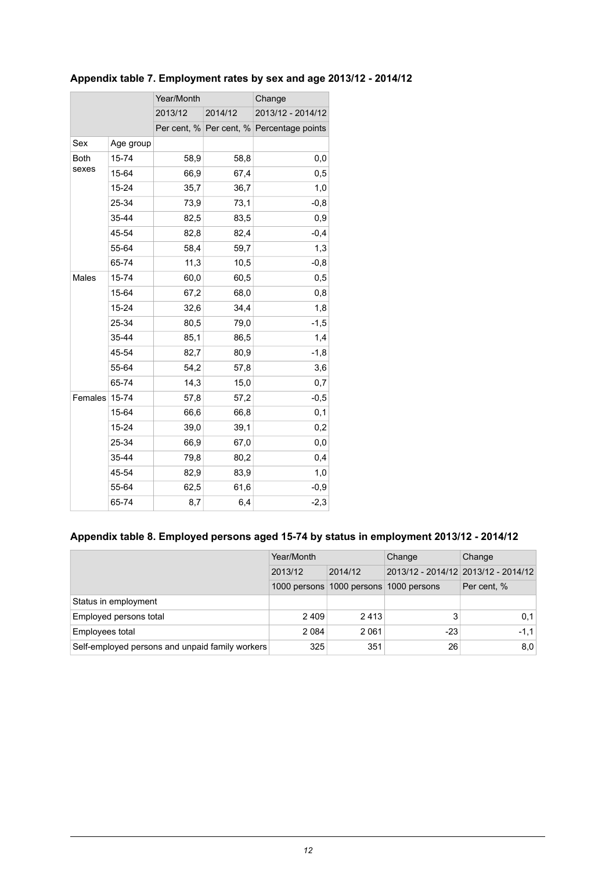|             |           | Year/Month |         | Change                                    |  |
|-------------|-----------|------------|---------|-------------------------------------------|--|
|             |           | 2013/12    | 2014/12 | 2013/12 - 2014/12                         |  |
|             |           |            |         | Per cent, % Per cent, % Percentage points |  |
| Sex         | Age group |            |         |                                           |  |
| <b>Both</b> | 15-74     | 58,9       | 58,8    | 0,0                                       |  |
| sexes       | 15-64     | 66,9       | 67,4    | 0,5                                       |  |
|             | 15-24     | 35,7       | 36,7    | 1,0                                       |  |
|             | 25-34     | 73,9       | 73,1    | $-0,8$                                    |  |
|             | 35-44     | 82,5       | 83,5    | 0,9                                       |  |
|             | 45-54     | 82,8       | 82,4    | $-0,4$                                    |  |
|             | 55-64     | 58,4       | 59,7    | 1,3                                       |  |
|             | 65-74     | 11,3       | 10,5    | $-0,8$                                    |  |
| Males       | 15-74     | 60,0       | 60,5    | 0,5                                       |  |
|             | 15-64     | 67,2       | 68,0    | 0,8                                       |  |
|             | 15-24     | 32,6       | 34,4    | 1,8                                       |  |
|             | 25-34     | 80,5       | 79,0    | -1,5                                      |  |
|             | 35-44     | 85,1       | 86,5    | 1,4                                       |  |
|             | 45-54     | 82,7       | 80,9    | $-1,8$                                    |  |
|             | 55-64     | 54,2       | 57,8    | 3,6                                       |  |
|             | 65-74     | 14,3       | 15,0    | 0,7                                       |  |
| Females     | 15-74     | 57,8       | 57,2    | $-0,5$                                    |  |
|             | 15-64     | 66,6       | 66,8    | 0,1                                       |  |
|             | 15-24     | 39,0       | 39,1    | 0,2                                       |  |
|             | 25-34     | 66,9       | 67,0    | 0,0                                       |  |
|             | 35-44     | 79,8       | 80,2    | 0,4                                       |  |
|             | 45-54     | 82,9       | 83,9    | 1,0                                       |  |
|             | 55-64     | 62,5       | 61,6    | $-0,9$                                    |  |
|             | 65-74     | 8,7        | 6,4     | $-2,3$                                    |  |

## <span id="page-11-0"></span>**Appendix table 7. Employment rates by sex and age 2013/12 - 2014/12**

### <span id="page-11-1"></span>**Appendix table 8. Employed persons aged 15-74 by status in employment 2013/12 - 2014/12**

|                                                 | Year/Month |                                        | Change | Change                              |
|-------------------------------------------------|------------|----------------------------------------|--------|-------------------------------------|
|                                                 | 2013/12    | 2014/12                                |        | 2013/12 - 2014/12 2013/12 - 2014/12 |
|                                                 |            | 1000 persons 1000 persons 1000 persons |        | Per cent, %                         |
| Status in employment                            |            |                                        |        |                                     |
| Employed persons total                          | 2409       | 2413                                   |        | 0,1                                 |
| Employees total                                 | 2 0 8 4    | 2 0 6 1                                | -23    | $-1.1$                              |
| Self-employed persons and unpaid family workers | 325        | 351                                    | 26     | 8,0                                 |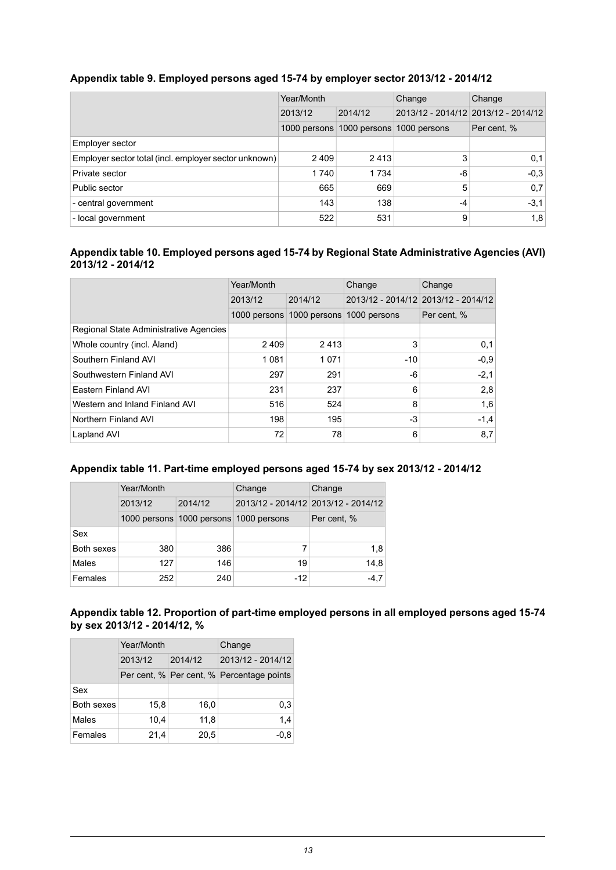|                                                       | Year/Month<br>2013/12<br>2014/12 |                                        | Change                              | Change      |
|-------------------------------------------------------|----------------------------------|----------------------------------------|-------------------------------------|-------------|
|                                                       |                                  |                                        | 2013/12 - 2014/12 2013/12 - 2014/12 |             |
|                                                       |                                  | 1000 persons 1000 persons 1000 persons |                                     | Per cent, % |
| Employer sector                                       |                                  |                                        |                                     |             |
| Employer sector total (incl. employer sector unknown) | 2 4 0 9                          | 2413                                   | 3                                   | 0,1         |
| Private sector                                        | 1 740                            | 1 7 3 4                                | -6                                  | $-0.3$      |
| Public sector                                         | 665                              | 669                                    | 5                                   | 0,7         |
| - central government                                  | 143                              | 138                                    | $-4$                                | $-3.1$      |
| - local government                                    | 522                              | 531                                    | 9                                   | 1,8         |

#### <span id="page-12-0"></span>**Appendix table 9. Employed persons aged 15-74 by employer sector 2013/12 - 2014/12**

#### <span id="page-12-1"></span>**Appendix table 10. Employed persons aged 15-74 by Regional State Administrative Agencies (AVI) 2013/12 - 2014/12**

|                                        | Year/Month   |              | Change       | Change                              |
|----------------------------------------|--------------|--------------|--------------|-------------------------------------|
|                                        | 2013/12      | 2014/12      |              | 2013/12 - 2014/12 2013/12 - 2014/12 |
|                                        | 1000 persons | 1000 persons | 1000 persons | Per cent, %                         |
| Regional State Administrative Agencies |              |              |              |                                     |
| Whole country (incl. Åland)            | 2409         | 2413         | 3            | 0.1                                 |
| Southern Finland AVI                   | 1081         | 1071         | $-10$        | $-0.9$                              |
| Southwestern Finland AVI               | 297          | 291          | -6           | $-2,1$                              |
| Eastern Finland AVI                    | 231          | 237          | 6            | 2,8                                 |
| Western and Inland Finland AVI         | 516          | 524          | 8            | 1,6                                 |
| Northern Finland AVI                   | 198          | 195          | -3           | $-1,4$                              |
| Lapland AVI                            | 72           | 78           | 6            | 8,7                                 |

#### <span id="page-12-2"></span>**Appendix table 11. Part-time employed persons aged 15-74 by sex 2013/12 - 2014/12**

|            | Year/Month |                                        | Change                              | Change      |
|------------|------------|----------------------------------------|-------------------------------------|-------------|
|            | 2013/12    | 2014/12                                | 2013/12 - 2014/12 2013/12 - 2014/12 |             |
|            |            | 1000 persons 1000 persons 1000 persons |                                     | Per cent, % |
| Sex        |            |                                        |                                     |             |
| Both sexes | 380        | 386                                    | 7                                   | 1,8         |
| Males      | 127        | 146                                    | 19                                  | 14.8        |
| Females    | 252        | 240                                    | $-12$                               | -4.7        |

#### <span id="page-12-3"></span>**Appendix table 12. Proportion of part-time employed persons in all employed persons aged 15-74 by sex 2013/12 - 2014/12, %**

|            | Year/Month | Change  |                                           |  |
|------------|------------|---------|-------------------------------------------|--|
|            | 2013/12    | 2014/12 | 2013/12 - 2014/12                         |  |
|            |            |         | Per cent, % Per cent, % Percentage points |  |
| Sex        |            |         |                                           |  |
| Both sexes | 15,8       | 16,0    | 0,3                                       |  |
| Males      | 10,4       | 11,8    | 1,4                                       |  |
| Females    | 21,4       | 20,5    | $-0.8$                                    |  |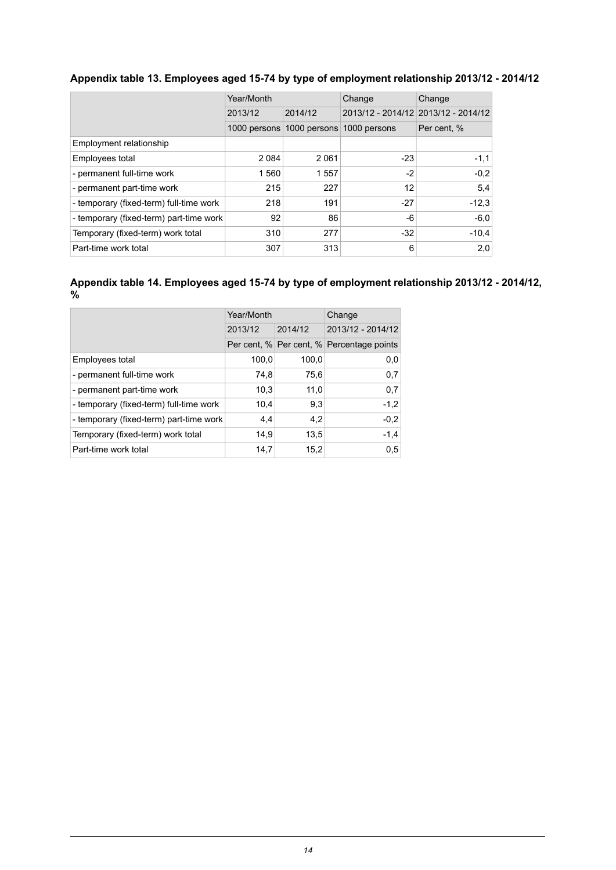#### <span id="page-13-0"></span>**Appendix table 13. Employees aged 15-74 by type of employment relationship 2013/12 - 2014/12**

|                                         | Year/Month   |              | Change       | Change                              |
|-----------------------------------------|--------------|--------------|--------------|-------------------------------------|
|                                         | 2013/12      | 2014/12      |              | 2013/12 - 2014/12 2013/12 - 2014/12 |
|                                         | 1000 persons | 1000 persons | 1000 persons | Per cent, %                         |
| Employment relationship                 |              |              |              |                                     |
| Employees total                         | 2 0 8 4      | 2061         | $-23$        | $-1,1$                              |
| - permanent full-time work              | 1 560        | 1557         | $-2$         | $-0.2$                              |
| - permanent part-time work              | 215          | 227          | 12           | 5,4                                 |
| - temporary (fixed-term) full-time work | 218          | 191          | $-27$        | $-12.3$                             |
| - temporary (fixed-term) part-time work | 92           | 86           | -6           | $-6,0$                              |
| Temporary (fixed-term) work total       | 310          | 277          | $-32$        | $-10.4$                             |
| Part-time work total                    | 307          | 313          | 6            | 2,0                                 |

<span id="page-13-1"></span>**Appendix table 14. Employees aged 15-74 by type of employment relationship 2013/12 - 2014/12, %**

|                                         | Year/Month |         | Change                                    |  |
|-----------------------------------------|------------|---------|-------------------------------------------|--|
|                                         | 2013/12    | 2014/12 | 2013/12 - 2014/12                         |  |
|                                         |            |         | Per cent, % Per cent, % Percentage points |  |
| Employees total                         | 100,0      | 100,0   | 0,0                                       |  |
| - permanent full-time work              | 74,8       | 75,6    | 0,7                                       |  |
| - permanent part-time work              | 10.3       | 11,0    | 0,7                                       |  |
| - temporary (fixed-term) full-time work | 10,4       | 9,3     | $-1,2$                                    |  |
| - temporary (fixed-term) part-time work | 4,4        | 4,2     | $-0,2$                                    |  |
| Temporary (fixed-term) work total       | 14,9       | 13.5    | $-1,4$                                    |  |
| Part-time work total                    | 14.7       | 15.2    | 0,5                                       |  |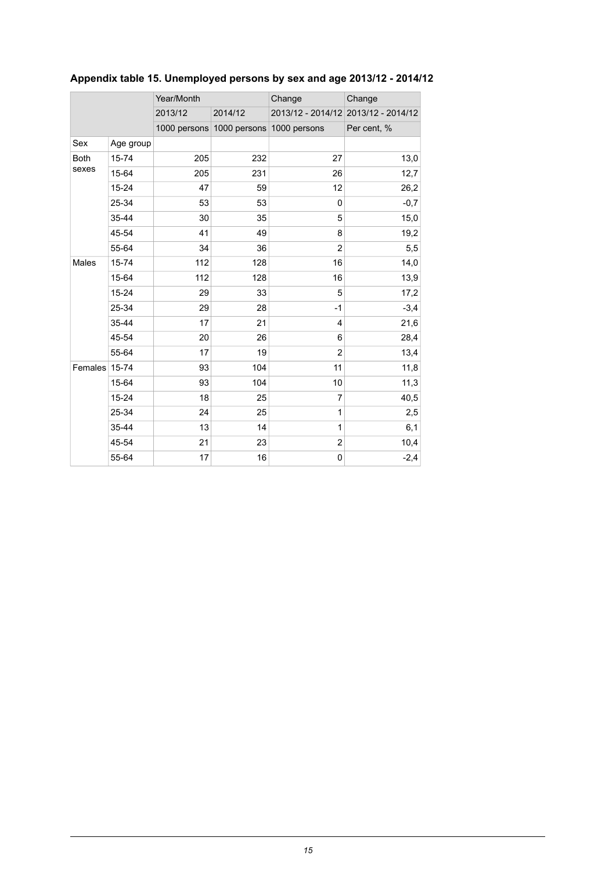|               |           | Year/Month |                                        | Change         | Change                              |  |
|---------------|-----------|------------|----------------------------------------|----------------|-------------------------------------|--|
|               |           | 2013/12    | 2014/12                                |                | 2013/12 - 2014/12 2013/12 - 2014/12 |  |
|               |           |            | 1000 persons 1000 persons 1000 persons |                | Per cent, %                         |  |
| Sex           | Age group |            |                                        |                |                                     |  |
| <b>Both</b>   | 15-74     | 205        | 232                                    | 27             | 13,0                                |  |
| sexes         | 15-64     | 205        | 231                                    | 26             | 12,7                                |  |
|               | $15 - 24$ | 47         | 59                                     | 12             | 26,2                                |  |
|               | 25-34     | 53         | 53                                     | 0              | $-0,7$                              |  |
|               | 35-44     | 30         | 35                                     | 5              | 15,0                                |  |
|               | 45-54     | 41         | 49                                     | 8              | 19,2                                |  |
|               | 55-64     | 34         | 36                                     | $\overline{2}$ | 5,5                                 |  |
| Males         | 15-74     | 112        | 128                                    | 16             | 14,0                                |  |
|               | 15-64     | 112        | 128                                    | 16             | 13,9                                |  |
|               | $15 - 24$ | 29         | 33                                     | 5              | 17,2                                |  |
|               | 25-34     | 29         | 28                                     | $-1$           | $-3,4$                              |  |
|               | 35-44     | 17         | 21                                     | 4              | 21,6                                |  |
|               | 45-54     | 20         | 26                                     | 6              | 28,4                                |  |
|               | 55-64     | 17         | 19                                     | $\overline{2}$ | 13,4                                |  |
| Females 15-74 |           | 93         | 104                                    | 11             | 11,8                                |  |
|               | 15-64     | 93         | 104                                    | 10             | 11,3                                |  |
|               | $15 - 24$ | 18         | 25                                     | 7              | 40,5                                |  |
|               | 25-34     | 24         | 25                                     | 1              | 2,5                                 |  |
|               | 35-44     | 13         | 14                                     | 1              | 6,1                                 |  |
|               | 45-54     | 21         | 23                                     | 2              | 10,4                                |  |
|               | 55-64     | 17         | 16                                     | 0              | $-2,4$                              |  |

## <span id="page-14-0"></span>**Appendix table 15. Unemployed persons by sex and age 2013/12 - 2014/12**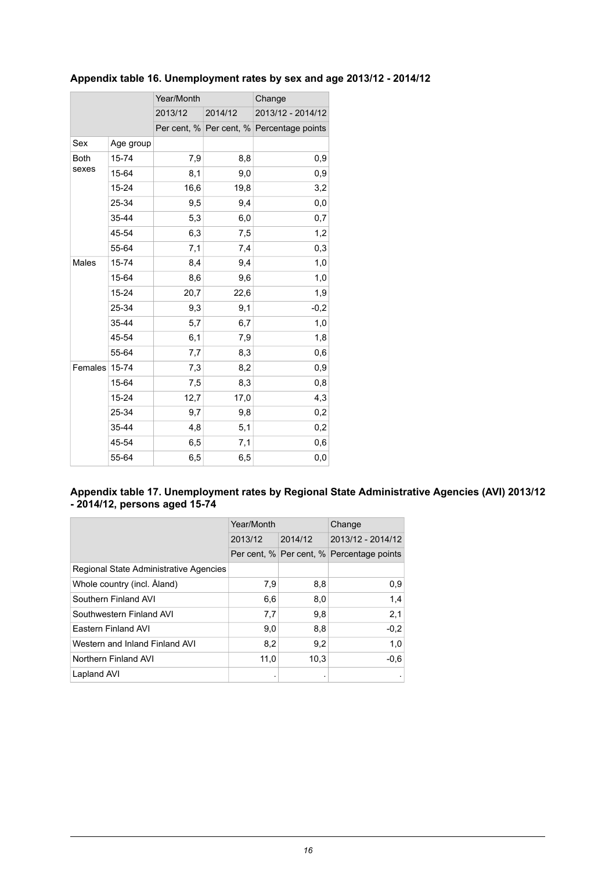|             |           | Year/Month |         | Change                                    |  |
|-------------|-----------|------------|---------|-------------------------------------------|--|
|             |           | 2013/12    | 2014/12 | 2013/12 - 2014/12                         |  |
|             |           |            |         | Per cent, % Per cent, % Percentage points |  |
| Sex         | Age group |            |         |                                           |  |
| <b>Both</b> | 15-74     | 7,9        | 8,8     | 0,9                                       |  |
| sexes       | 15-64     | 8,1        | 9,0     | 0,9                                       |  |
|             | 15-24     | 16,6       | 19,8    | 3,2                                       |  |
|             | 25-34     | 9,5        | 9,4     | 0,0                                       |  |
|             | 35-44     | 5,3        | 6,0     | 0,7                                       |  |
|             | 45-54     | 6,3        | 7,5     | 1,2                                       |  |
|             | 55-64     | 7,1        | 7,4     | 0,3                                       |  |
| Males       | 15-74     | 8,4        | 9,4     | 1,0                                       |  |
|             | 15-64     | 8,6        | 9,6     | 1,0                                       |  |
|             | 15-24     | 20,7       | 22,6    | 1,9                                       |  |
|             | 25-34     | 9,3        | 9,1     | $-0,2$                                    |  |
|             | 35-44     | 5,7        | 6,7     | 1,0                                       |  |
|             | 45-54     | 6,1        | 7,9     | 1,8                                       |  |
|             | 55-64     | 7,7        | 8,3     | 0,6                                       |  |
| Females     | $15 - 74$ | 7,3        | 8,2     | 0,9                                       |  |
|             | 15-64     | 7,5        | 8,3     | 0,8                                       |  |
|             | 15-24     | 12,7       | 17,0    | 4,3                                       |  |
|             | 25-34     | 9,7        | 9,8     | 0,2                                       |  |
|             | 35-44     | 4,8        | 5,1     | 0,2                                       |  |
|             | 45-54     | 6,5        | 7,1     | 0,6                                       |  |
|             | 55-64     | 6,5        | 6,5     | 0,0                                       |  |

### <span id="page-15-0"></span>**Appendix table 16. Unemployment rates by sex and age 2013/12 - 2014/12**

#### <span id="page-15-1"></span>**Appendix table 17. Unemployment rates by Regional State Administrative Agencies (AVI) 2013/12 - 2014/12, persons aged 15-74**

|                                        | Year/Month |         | Change                                    |  |
|----------------------------------------|------------|---------|-------------------------------------------|--|
|                                        | 2013/12    | 2014/12 | 2013/12 - 2014/12                         |  |
|                                        |            |         | Per cent, % Per cent, % Percentage points |  |
| Regional State Administrative Agencies |            |         |                                           |  |
| Whole country (incl. Åland)            | 7,9        | 8,8     | 0.9                                       |  |
| Southern Finland AVI                   | 6,6        | 8,0     | 1,4                                       |  |
| Southwestern Finland AVI               | 7,7        | 9,8     | 2,1                                       |  |
| Eastern Finland AVI                    | 9,0        | 8,8     | $-0,2$                                    |  |
| Western and Inland Finland AVI         | 8,2        | 9,2     | 1,0                                       |  |
| Northern Finland AVI                   | 11,0       | 10,3    | $-0,6$                                    |  |
| Lapland AVI                            | ٠          | ٠       | ٠                                         |  |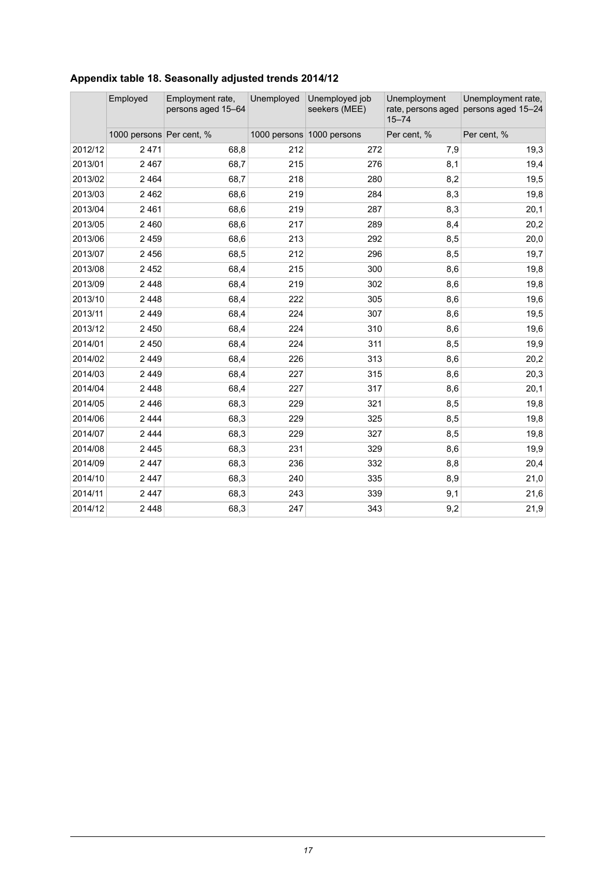<span id="page-16-0"></span>

| Appendix table 18. Seasonally adjusted trends 2014/12 |  |  |  |
|-------------------------------------------------------|--|--|--|
|                                                       |  |  |  |

|         | Employed                 | Employment rate,<br>persons aged 15-64 | Unemployed | Unemployed job<br>seekers (MEE) | Unemployment<br>$15 - 74$ | Unemployment rate,<br>rate, persons aged persons aged 15-24 |
|---------|--------------------------|----------------------------------------|------------|---------------------------------|---------------------------|-------------------------------------------------------------|
|         | 1000 persons Per cent, % |                                        |            | 1000 persons 1000 persons       | Per cent, %               | Per cent, %                                                 |
| 2012/12 | 2 4 7 1                  | 68,8                                   | 212        | 272                             | 7,9                       | 19,3                                                        |
| 2013/01 | 2 4 6 7                  | 68,7                                   | 215        | 276                             | 8,1                       | 19,4                                                        |
| 2013/02 | 2 4 6 4                  | 68,7                                   | 218        | 280                             | 8,2                       | 19,5                                                        |
| 2013/03 | 2 4 6 2                  | 68,6                                   | 219        | 284                             | 8,3                       | 19,8                                                        |
| 2013/04 | 2461                     | 68,6                                   | 219        | 287                             | 8,3                       | 20,1                                                        |
| 2013/05 | 2 4 6 0                  | 68,6                                   | 217        | 289                             | 8,4                       | 20,2                                                        |
| 2013/06 | 2 4 5 9                  | 68,6                                   | 213        | 292                             | 8,5                       | 20,0                                                        |
| 2013/07 | 2 4 5 6                  | 68,5                                   | 212        | 296                             | 8,5                       | 19,7                                                        |
| 2013/08 | 2 4 5 2                  | 68,4                                   | 215        | 300                             | 8,6                       | 19,8                                                        |
| 2013/09 | 2 4 4 8                  | 68,4                                   | 219        | 302                             | 8,6                       | 19,8                                                        |
| 2013/10 | 2 4 4 8                  | 68,4                                   | 222        | 305                             | 8,6                       | 19,6                                                        |
| 2013/11 | 2 4 4 9                  | 68,4                                   | 224        | 307                             | 8,6                       | 19,5                                                        |
| 2013/12 | 2 4 5 0                  | 68,4                                   | 224        | 310                             | 8,6                       | 19,6                                                        |
| 2014/01 | 2 4 5 0                  | 68,4                                   | 224        | 311                             | 8,5                       | 19,9                                                        |
| 2014/02 | 2 4 4 9                  | 68,4                                   | 226        | 313                             | 8,6                       | 20,2                                                        |
| 2014/03 | 2 4 4 9                  | 68,4                                   | 227        | 315                             | 8,6                       | 20,3                                                        |
| 2014/04 | 2 4 4 8                  | 68,4                                   | 227        | 317                             | 8,6                       | 20,1                                                        |
| 2014/05 | 2446                     | 68,3                                   | 229        | 321                             | 8,5                       | 19,8                                                        |
| 2014/06 | 2 4 4 4                  | 68,3                                   | 229        | 325                             | 8,5                       | 19,8                                                        |
| 2014/07 | 2 4 4 4                  | 68,3                                   | 229        | 327                             | 8,5                       | 19,8                                                        |
| 2014/08 | 2 4 4 5                  | 68,3                                   | 231        | 329                             | 8,6                       | 19,9                                                        |
| 2014/09 | 2 4 4 7                  | 68,3                                   | 236        | 332                             | 8,8                       | 20,4                                                        |
| 2014/10 | 2 4 4 7                  | 68,3                                   | 240        | 335                             | 8,9                       | 21,0                                                        |
| 2014/11 | 2447                     | 68,3                                   | 243        | 339                             | 9,1                       | 21,6                                                        |
| 2014/12 | 2 4 4 8                  | 68,3                                   | 247        | 343                             | 9,2                       | 21,9                                                        |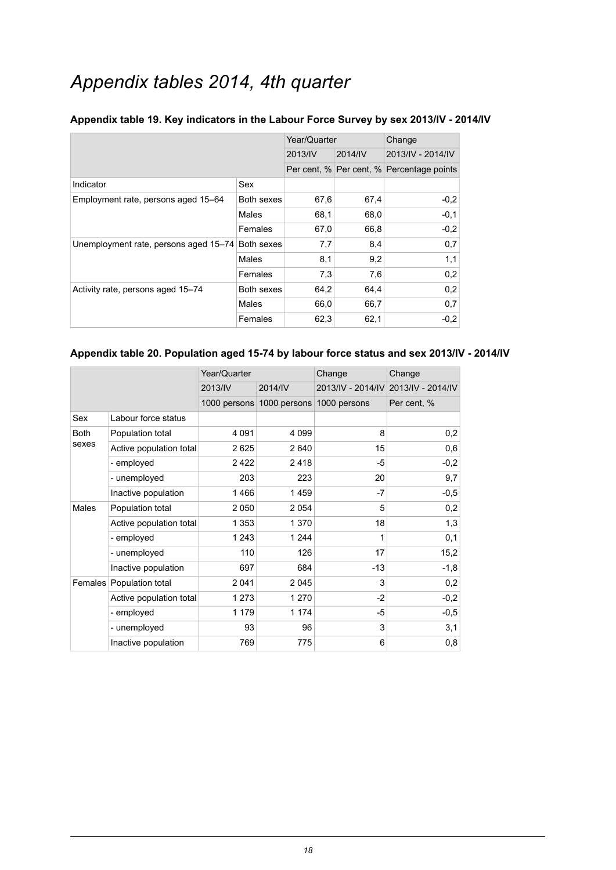## *Appendix tables 2014, 4th quarter*

|                                       |            | Year/Quarter |         | Change                                    |  |
|---------------------------------------|------------|--------------|---------|-------------------------------------------|--|
|                                       |            | 2013/IV      | 2014/IV | 2013/IV - 2014/IV                         |  |
|                                       |            |              |         | Per cent, % Per cent, % Percentage points |  |
| Indicator                             | Sex        |              |         |                                           |  |
| Employment rate, persons aged 15–64   | Both sexes | 67,6         | 67,4    | $-0,2$                                    |  |
|                                       | Males      | 68,1         | 68,0    | $-0,1$                                    |  |
|                                       | Females    | 67,0         | 66,8    | $-0,2$                                    |  |
| Unemployment rate, persons aged 15-74 | Both sexes | 7,7          | 8,4     | 0,7                                       |  |
|                                       | Males      | 8,1          | 9,2     | 1,1                                       |  |
|                                       | Females    | 7,3          | 7,6     | 0,2                                       |  |
| Activity rate, persons aged 15-74     | Both sexes | 64,2         | 64,4    | 0,2                                       |  |
|                                       | Males      | 66,0         | 66,7    | 0,7                                       |  |
|                                       | Females    | 62,3         | 62,1    | $-0,2$                                    |  |

#### <span id="page-17-0"></span>**Appendix table 19. Key indicators in the Labour Force Survey by sex 2013/IV - 2014/IV**

#### <span id="page-17-1"></span>**Appendix table 20. Population aged 15-74 by labour force status and sex 2013/IV - 2014/IV**

|              |                          | Year/Quarter |              | Change       | Change                              |
|--------------|--------------------------|--------------|--------------|--------------|-------------------------------------|
|              |                          | 2013/IV      | 2014/IV      |              | 2013/IV - 2014/IV 2013/IV - 2014/IV |
|              |                          | 1000 persons | 1000 persons | 1000 persons | Per cent, %                         |
| Sex          | Labour force status      |              |              |              |                                     |
| <b>Both</b>  | Population total         | 4 0 9 1      | 4 0 9 9      | 8            | 0,2                                 |
| sexes        | Active population total  | 2625         | 2640         | 15           | 0,6                                 |
|              | - employed               | 2422         | 2418         | -5           | $-0,2$                              |
|              | - unemployed             | 203          | 223          | 20           | 9,7                                 |
|              | Inactive population      | 1466         | 1459         | $-7$         | $-0,5$                              |
| <b>Males</b> | Population total         | 2 0 5 0      | 2054         | 5            | 0,2                                 |
|              | Active population total  | 1 353        | 1 3 7 0      | 18           | 1,3                                 |
|              | - employed               | 1 2 4 3      | 1 2 4 4      | 1            | 0,1                                 |
|              | - unemployed             | 110          | 126          | 17           | 15,2                                |
|              | Inactive population      | 697          | 684          | -13          | $-1,8$                              |
|              | Females Population total | 2 0 4 1      | 2045         | 3            | 0,2                                 |
|              | Active population total  | 1 2 7 3      | 1 2 7 0      | $-2$         | $-0,2$                              |
|              | - employed               | 1 1 7 9      | 1 1 7 4      | -5           | $-0,5$                              |
|              | - unemployed             | 93           | 96           | 3            | 3,1                                 |
|              | Inactive population      | 769          | 775          | 6            | 0,8                                 |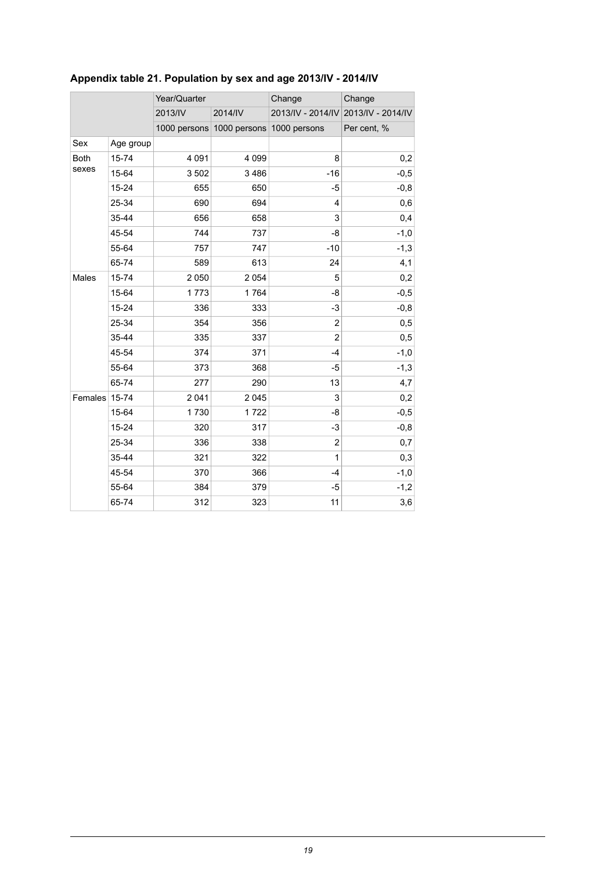|             |           | Year/Quarter |                                        | Change         | Change                              |  |
|-------------|-----------|--------------|----------------------------------------|----------------|-------------------------------------|--|
|             |           | 2013/IV      | 2014/IV                                |                | 2013/IV - 2014/IV 2013/IV - 2014/IV |  |
|             |           |              | 1000 persons 1000 persons 1000 persons |                | Per cent, %                         |  |
| Sex         | Age group |              |                                        |                |                                     |  |
| <b>Both</b> | 15-74     | 4 0 9 1      | 4 0 9 9                                | 8              | 0,2                                 |  |
| sexes       | 15-64     | 3 5 0 2      | 3 4 8 6                                | $-16$          | $-0,5$                              |  |
|             | 15-24     | 655          | 650                                    | -5             | $-0,8$                              |  |
|             | 25-34     | 690          | 694                                    | 4              | 0,6                                 |  |
|             | 35-44     | 656          | 658                                    | 3              | 0,4                                 |  |
|             | 45-54     | 744          | 737                                    | -8             | $-1,0$                              |  |
|             | 55-64     | 757          | 747                                    | $-10$          | $-1,3$                              |  |
|             | 65-74     | 589          | 613                                    | 24             | 4,1                                 |  |
| Males       | 15-74     | 2 0 5 0      | 2 0 5 4                                | 5              | 0,2                                 |  |
|             | 15-64     | 1773         | 1764                                   | -8             | $-0,5$                              |  |
|             | 15-24     | 336          | 333                                    | -3             | $-0,8$                              |  |
|             | 25-34     | 354          | 356                                    | 2              | 0,5                                 |  |
|             | 35-44     | 335          | 337                                    | $\overline{c}$ | 0,5                                 |  |
|             | 45-54     | 374          | 371                                    | $-4$           | $-1,0$                              |  |
|             | 55-64     | 373          | 368                                    | $-5$           | $-1,3$                              |  |
|             | 65-74     | 277          | 290                                    | 13             | 4,7                                 |  |
| Females     | 15-74     | 2 0 4 1      | 2 0 4 5                                | 3              | 0,2                                 |  |
|             | 15-64     | 1730         | 1722                                   | -8             | $-0,5$                              |  |
|             | 15-24     | 320          | 317                                    | $-3$           | $-0,8$                              |  |
|             | 25-34     | 336          | 338                                    | $\overline{c}$ | 0,7                                 |  |
|             | 35-44     | 321          | 322                                    | 1              | 0,3                                 |  |
|             | 45-54     | 370          | 366                                    | $-4$           | $-1,0$                              |  |
|             | 55-64     | 384          | 379                                    | -5             | $-1,2$                              |  |
|             | 65-74     | 312          | 323                                    | 11             | 3,6                                 |  |

## <span id="page-18-0"></span>**Appendix table 21. Population by sex and age 2013/IV - 2014/IV**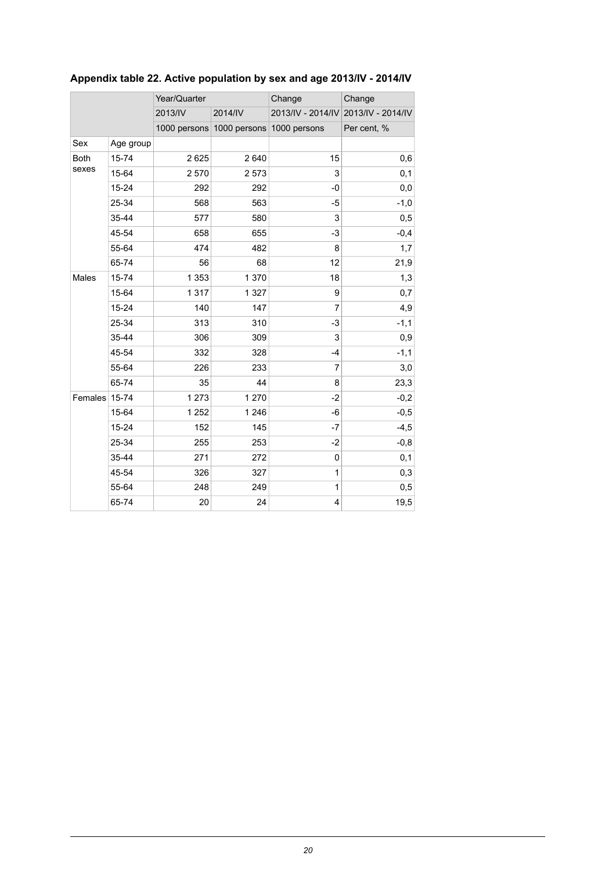|                      |           | Year/Quarter |         | Change                                 | Change                              |  |
|----------------------|-----------|--------------|---------|----------------------------------------|-------------------------------------|--|
|                      |           | 2013/IV      | 2014/IV |                                        | 2013/IV - 2014/IV 2013/IV - 2014/IV |  |
|                      |           |              |         |                                        |                                     |  |
|                      |           |              |         | 1000 persons 1000 persons 1000 persons | Per cent, %                         |  |
| Sex                  | Age group |              |         |                                        |                                     |  |
| <b>Both</b><br>sexes | 15-74     | 2625         | 2 6 4 0 | 15                                     | 0,6                                 |  |
|                      | 15-64     | 2 5 7 0      | 2 5 7 3 | 3                                      | 0,1                                 |  |
|                      | $15 - 24$ | 292          | 292     | -0                                     | 0,0                                 |  |
|                      | 25-34     | 568          | 563     | $-5$                                   | $-1,0$                              |  |
|                      | 35-44     | 577          | 580     | 3                                      | 0,5                                 |  |
|                      | 45-54     | 658          | 655     | $-3$                                   | $-0,4$                              |  |
|                      | 55-64     | 474          | 482     | 8                                      | 1,7                                 |  |
|                      | 65-74     | 56           | 68      | 12                                     | 21,9                                |  |
| Males                | 15-74     | 1 3 5 3      | 1 370   | 18                                     | 1,3                                 |  |
|                      | 15-64     | 1 3 1 7      | 1 3 2 7 | 9                                      | 0,7                                 |  |
|                      | 15-24     | 140          | 147     | $\overline{7}$                         | 4,9                                 |  |
|                      | 25-34     | 313          | 310     | -3                                     | $-1,1$                              |  |
|                      | 35-44     | 306          | 309     | 3                                      | 0,9                                 |  |
|                      | 45-54     | 332          | 328     | $-4$                                   | $-1,1$                              |  |
|                      | 55-64     | 226          | 233     | 7                                      | 3,0                                 |  |
|                      | 65-74     | 35           | 44      | 8                                      | 23,3                                |  |
| Females              | 15-74     | 1 2 7 3      | 1 270   | $-2$                                   | $-0,2$                              |  |
|                      | 15-64     | 1 2 5 2      | 1 2 4 6 | -6                                     | $-0,5$                              |  |
|                      | 15-24     | 152          | 145     | $-7$                                   | $-4,5$                              |  |
|                      | 25-34     | 255          | 253     | $-2$                                   | $-0,8$                              |  |
|                      | 35-44     | 271          | 272     | 0                                      | 0,1                                 |  |
|                      | 45-54     | 326          | 327     | 1                                      | 0,3                                 |  |
|                      | 55-64     | 248          | 249     | 1                                      | 0,5                                 |  |
|                      | 65-74     | 20           | 24      | 4                                      | 19,5                                |  |
|                      |           |              |         |                                        |                                     |  |

## <span id="page-19-0"></span>**Appendix table 22. Active population by sex and age 2013/IV - 2014/IV**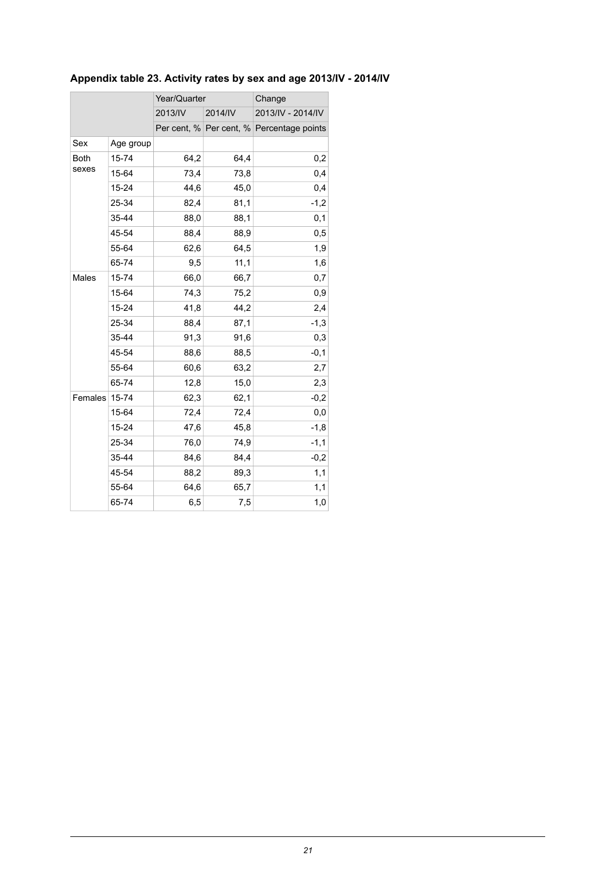| Sex<br>Age group     | 2013/IV | 2014/IV | 2013/IV - 2014/IV                         |
|----------------------|---------|---------|-------------------------------------------|
|                      |         |         |                                           |
|                      |         |         | Per cent, % Per cent, % Percentage points |
|                      |         |         |                                           |
| <b>Both</b><br>15-74 | 64,2    | 64,4    | 0,2                                       |
| sexes<br>15-64       | 73,4    | 73,8    | 0,4                                       |
| $15 - 24$            | 44,6    | 45,0    | 0,4                                       |
| 25-34                | 82,4    | 81,1    | $-1,2$                                    |
| 35-44                | 88,0    | 88,1    | 0,1                                       |
| 45-54                | 88,4    | 88,9    | 0,5                                       |
| 55-64                | 62,6    | 64,5    | 1,9                                       |
| 65-74                | 9,5     | 11,1    | 1,6                                       |
| Males<br>15-74       | 66,0    | 66,7    | 0,7                                       |
| 15-64                | 74,3    | 75,2    | 0,9                                       |
| 15-24                | 41,8    | 44,2    | 2,4                                       |
| 25-34                | 88,4    | 87,1    | $-1,3$                                    |
| 35-44                | 91,3    | 91,6    | 0,3                                       |
| 45-54                | 88,6    | 88,5    | $-0,1$                                    |
| 55-64                | 60,6    | 63,2    | 2,7                                       |
| 65-74                | 12,8    | 15,0    | 2,3                                       |
| Females<br>15-74     | 62,3    | 62,1    | $-0,2$                                    |
| 15-64                | 72,4    | 72,4    | 0,0                                       |
| 15-24                | 47,6    | 45,8    | $-1,8$                                    |
| 25-34                | 76,0    | 74,9    | $-1,1$                                    |
| 35-44                | 84,6    | 84,4    | $-0,2$                                    |
| 45-54                | 88,2    | 89,3    | 1,1                                       |
| 55-64                | 64,6    | 65,7    | 1,1                                       |
|                      | 6,5     | 7,5     | 1,0                                       |

## <span id="page-20-0"></span>**Appendix table 23. Activity rates by sex and age 2013/IV - 2014/IV**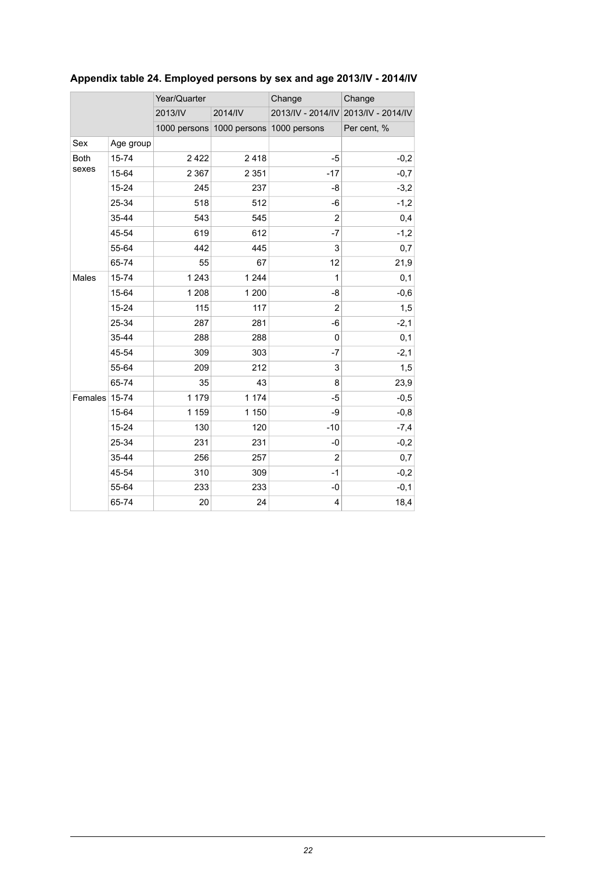|             |           | Year/Quarter |                                        | Change         | Change                              |  |
|-------------|-----------|--------------|----------------------------------------|----------------|-------------------------------------|--|
|             |           | 2013/IV      | 2014/IV                                |                | 2013/IV - 2014/IV 2013/IV - 2014/IV |  |
|             |           |              | 1000 persons 1000 persons 1000 persons |                | Per cent, %                         |  |
| Sex         | Age group |              |                                        |                |                                     |  |
| <b>Both</b> | 15-74     | 2422         | 2418                                   | $-5$           | $-0,2$                              |  |
| sexes       | 15-64     | 2 3 6 7      | 2 3 5 1                                | $-17$          | $-0,7$                              |  |
|             | $15 - 24$ | 245          | 237                                    | -8             | $-3,2$                              |  |
|             | 25-34     | 518          | 512                                    | -6             | $-1,2$                              |  |
|             | 35-44     | 543          | 545                                    | $\overline{c}$ | 0,4                                 |  |
|             | 45-54     | 619          | 612                                    | $-7$           | $-1,2$                              |  |
|             | 55-64     | 442          | 445                                    | 3              | 0,7                                 |  |
|             | 65-74     | 55           | 67                                     | 12             | 21,9                                |  |
| Males       | 15-74     | 1 2 4 3      | 1 2 4 4                                | 1              | 0,1                                 |  |
|             | 15-64     | 1 2 0 8      | 1 200                                  | -8             | $-0,6$                              |  |
|             | 15-24     | 115          | 117                                    | $\overline{c}$ | 1,5                                 |  |
|             | 25-34     | 287          | 281                                    | -6             | $-2,1$                              |  |
|             | 35-44     | 288          | 288                                    | 0              | 0,1                                 |  |
|             | 45-54     | 309          | 303                                    | $-7$           | $-2,1$                              |  |
|             | 55-64     | 209          | 212                                    | 3              | 1,5                                 |  |
|             | 65-74     | 35           | 43                                     | 8              | 23,9                                |  |
| Females     | 15-74     | 1 1 7 9      | 1 174                                  | -5             | $-0,5$                              |  |
|             | 15-64     | 1 1 5 9      | 1 150                                  | -9             | $-0,8$                              |  |
|             | 15-24     | 130          | 120                                    | $-10$          | $-7,4$                              |  |
|             | 25-34     | 231          | 231                                    | $-0$           | $-0,2$                              |  |
|             | 35-44     | 256          | 257                                    | 2              | 0,7                                 |  |
|             | 45-54     | 310          | 309                                    | $-1$           | $-0,2$                              |  |
|             | 55-64     | 233          | 233                                    | -0             | $-0,1$                              |  |
|             | 65-74     | 20           | 24                                     | 4              | 18,4                                |  |

## <span id="page-21-0"></span>**Appendix table 24. Employed persons by sex and age 2013/IV - 2014/IV**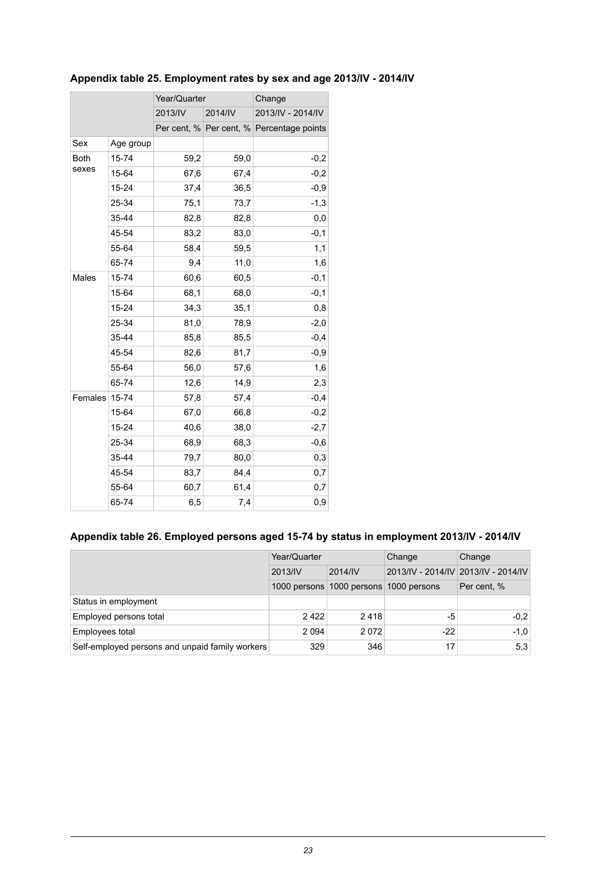|         |           | Year/Quarter |         | Change                                    |  |
|---------|-----------|--------------|---------|-------------------------------------------|--|
|         |           | 2013/IV      | 2014/IV | 2013/IV - 2014/IV                         |  |
|         |           |              |         | Per cent, % Per cent, % Percentage points |  |
| Sex     | Age group |              |         |                                           |  |
| Both    | 15-74     | 59,2         | 59,0    | $-0,2$                                    |  |
| sexes   | 15-64     | 67,6         | 67,4    | $-0,2$                                    |  |
|         | 15-24     | 37,4         | 36,5    | $-0,9$                                    |  |
|         | 25-34     | 75,1         | 73,7    | $-1,3$                                    |  |
|         | 35-44     | 82,8         | 82,8    | 0,0                                       |  |
|         | 45-54     | 83,2         | 83,0    | $-0,1$                                    |  |
|         | 55-64     | 58,4         | 59,5    | 1,1                                       |  |
|         | 65-74     | 9,4          | 11,0    | 1,6                                       |  |
| Males   | 15-74     | 60,6         | 60,5    | $-0,1$                                    |  |
|         | 15-64     | 68,1         | 68,0    | $-0,1$                                    |  |
|         | 15-24     | 34,3         | 35,1    | 0,8                                       |  |
|         | 25-34     | 81,0         | 78,9    | $-2,0$                                    |  |
|         | 35-44     | 85,8         | 85,5    | $-0,4$                                    |  |
|         | 45-54     | 82,6         | 81,7    | $-0,9$                                    |  |
|         | 55-64     | 56,0         | 57,6    | 1,6                                       |  |
|         | 65-74     | 12,6         | 14,9    | 2,3                                       |  |
| Females | 15-74     | 57,8         | 57,4    | $-0,4$                                    |  |
|         | 15-64     | 67,0         | 66,8    | $-0,2$                                    |  |
|         | 15-24     | 40,6         | 38,0    | $-2,7$                                    |  |
|         | 25-34     | 68,9         | 68,3    | $-0,6$                                    |  |
|         | 35-44     | 79,7         | 80,0    | 0,3                                       |  |
|         | 45-54     | 83,7         | 84,4    | 0,7                                       |  |
|         | 55-64     | 60,7         | 61,4    | 0,7                                       |  |
|         | 65-74     | 6,5          | 7,4     | 0,9                                       |  |

## <span id="page-22-0"></span>**Appendix table 25. Employment rates by sex and age 2013/IV - 2014/IV**

### <span id="page-22-1"></span>**Appendix table 26. Employed persons aged 15-74 by status in employment 2013/IV - 2014/IV**

|                                                 | Year/Quarter |                                        | Change                              | Change      |
|-------------------------------------------------|--------------|----------------------------------------|-------------------------------------|-------------|
|                                                 | 2013/IV      | 2014/IV                                | 2013/IV - 2014/IV 2013/IV - 2014/IV |             |
|                                                 |              | 1000 persons 1000 persons 1000 persons |                                     | Per cent, % |
| Status in employment                            |              |                                        |                                     |             |
| Employed persons total                          | 2422         | 2418                                   | -5                                  | $-0.2$      |
| Employees total                                 | 2 0 9 4      | 2072                                   | $-22$                               | $-1.0$      |
| Self-employed persons and unpaid family workers | 329          | 346                                    | 17                                  | 5.3         |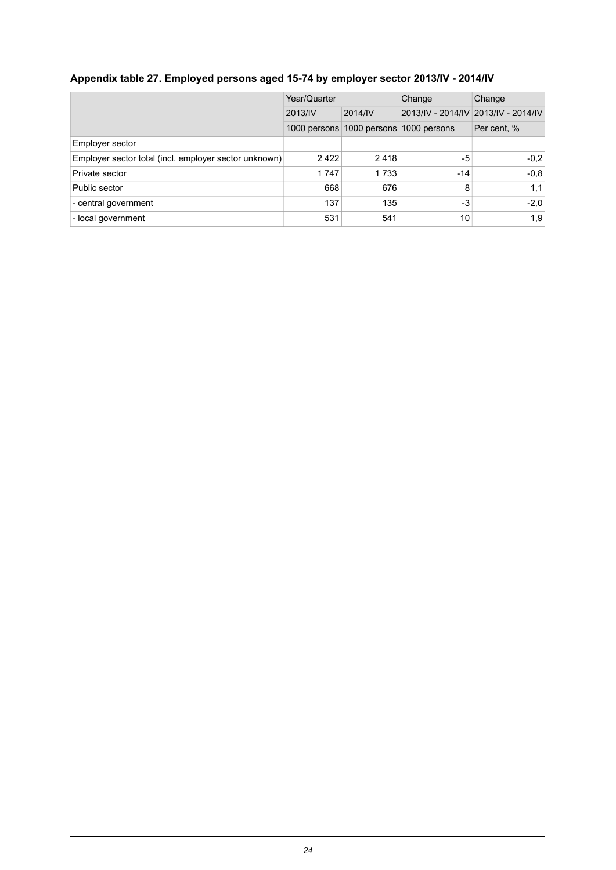## <span id="page-23-0"></span>**Appendix table 27. Employed persons aged 15-74 by employer sector 2013/IV - 2014/IV**

|                                                       | Year/Quarter |                           | Change       | Change                              |
|-------------------------------------------------------|--------------|---------------------------|--------------|-------------------------------------|
|                                                       | 2013/IV      | 2014/IV                   |              | 2013/IV - 2014/IV 2013/IV - 2014/IV |
|                                                       |              | 1000 persons 1000 persons | 1000 persons | Per cent, %                         |
| Employer sector                                       |              |                           |              |                                     |
| Employer sector total (incl. employer sector unknown) | 2422         | 2418                      | -5           | $-0.2$                              |
| Private sector                                        | 1747         | 1 7 3 3                   | -14          | $-0.8$                              |
| Public sector                                         | 668          | 676                       | 8            | 1,1                                 |
| - central government                                  | 137          | 135                       | -3           | $-2,0$                              |
| - local government                                    | 531          | 541                       | 10           | 1,9                                 |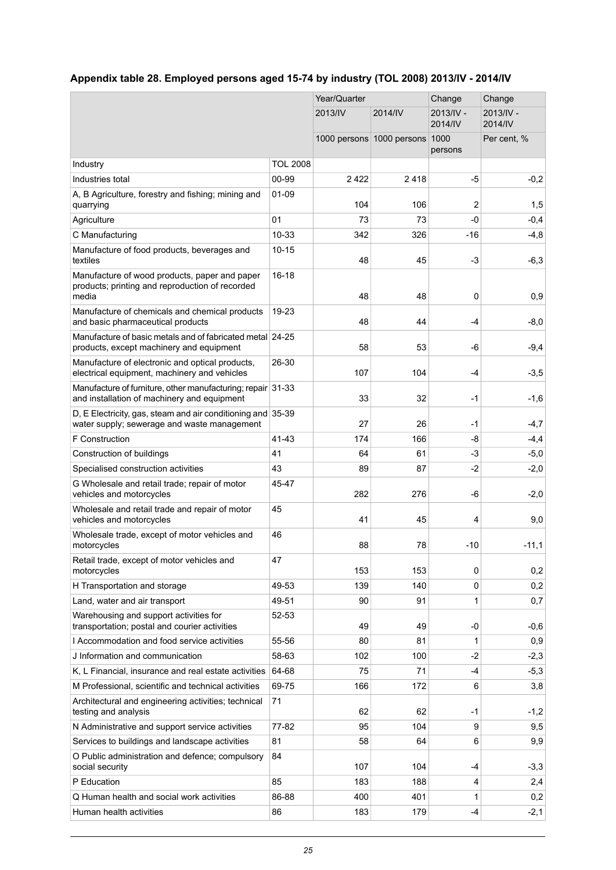## <span id="page-24-0"></span>**Appendix table 28. Employed persons aged 15-74 by industry (TOL 2008) 2013/IV - 2014/IV**

|                                                                                                            |                 | Year/Quarter |                           | Change               | Change               |
|------------------------------------------------------------------------------------------------------------|-----------------|--------------|---------------------------|----------------------|----------------------|
|                                                                                                            |                 | 2013/IV      | 2014/IV                   | 2013/IV -<br>2014/IV | 2013/IV -<br>2014/IV |
|                                                                                                            |                 |              | 1000 persons 1000 persons | 1000<br>persons      | Per cent, %          |
| Industry                                                                                                   | <b>TOL 2008</b> |              |                           |                      |                      |
| Industries total                                                                                           | 00-99           | 2422         | 2418                      | -5                   | $-0,2$               |
| A, B Agriculture, forestry and fishing; mining and<br>quarrying                                            | $01 - 09$       | 104          | 106                       | 2                    | 1,5                  |
| Agriculture                                                                                                | 01              | 73           | 73                        | $-0$                 | $-0,4$               |
| C Manufacturing                                                                                            | 10-33           | 342          | 326                       | -16                  | $-4,8$               |
| Manufacture of food products, beverages and<br>textiles                                                    | $10 - 15$       | 48           | 45                        | $-3$                 | $-6,3$               |
| Manufacture of wood products, paper and paper<br>products; printing and reproduction of recorded<br>media  | $16 - 18$       | 48           | 48                        | 0                    | 0,9                  |
| Manufacture of chemicals and chemical products<br>and basic pharmaceutical products                        | 19-23           | 48           | 44                        | -4                   | $-8,0$               |
| Manufacture of basic metals and of fabricated metal 24-25<br>products, except machinery and equipment      |                 | 58           | 53                        | -6                   | $-9,4$               |
| Manufacture of electronic and optical products,<br>electrical equipment, machinery and vehicles            | 26-30           | 107          | 104                       | -4                   | $-3,5$               |
| Manufacture of furniture, other manufacturing; repair 31-33<br>and installation of machinery and equipment |                 | 33           | 32                        | $-1$                 | $-1,6$               |
| D, E Electricity, gas, steam and air conditioning and 35-39<br>water supply; sewerage and waste management |                 | 27           | 26                        | $-1$                 | $-4,7$               |
| F Construction                                                                                             | 41-43           | 174          | 166                       | -8                   | $-4,4$               |
| Construction of buildings                                                                                  | 41              | 64           | 61                        | $-3$                 | $-5,0$               |
| Specialised construction activities                                                                        | 43              | 89           | 87                        | $-2$                 | $-2,0$               |
| G Wholesale and retail trade; repair of motor<br>vehicles and motorcycles                                  | 45-47           | 282          | 276                       | -6                   | $-2,0$               |
| Wholesale and retail trade and repair of motor<br>vehicles and motorcycles                                 | 45              | 41           | 45                        | 4                    | 9,0                  |
| Wholesale trade, except of motor vehicles and<br>motorcycles                                               | 46              | 88           | 78                        | $-10$                | $-11,1$              |
| Retail trade, except of motor vehicles and<br>motorcycles                                                  | 47              | 153          | 153                       | 0                    | 0,2                  |
| H Transportation and storage                                                                               | 49-53           | 139          | 140                       | 0                    | 0,2                  |
| Land, water and air transport                                                                              | 49-51           | 90           | 91                        | 1                    | 0,7                  |
| Warehousing and support activities for<br>transportation; postal and courier activities                    | 52-53           | 49           | 49                        | -0                   | $-0,6$               |
| I Accommodation and food service activities                                                                | 55-56           | 80           | 81                        | 1                    | 0,9                  |
| J Information and communication                                                                            | 58-63           | 102          | 100                       | -2                   | $-2,3$               |
| K, L Financial, insurance and real estate activities                                                       | 64-68           | 75           | 71                        | -4                   | $-5,3$               |
| M Professional, scientific and technical activities                                                        | 69-75           | 166          | 172                       | 6                    | 3,8                  |
| Architectural and engineering activities; technical<br>testing and analysis                                | 71              | 62           | 62                        | -1                   | $-1,2$               |
| N Administrative and support service activities                                                            | 77-82           | 95           | 104                       | 9                    | 9,5                  |
| Services to buildings and landscape activities                                                             | 81              | 58           | 64                        | 6                    | 9,9                  |
| O Public administration and defence; compulsory<br>social security                                         | 84              | 107          | 104                       | -4                   | $-3,3$               |
| P Education                                                                                                | 85              | 183          | 188                       | 4                    | 2,4                  |
| Q Human health and social work activities                                                                  | 86-88           | 400          | 401                       | 1                    | 0,2                  |
| Human health activities                                                                                    | 86              | 183          | 179                       | -4                   | $-2,1$               |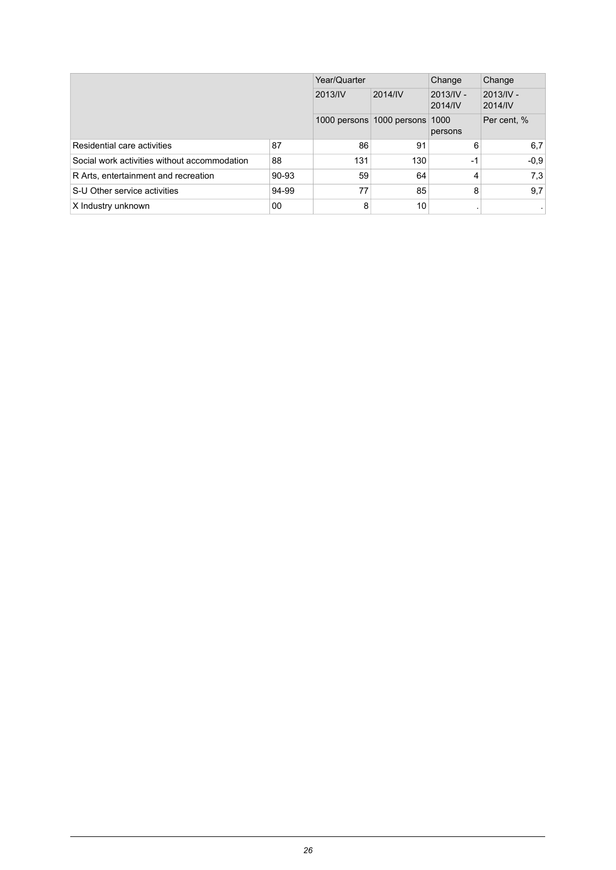|                                              | Year/Quarter |     | Change                    | Change               |                      |
|----------------------------------------------|--------------|-----|---------------------------|----------------------|----------------------|
|                                              | 2013/IV      |     | 2014/IV                   | 2013/IV -<br>2014/IV | 2013/IV -<br>2014/IV |
|                                              |              |     | 1000 persons 1000 persons | 1000<br>persons      | Per cent, %          |
| Residential care activities                  | 87           | 86  | 91                        | 6                    | 6,7                  |
| Social work activities without accommodation | 88           | 131 | 130                       | $-1$                 | $-0.9$               |
| R Arts, entertainment and recreation         | 90-93        | 59  | 64                        | 4                    | 7,3                  |
| S-U Other service activities                 | 94-99        | 77  | 85                        | 8                    | 9,7                  |
| X Industry unknown                           | 00           | 8   | 10                        |                      |                      |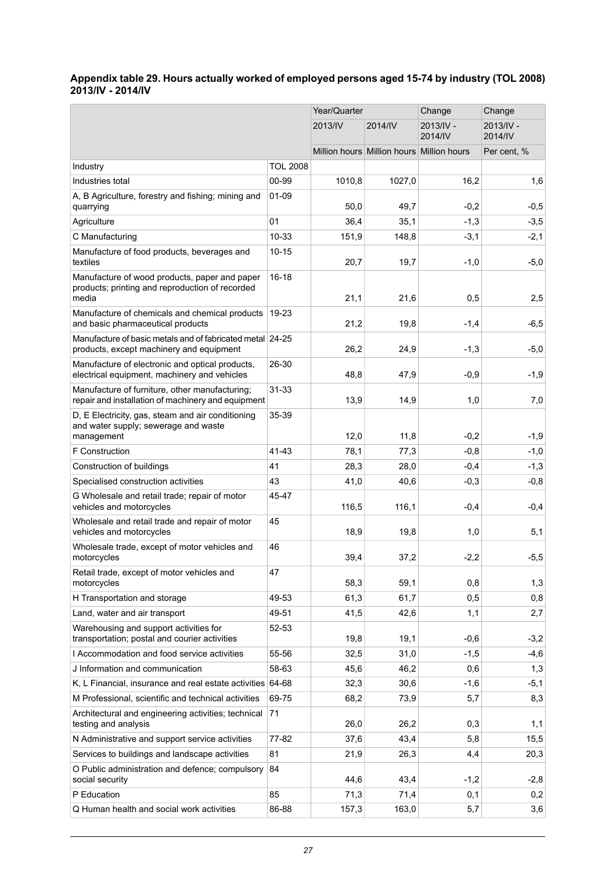#### <span id="page-26-0"></span>**Appendix table 29. Hours actually worked of employed persons aged 15-74 by industry (TOL 2008) 2013/IV - 2014/IV**

|                                                                                                           |                 | Year/Quarter |                                           | Change               | Change               |
|-----------------------------------------------------------------------------------------------------------|-----------------|--------------|-------------------------------------------|----------------------|----------------------|
|                                                                                                           |                 | 2013/IV      | 2014/IV                                   | 2013/IV -<br>2014/IV | 2013/IV -<br>2014/IV |
|                                                                                                           |                 |              | Million hours Million hours Million hours |                      | Per cent, %          |
| Industry                                                                                                  | <b>TOL 2008</b> |              |                                           |                      |                      |
| Industries total                                                                                          | 00-99           | 1010,8       | 1027,0                                    | 16,2                 | 1,6                  |
| A, B Agriculture, forestry and fishing; mining and<br>quarrying                                           | $01 - 09$       | 50,0         | 49,7                                      | $-0,2$               | $-0,5$               |
| Agriculture                                                                                               | 01              | 36,4         | 35.1                                      | $-1,3$               | $-3,5$               |
| C Manufacturing                                                                                           | 10-33           | 151,9        | 148,8                                     | $-3,1$               | $-2,1$               |
| Manufacture of food products, beverages and<br>textiles                                                   | $10 - 15$       | 20,7         | 19,7                                      | $-1,0$               | $-5,0$               |
| Manufacture of wood products, paper and paper<br>products; printing and reproduction of recorded<br>media | $16 - 18$       | 21,1         | 21,6                                      | 0,5                  | 2,5                  |
| Manufacture of chemicals and chemical products<br>and basic pharmaceutical products                       | 19-23           | 21,2         | 19,8                                      | $-1,4$               | $-6,5$               |
| Manufacture of basic metals and of fabricated metal 24-25                                                 |                 |              |                                           |                      |                      |
| products, except machinery and equipment                                                                  |                 | 26,2         | 24,9                                      | $-1,3$               | $-5,0$               |
| Manufacture of electronic and optical products,<br>electrical equipment, machinery and vehicles           | 26-30           | 48,8         | 47,9                                      | $-0,9$               | $-1,9$               |
| Manufacture of furniture, other manufacturing;<br>repair and installation of machinery and equipment      | $31 - 33$       | 13,9         | 14,9                                      | 1,0                  | 7,0                  |
| D, E Electricity, gas, steam and air conditioning<br>and water supply; sewerage and waste<br>management   | 35-39           | 12,0         | 11,8                                      | $-0,2$               | $-1,9$               |
| F Construction                                                                                            | 41-43           | 78,1         | 77,3                                      | $-0,8$               | $-1,0$               |
| Construction of buildings                                                                                 | 41              | 28,3         | 28,0                                      | $-0,4$               | $-1,3$               |
| Specialised construction activities                                                                       | 43              | 41,0         | 40,6                                      | $-0,3$               | $-0,8$               |
| G Wholesale and retail trade; repair of motor<br>vehicles and motorcycles                                 | 45-47           | 116,5        | 116,1                                     | $-0,4$               | $-0,4$               |
| Wholesale and retail trade and repair of motor<br>vehicles and motorcycles                                | 45              | 18,9         | 19,8                                      | 1,0                  | 5,1                  |
| Wholesale trade, except of motor vehicles and<br>motorcycles                                              | 46              | 39,4         | 37,2                                      | $-2,2$               | $-5,5$               |
| Retail trade, except of motor vehicles and<br>motorcycles                                                 | 47              | 58,3         | 59,1                                      | 0,8                  | 1,3                  |
| H Transportation and storage                                                                              | 49-53           | 61,3         | 61,7                                      | 0,5                  | 0,8                  |
| Land, water and air transport                                                                             | 49-51           | 41,5         | 42,6                                      | 1,1                  | 2,7                  |
| Warehousing and support activities for<br>transportation; postal and courier activities                   | 52-53           | 19,8         | 19,1                                      | $-0,6$               | $-3,2$               |
| I Accommodation and food service activities                                                               | 55-56           | 32,5         | 31,0                                      | $-1,5$               | $-4,6$               |
| J Information and communication                                                                           | 58-63           | 45,6         | 46,2                                      | 0,6                  | 1,3                  |
| K, L Financial, insurance and real estate activities 64-68                                                |                 | 32,3         | 30,6                                      | $-1,6$               | $-5,1$               |
| M Professional, scientific and technical activities                                                       | 69-75           | 68,2         | 73,9                                      | 5,7                  | 8,3                  |
| Architectural and engineering activities; technical<br>testing and analysis                               | 71              | 26,0         | 26,2                                      | 0,3                  | 1,1                  |
| N Administrative and support service activities                                                           | 77-82           | 37,6         | 43,4                                      | 5,8                  | 15,5                 |
| Services to buildings and landscape activities                                                            | 81              | 21,9         | 26,3                                      | 4,4                  | 20,3                 |
| O Public administration and defence; compulsory<br>social security                                        | 84              | 44,6         | 43,4                                      | $-1,2$               | $-2,8$               |
| P Education                                                                                               | 85              | 71,3         | 71,4                                      | 0,1                  | 0,2                  |
| Q Human health and social work activities                                                                 | 86-88           | 157,3        | 163,0                                     | 5,7                  | 3,6                  |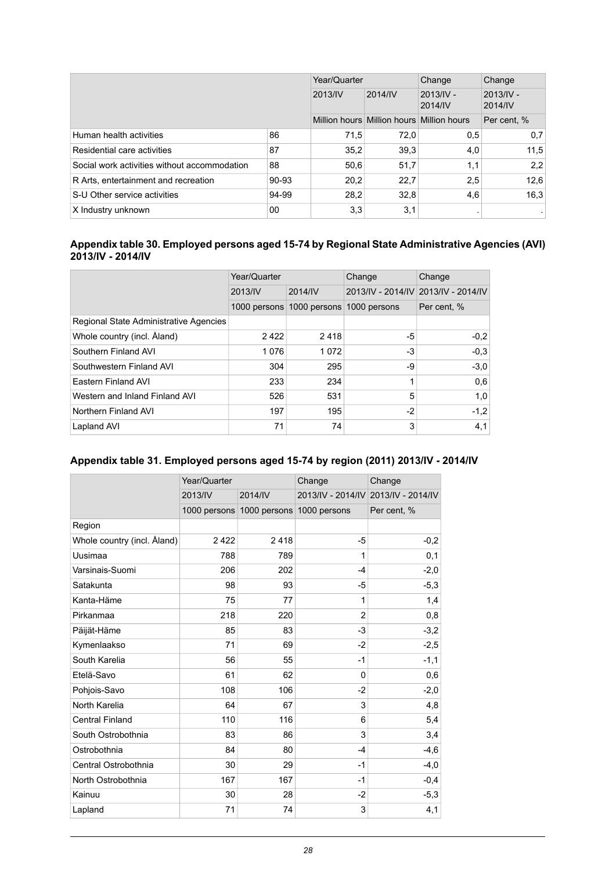|                                              |       | Year/Quarter |                                           | Change               | Change                 |
|----------------------------------------------|-------|--------------|-------------------------------------------|----------------------|------------------------|
|                                              |       | 2013/IV      | 2014/IV                                   | 2013/IV -<br>2014/IV | $2013/IV -$<br>2014/IV |
|                                              |       |              | Million hours Million hours Million hours |                      | Per cent, %            |
| Human health activities                      | 86    | 71.5         | 72.0                                      | 0,5                  | 0,7                    |
| Residential care activities                  | 87    | 35.2         | 39,3                                      | 4,0                  | 11.5                   |
| Social work activities without accommodation | 88    | 50,6         | 51,7                                      | 1,1                  | 2,2                    |
| R Arts, entertainment and recreation         | 90-93 | 20,2         | 22,7                                      | 2,5                  | 12,6                   |
| S-U Other service activities                 | 94-99 | 28.2         | 32.8                                      | 4,6                  | 16,3                   |
| X Industry unknown                           | 00    | 3,3          | 3,1                                       |                      |                        |

#### <span id="page-27-0"></span>**Appendix table 30. Employed persons aged 15-74 by Regional State Administrative Agencies (AVI) 2013/IV - 2014/IV**

|                                        | Year/Quarter |                           | Change       | Change                              |  |
|----------------------------------------|--------------|---------------------------|--------------|-------------------------------------|--|
|                                        | 2013/IV      | 2014/IV                   |              | 2013/IV - 2014/IV 2013/IV - 2014/IV |  |
|                                        |              | 1000 persons 1000 persons | 1000 persons | Per cent, %                         |  |
| Regional State Administrative Agencies |              |                           |              |                                     |  |
| Whole country (incl. Aland)            | 2422         | 2418                      | -5           | $-0.2$                              |  |
| Southern Finland AVI                   | 1076         | 1072                      | $-3$         | $-0.3$                              |  |
| Southwestern Finland AVI               | 304          | 295                       | -9           | $-3.0$                              |  |
| Eastern Finland AVI                    | 233          | 234                       |              | 0.6                                 |  |
| Western and Inland Finland AVI         | 526          | 531                       | 5            | 1,0                                 |  |
| Northern Finland AVI                   | 197          | 195                       | $-2$         | $-1,2$                              |  |
| Lapland AVI                            | 71           | 74                        | 3            | 4,1                                 |  |

### <span id="page-27-1"></span>**Appendix table 31. Employed persons aged 15-74 by region (2011) 2013/IV - 2014/IV**

|                             | Year/Quarter |                           | Change         | Change                              |  |
|-----------------------------|--------------|---------------------------|----------------|-------------------------------------|--|
|                             | 2013/IV      | 2014/IV                   |                | 2013/IV - 2014/IV 2013/IV - 2014/IV |  |
|                             |              | 1000 persons 1000 persons | 1000 persons   | Per cent, %                         |  |
| Region                      |              |                           |                |                                     |  |
| Whole country (incl. Åland) | 2422         | 2418                      | -5             | $-0,2$                              |  |
| Uusimaa                     | 788          | 789                       | 1              | 0,1                                 |  |
| Varsinais-Suomi             | 206          | 202                       | $-4$           | $-2,0$                              |  |
| Satakunta                   | 98           | 93                        | -5             | $-5,3$                              |  |
| Kanta-Häme                  | 75           | 77                        | 1              | 1,4                                 |  |
| Pirkanmaa                   | 218          | 220                       | $\overline{2}$ | 0,8                                 |  |
| Päijät-Häme                 | 85           | 83                        | $-3$           | $-3,2$                              |  |
| Kymenlaakso                 | 71           | 69                        | $-2$           | $-2,5$                              |  |
| South Karelia               | 56           | 55                        | $-1$           | $-1,1$                              |  |
| Etelä-Savo                  | 61           | 62                        | $\Omega$       | 0,6                                 |  |
| Pohjois-Savo                | 108          | 106                       | $-2$           | $-2,0$                              |  |
| North Karelia               | 64           | 67                        | 3              | 4,8                                 |  |
| <b>Central Finland</b>      | 110          | 116                       | 6              | 5,4                                 |  |
| South Ostrobothnia          | 83           | 86                        | 3              | 3,4                                 |  |
| Ostrobothnia                | 84           | 80                        | $-4$           | $-4,6$                              |  |
| Central Ostrobothnia        | 30           | 29                        | $-1$           | $-4,0$                              |  |
| North Ostrobothnia          | 167          | 167                       | $-1$           | $-0,4$                              |  |
| Kainuu                      | 30           | 28                        | $-2$           | $-5,3$                              |  |
| Lapland                     | 71           | 74                        | 3              | 4,1                                 |  |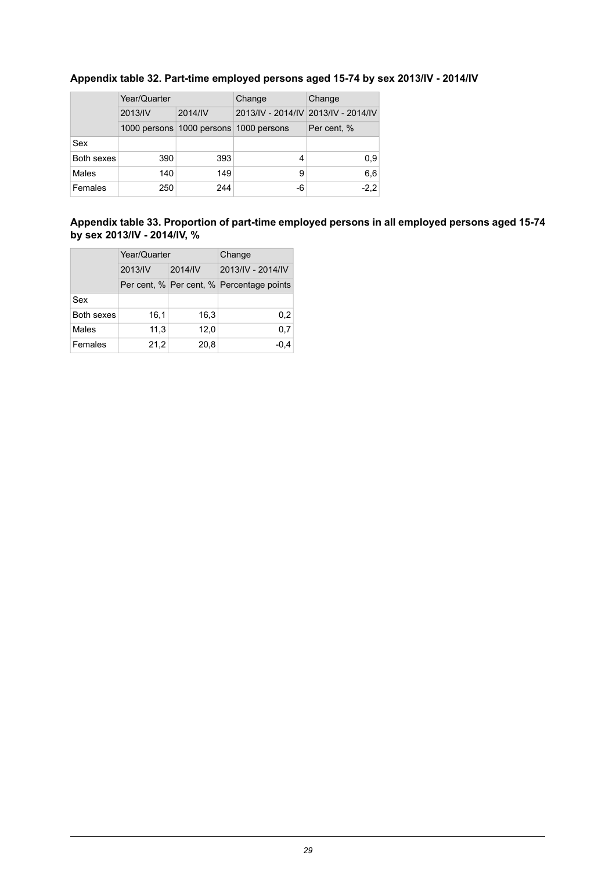|            | Year/Quarter |                                        | Change | Change                              |  |
|------------|--------------|----------------------------------------|--------|-------------------------------------|--|
|            | 2013/IV      | 2014/IV                                |        | 2013/IV - 2014/IV 2013/IV - 2014/IV |  |
|            |              | 1000 persons 1000 persons 1000 persons |        | Per cent, %                         |  |
| Sex        |              |                                        |        |                                     |  |
| Both sexes | 390          | 393                                    | 4      | 0,9                                 |  |
| Males      | 140          | 149                                    | 9      | 6,6                                 |  |
| Females    | 250          | 244                                    | -6     | $-2,2$                              |  |

## <span id="page-28-0"></span>**Appendix table 32. Part-time employed persons aged 15-74 by sex 2013/IV - 2014/IV**

#### <span id="page-28-1"></span>**Appendix table 33. Proportion of part-time employed persons in all employed persons aged 15-74 by sex 2013/IV - 2014/IV, %**

|            | Year/Quarter |         | Change                                    |  |
|------------|--------------|---------|-------------------------------------------|--|
|            | 2013/IV      | 2014/IV | 2013/IV - 2014/IV                         |  |
|            |              |         | Per cent, % Per cent, % Percentage points |  |
| Sex        |              |         |                                           |  |
| Both sexes | 16,1         | 16,3    | 0,2                                       |  |
| Males      | 11,3         | 12,0    | 0,7                                       |  |
| Females    | 21,2         | 20,8    | $-0,4$                                    |  |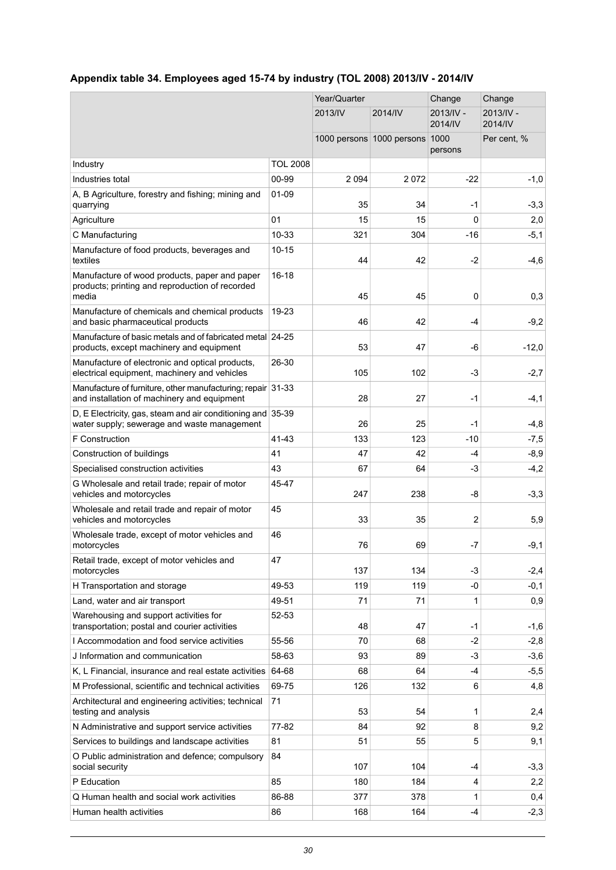## <span id="page-29-0"></span>**Appendix table 34. Employees aged 15-74 by industry (TOL 2008) 2013/IV - 2014/IV**

|                                                                                                                |                 | Year/Quarter |                                | Change               | Change               |
|----------------------------------------------------------------------------------------------------------------|-----------------|--------------|--------------------------------|----------------------|----------------------|
|                                                                                                                |                 | 2013/IV      | 2014/IV                        | 2013/IV -<br>2014/IV | 2013/IV -<br>2014/IV |
|                                                                                                                |                 |              | 1000 persons 1000 persons 1000 | persons              | Per cent, %          |
| Industry                                                                                                       | <b>TOL 2008</b> |              |                                |                      |                      |
| Industries total                                                                                               | 00-99           | 2 0 9 4      | 2072                           | -22                  | $-1,0$               |
| A, B Agriculture, forestry and fishing; mining and<br>quarrying                                                | 01-09           | 35           | 34                             | -1                   | $-3,3$               |
| Agriculture                                                                                                    | 01              | 15           | 15                             | 0                    | 2,0                  |
| C Manufacturing                                                                                                | 10-33           | 321          | 304                            | $-16$                | $-5,1$               |
| Manufacture of food products, beverages and<br>textiles                                                        | $10 - 15$       | 44           | 42                             | $-2$                 | $-4,6$               |
| Manufacture of wood products, paper and paper<br>products; printing and reproduction of recorded<br>media      | $16 - 18$       | 45           | 45                             | $\mathbf{0}$         | 0,3                  |
| Manufacture of chemicals and chemical products<br>and basic pharmaceutical products                            | 19-23           | 46           | 42                             | -4                   | $-9,2$               |
| Manufacture of basic metals and of fabricated metal 24-25<br>products, except machinery and equipment          |                 | 53           | 47                             | -6                   | $-12,0$              |
| Manufacture of electronic and optical products,<br>electrical equipment, machinery and vehicles                | 26-30           | 105          | 102                            | $-3$                 | $-2,7$               |
| Manufacture of furniture, other manufacturing; repair 31-33<br>and installation of machinery and equipment     |                 | 28           | 27                             | $-1$                 | $-4,1$               |
| D, E Electricity, gas, steam and air conditioning and $ 35-39 $<br>water supply; sewerage and waste management |                 | 26           | 25                             | $-1$                 | $-4,8$               |
| F Construction                                                                                                 | 41-43           | 133          | 123                            | -10                  | $-7,5$               |
| Construction of buildings                                                                                      | 41              | 47           | 42                             | $-4$                 | $-8,9$               |
| Specialised construction activities                                                                            | 43              | 67           | 64                             | -3                   | $-4,2$               |
| G Wholesale and retail trade; repair of motor<br>vehicles and motorcycles                                      | 45-47           | 247          | 238                            | -8                   | $-3,3$               |
| Wholesale and retail trade and repair of motor<br>vehicles and motorcycles                                     | 45              | 33           | 35                             | 2                    | 5,9                  |
| Wholesale trade, except of motor vehicles and<br>motorcycles                                                   | 46              | 76           | 69                             | -7                   | $-9,1$               |
| Retail trade, except of motor vehicles and<br>motorcycles                                                      | 47              | 137          | 134                            | -3                   | $-2,4$               |
| H Transportation and storage                                                                                   | 49-53           | 119          | 119                            | -0                   | $-0,1$               |
| Land, water and air transport                                                                                  | 49-51           | 71           | 71                             | 1                    | 0,9                  |
| Warehousing and support activities for<br>transportation; postal and courier activities                        | 52-53           | 48           | 47                             | -1                   | $-1,6$               |
| I Accommodation and food service activities                                                                    | 55-56           | 70           | 68                             | $-2$                 | $-2,8$               |
| J Information and communication                                                                                | 58-63           | 93           | 89                             | -3                   | $-3,6$               |
| K, L Financial, insurance and real estate activities                                                           | 64-68           | 68           | 64                             | $-4$                 | $-5,5$               |
| M Professional, scientific and technical activities                                                            | 69-75           | 126          | 132                            | 6                    | 4,8                  |
| Architectural and engineering activities; technical<br>testing and analysis                                    | 71              | 53           | 54                             | 1                    | 2,4                  |
| N Administrative and support service activities                                                                | 77-82           | 84           | 92                             | 8                    | 9,2                  |
| Services to buildings and landscape activities                                                                 | 81              | 51           | 55                             | 5                    | 9,1                  |
| O Public administration and defence; compulsory<br>social security                                             | 84              | 107          | 104                            | -4                   | $-3,3$               |
| P Education                                                                                                    | 85              | 180          | 184                            | 4                    | 2,2                  |
| Q Human health and social work activities                                                                      | 86-88           | 377          | 378                            | 1                    | 0,4                  |
| Human health activities                                                                                        | 86              | 168          | 164                            | -4                   | $-2,3$               |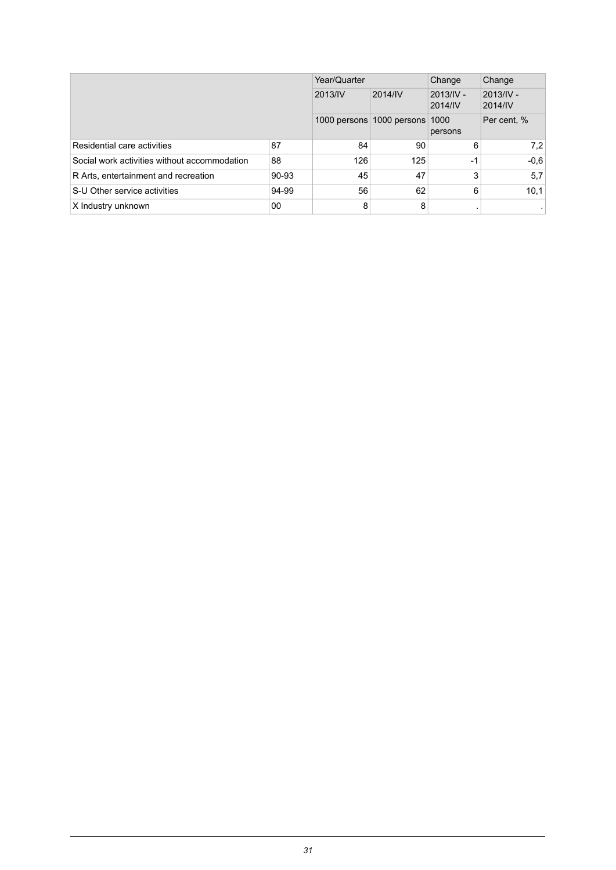|                                              |       | Year/Quarter |                                | Change                 | Change                 |
|----------------------------------------------|-------|--------------|--------------------------------|------------------------|------------------------|
|                                              |       | 2013/IV      | 2014/IV                        | $2013/IV -$<br>2014/IV | $2013/IV -$<br>2014/IV |
|                                              |       |              | 1000 persons 1000 persons 1000 | persons                | Per cent, %            |
| Residential care activities                  | 87    | 84           | 90                             | 6                      | 7,2                    |
| Social work activities without accommodation | 88    | 126          | 125                            | $-1$                   | $-0.6$                 |
| R Arts, entertainment and recreation         | 90-93 | 45           | 47                             | 3                      | 5,7                    |
| S-U Other service activities                 | 94-99 | 56           | 62                             | 6                      | 10,1                   |
| X Industry unknown                           | 00    | 8            | 8                              |                        |                        |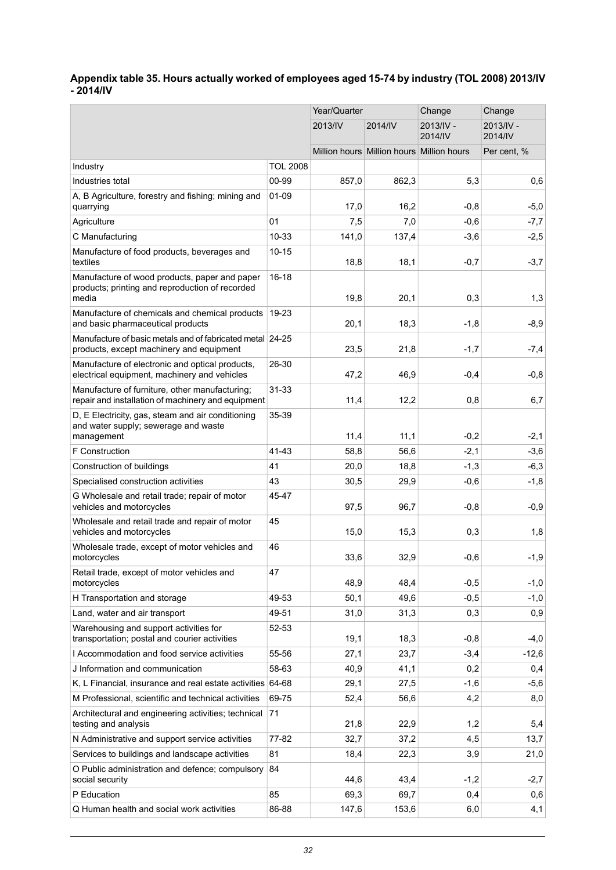#### <span id="page-31-0"></span>**Appendix table 35. Hours actually worked of employees aged 15-74 by industry (TOL 2008) 2013/IV - 2014/IV**

|                                                                                                           |                 | Year/Quarter |                                           | Change               | Change                 |
|-----------------------------------------------------------------------------------------------------------|-----------------|--------------|-------------------------------------------|----------------------|------------------------|
|                                                                                                           |                 | 2013/IV      | 2014/IV                                   | 2013/IV -<br>2014/IV | $2013/IV -$<br>2014/IV |
|                                                                                                           |                 |              | Million hours Million hours Million hours |                      | Per cent, %            |
| Industry                                                                                                  | <b>TOL 2008</b> |              |                                           |                      |                        |
| Industries total                                                                                          | 00-99           | 857,0        | 862.3                                     | 5,3                  | 0,6                    |
| A, B Agriculture, forestry and fishing; mining and<br>quarrying                                           | 01-09           | 17,0         | 16,2                                      | $-0,8$               | $-5,0$                 |
| Agriculture                                                                                               | 01              | 7,5          | 7,0                                       | $-0,6$               | $-7,7$                 |
| C Manufacturing                                                                                           | 10-33           | 141,0        | 137,4                                     | $-3,6$               | $-2,5$                 |
| Manufacture of food products, beverages and<br>textiles                                                   | $10 - 15$       | 18,8         | 18,1                                      | $-0,7$               | $-3,7$                 |
| Manufacture of wood products, paper and paper<br>products; printing and reproduction of recorded<br>media | $16 - 18$       | 19,8         | 20,1                                      | 0,3                  | 1,3                    |
| Manufacture of chemicals and chemical products<br>and basic pharmaceutical products                       | 19-23           | 20,1         | 18,3                                      | $-1,8$               | $-8,9$                 |
| Manufacture of basic metals and of fabricated metal 24-25                                                 |                 |              |                                           |                      |                        |
| products, except machinery and equipment                                                                  |                 | 23,5         | 21,8                                      | $-1,7$               | $-7,4$                 |
| Manufacture of electronic and optical products,<br>electrical equipment, machinery and vehicles           | 26-30           | 47,2         | 46,9                                      | $-0,4$               | $-0,8$                 |
| Manufacture of furniture, other manufacturing;<br>repair and installation of machinery and equipment      | $31 - 33$       | 11,4         | 12,2                                      | 0,8                  | 6,7                    |
| D, E Electricity, gas, steam and air conditioning<br>and water supply; sewerage and waste<br>management   | 35-39           | 11,4         | 11,1                                      | $-0,2$               | $-2,1$                 |
| F Construction                                                                                            | 41-43           | 58,8         | 56,6                                      | $-2,1$               | $-3,6$                 |
| Construction of buildings                                                                                 | 41              | 20,0         | 18,8                                      | $-1,3$               | $-6,3$                 |
| Specialised construction activities                                                                       | 43              | 30,5         | 29,9                                      | $-0,6$               | $-1,8$                 |
| G Wholesale and retail trade; repair of motor<br>vehicles and motorcycles                                 | 45-47           | 97,5         | 96,7                                      | $-0,8$               | $-0,9$                 |
| Wholesale and retail trade and repair of motor<br>vehicles and motorcycles                                | 45              | 15,0         | 15,3                                      | 0,3                  | 1,8                    |
| Wholesale trade, except of motor vehicles and<br>motorcycles                                              | 46              | 33,6         | 32,9                                      | $-0,6$               | $-1,9$                 |
| Retail trade, except of motor vehicles and<br>motorcycles                                                 | 47              | 48,9         | 48,4                                      | $-0,5$               | $-1,0$                 |
| H Transportation and storage                                                                              | 49-53           | 50,1         | 49,6                                      | $-0,5$               | $-1,0$                 |
| Land, water and air transport                                                                             | 49-51           | 31,0         | 31,3                                      | 0,3                  | 0,9                    |
| Warehousing and support activities for<br>transportation; postal and courier activities                   | 52-53           | 19,1         | 18,3                                      | $-0,8$               | $-4,0$                 |
| I Accommodation and food service activities                                                               | 55-56           | 27,1         | 23,7                                      | $-3,4$               | $-12,6$                |
| J Information and communication                                                                           | 58-63           | 40,9         | 41,1                                      | 0,2                  | 0,4                    |
| K, L Financial, insurance and real estate activities 64-68                                                |                 | 29,1         | 27,5                                      | $-1,6$               | $-5,6$                 |
| M Professional, scientific and technical activities                                                       | 69-75           | 52,4         | 56,6                                      | 4,2                  | 8,0                    |
| Architectural and engineering activities; technical<br>testing and analysis                               | 71              | 21,8         | 22,9                                      | 1,2                  | 5,4                    |
| N Administrative and support service activities                                                           | 77-82           | 32,7         | 37,2                                      | 4,5                  | 13,7                   |
| Services to buildings and landscape activities                                                            | 81              | 18,4         | 22,3                                      | 3,9                  | 21,0                   |
| O Public administration and defence; compulsory<br>social security                                        | 84              | 44,6         | 43,4                                      | $-1,2$               | $-2,7$                 |
| P Education                                                                                               | 85              | 69,3         | 69,7                                      | 0,4                  | 0,6                    |
| Q Human health and social work activities                                                                 | 86-88           | 147,6        | 153,6                                     | 6,0                  | 4,1                    |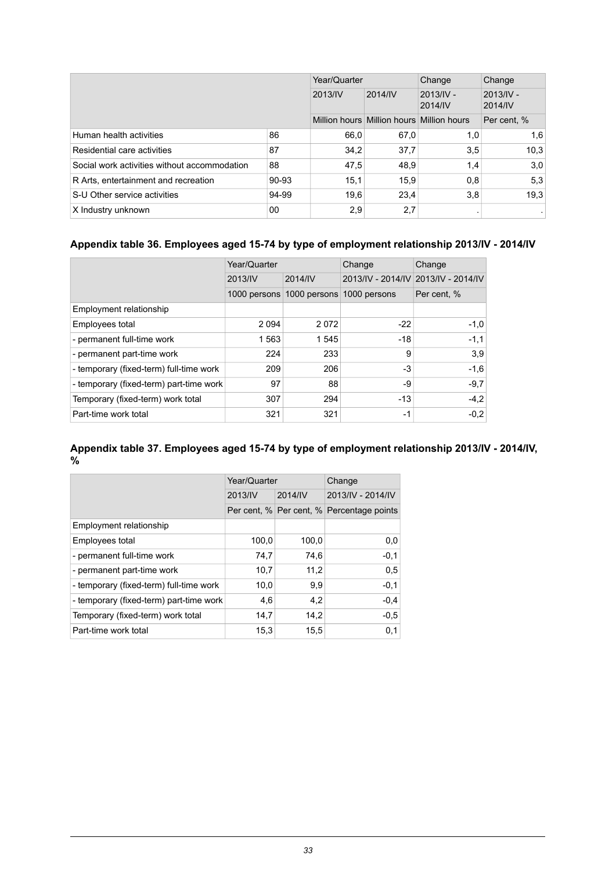|                                              |         | Year/Quarter |                                           | Change                 | Change                 |
|----------------------------------------------|---------|--------------|-------------------------------------------|------------------------|------------------------|
|                                              | 2013/IV |              | 2014/IV                                   | $2013/IV -$<br>2014/IV | $2013/IV -$<br>2014/IV |
|                                              |         |              | Million hours Million hours Million hours |                        | Per cent, %            |
| Human health activities                      | 86      | 66,0         | 67,0                                      | 1,0                    | 1,6                    |
| Residential care activities                  | 87      | 34.2         | 37,7                                      | 3,5                    | 10,3                   |
| Social work activities without accommodation | 88      | 47,5         | 48,9                                      | 1,4                    | 3,0                    |
| R Arts, entertainment and recreation         | 90-93   | 15,1         | 15,9                                      | 0,8                    | 5,3                    |
| S-U Other service activities                 | 94-99   | 19.6         | 23.4                                      | 3,8                    | 19.3                   |
| X Industry unknown                           | 00      | 2,9          | 2,7                                       |                        |                        |

#### <span id="page-32-0"></span>**Appendix table 36. Employees aged 15-74 by type of employment relationship 2013/IV - 2014/IV**

|                                         | Year/Quarter |         | Change                    | Change                              |  |
|-----------------------------------------|--------------|---------|---------------------------|-------------------------------------|--|
|                                         | 2013/IV      | 2014/IV |                           | 2013/IV - 2014/IV 2013/IV - 2014/IV |  |
|                                         | 1000 persons |         | 1000 persons 1000 persons | Per cent, %                         |  |
| Employment relationship                 |              |         |                           |                                     |  |
| Employees total                         | 2 0 9 4      | 2072    | $-22$                     | $-1,0$                              |  |
| - permanent full-time work              | 1 563        | 1545    | $-18$                     | $-1,1$                              |  |
| - permanent part-time work              | 224          | 233     | 9                         | 3,9                                 |  |
| - temporary (fixed-term) full-time work | 209          | 206     | $-3$                      | $-1,6$                              |  |
| - temporary (fixed-term) part-time work | 97           | 88      | -9                        | $-9,7$                              |  |
| Temporary (fixed-term) work total       | 307          | 294     | $-13$                     | $-4,2$                              |  |
| Part-time work total                    | 321          | 321     | -1                        | $-0.2$                              |  |

#### <span id="page-32-1"></span>**Appendix table 37. Employees aged 15-74 by type of employment relationship 2013/IV - 2014/IV, %**

|                                         | Year/Quarter |         | Change                                    |
|-----------------------------------------|--------------|---------|-------------------------------------------|
|                                         | 2013/IV      | 2014/IV | 2013/IV - 2014/IV                         |
|                                         |              |         | Per cent, % Per cent, % Percentage points |
| Employment relationship                 |              |         |                                           |
| Employees total                         | 100,0        | 100.0   | 0,0                                       |
| - permanent full-time work              | 74,7         | 74,6    | $-0,1$                                    |
| - permanent part-time work              | 10,7         | 11,2    | 0,5                                       |
| - temporary (fixed-term) full-time work | 10,0         | 9,9     | $-0,1$                                    |
| - temporary (fixed-term) part-time work | 4,6          | 4,2     | $-0.4$                                    |
| Temporary (fixed-term) work total       | 14,7         | 14,2    | $-0.5$                                    |
| Part-time work total                    | 15,3         | 15.5    | 0,1                                       |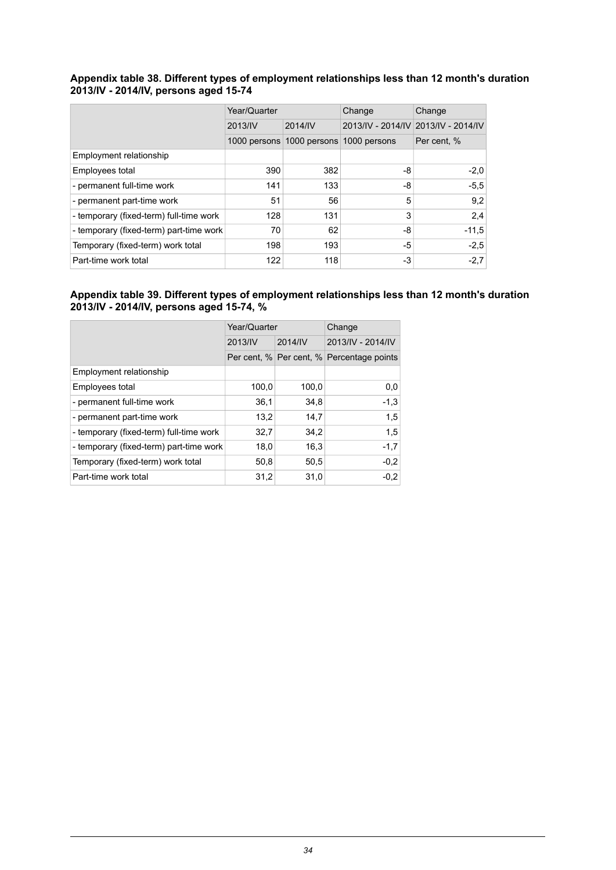#### <span id="page-33-0"></span>**Appendix table 38. Different types of employment relationships less than 12 month's duration 2013/IV - 2014/IV, persons aged 15-74**

|                                         | Year/Quarter |         | Change                    | Change                              |
|-----------------------------------------|--------------|---------|---------------------------|-------------------------------------|
|                                         | 2013/IV      | 2014/IV |                           | 2013/IV - 2014/IV 2013/IV - 2014/IV |
|                                         | 1000 persons |         | 1000 persons 1000 persons | Per cent, %                         |
| Employment relationship                 |              |         |                           |                                     |
| Employees total                         | 390          | 382     | -8                        | $-2,0$                              |
| - permanent full-time work              | 141          | 133     | -8                        | $-5,5$                              |
| - permanent part-time work              | 51           | 56      | 5                         | 9,2                                 |
| - temporary (fixed-term) full-time work | 128          | 131     | 3                         | 2.4                                 |
| - temporary (fixed-term) part-time work | 70           | 62      | -8                        | $-11,5$                             |
| Temporary (fixed-term) work total       | 198          | 193     | -5                        | $-2,5$                              |
| Part-time work total                    | 122          | 118     | -3                        | $-2,7$                              |

#### <span id="page-33-1"></span>**Appendix table 39. Different types of employment relationships less than 12 month's duration 2013/IV - 2014/IV, persons aged 15-74, %**

|                                         | Year/Quarter |         | Change                                    |
|-----------------------------------------|--------------|---------|-------------------------------------------|
|                                         | 2013/IV      | 2014/IV | 2013/IV - 2014/IV                         |
|                                         |              |         | Per cent, % Per cent, % Percentage points |
| Employment relationship                 |              |         |                                           |
| Employees total                         | 100,0        | 100.0   | 0,0                                       |
| - permanent full-time work              | 36,1         | 34.8    | $-1,3$                                    |
| - permanent part-time work              | 13,2         | 14.7    | 1,5                                       |
| - temporary (fixed-term) full-time work | 32,7         | 34,2    | 1,5                                       |
| - temporary (fixed-term) part-time work | 18,0         | 16,3    | $-1,7$                                    |
| Temporary (fixed-term) work total       | 50,8         | 50,5    | $-0,2$                                    |
| Part-time work total                    | 31,2         | 31,0    | $-0,2$                                    |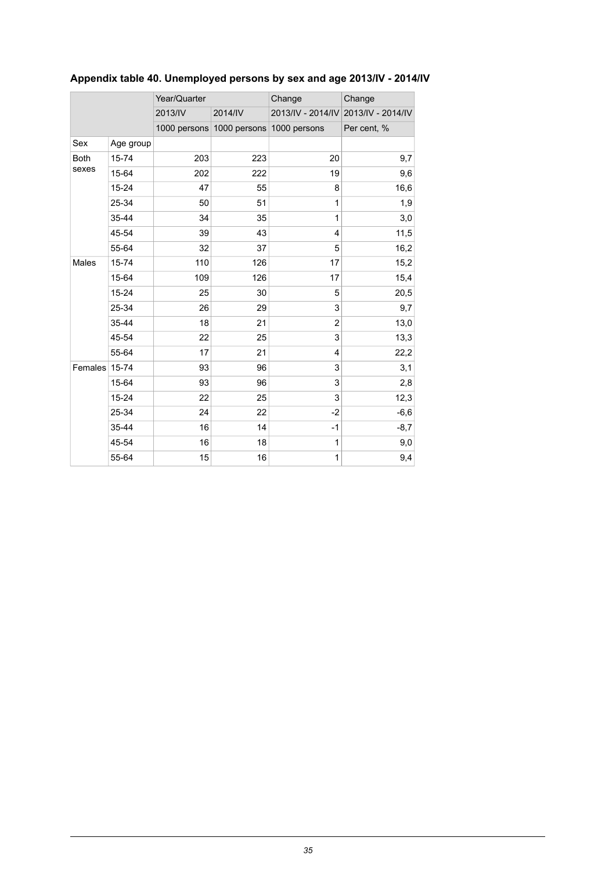|               |           | Year/Quarter |                                        | Change       | Change                              |
|---------------|-----------|--------------|----------------------------------------|--------------|-------------------------------------|
|               |           | 2013/IV      | 2014/IV                                |              | 2013/IV - 2014/IV 2013/IV - 2014/IV |
|               |           |              | 1000 persons 1000 persons 1000 persons |              | Per cent, %                         |
| Sex           | Age group |              |                                        |              |                                     |
| <b>Both</b>   | 15-74     | 203          | 223                                    | 20           | 9,7                                 |
| sexes         | 15-64     | 202          | 222                                    | 19           | 9,6                                 |
|               | $15 - 24$ | 47           | 55                                     | 8            | 16,6                                |
|               | 25-34     | 50           | 51                                     | $\mathbf{1}$ | 1,9                                 |
|               | 35-44     | 34           | 35                                     | 1            | 3,0                                 |
|               | 45-54     | 39           | 43                                     | 4            | 11,5                                |
|               | 55-64     | 32           | 37                                     | 5            | 16,2                                |
| Males         | 15-74     | 110          | 126                                    | 17           | 15,2                                |
|               | 15-64     | 109          | 126                                    | 17           | 15,4                                |
|               | $15 - 24$ | 25           | 30                                     | 5            | 20,5                                |
|               | 25-34     | 26           | 29                                     | 3            | 9,7                                 |
|               | 35-44     | 18           | 21                                     | 2            | 13,0                                |
|               | 45-54     | 22           | 25                                     | 3            | 13,3                                |
|               | 55-64     | 17           | 21                                     | 4            | 22,2                                |
| Females 15-74 |           | 93           | 96                                     | 3            | 3,1                                 |
|               | 15-64     | 93           | 96                                     | 3            | 2,8                                 |
|               | $15 - 24$ | 22           | 25                                     | 3            | 12,3                                |
|               | 25-34     | 24           | 22                                     | $-2$         | $-6,6$                              |
|               | 35-44     | 16           | 14                                     | $-1$         | $-8,7$                              |
|               | 45-54     | 16           | 18                                     | 1            | 9,0                                 |
|               | 55-64     | 15           | 16                                     | $\mathbf{1}$ | 9,4                                 |

## <span id="page-34-0"></span>**Appendix table 40. Unemployed persons by sex and age 2013/IV - 2014/IV**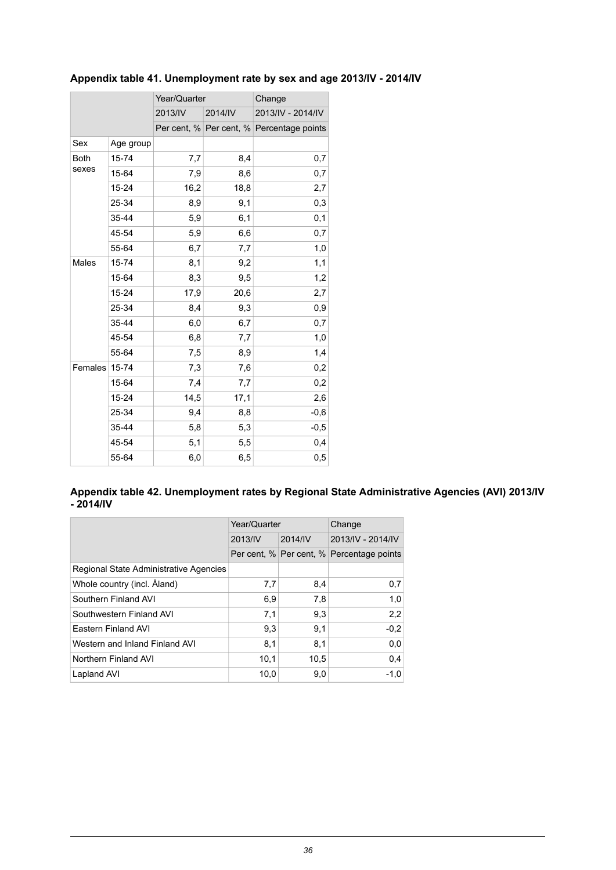|             |           | Year/Quarter |         | Change                                    |  |
|-------------|-----------|--------------|---------|-------------------------------------------|--|
|             |           | 2013/IV      | 2014/IV | 2013/IV - 2014/IV                         |  |
|             |           |              |         | Per cent, % Per cent, % Percentage points |  |
| Sex         | Age group |              |         |                                           |  |
| <b>Both</b> | 15-74     | 7,7          | 8,4     | 0,7                                       |  |
| sexes       | 15-64     | 7,9          | 8,6     | 0,7                                       |  |
|             | $15 - 24$ | 16,2         | 18,8    | 2,7                                       |  |
|             | 25-34     | 8,9          | 9,1     | 0,3                                       |  |
|             | 35-44     | 5,9          | 6,1     | 0,1                                       |  |
|             | 45-54     | 5,9          | 6,6     | 0,7                                       |  |
|             | 55-64     | 6,7          | 7,7     | 1,0                                       |  |
| Males       | 15-74     | 8,1          | 9,2     | 1,1                                       |  |
|             | 15-64     | 8,3          | 9,5     | 1,2                                       |  |
|             | 15-24     | 17,9         | 20,6    | 2,7                                       |  |
|             | 25-34     | 8,4          | 9,3     | 0,9                                       |  |
|             | 35-44     | 6,0          | 6,7     | 0,7                                       |  |
|             | 45-54     | 6,8          | 7,7     | 1,0                                       |  |
|             | 55-64     | 7,5          | 8,9     | 1,4                                       |  |
| Females     | $15 - 74$ | 7,3          | 7,6     | 0,2                                       |  |
|             | 15-64     | 7,4          | 7,7     | 0,2                                       |  |
|             | 15-24     | 14,5         | 17,1    | 2,6                                       |  |
|             | 25-34     | 9,4          | 8,8     | $-0,6$                                    |  |
|             | 35-44     | 5,8          | 5,3     | $-0,5$                                    |  |
|             | 45-54     | 5,1          | 5,5     | 0,4                                       |  |
|             | 55-64     | 6,0          | 6,5     | 0,5                                       |  |

### <span id="page-35-0"></span>**Appendix table 41. Unemployment rate by sex and age 2013/IV - 2014/IV**

#### <span id="page-35-1"></span>**Appendix table 42. Unemployment rates by Regional State Administrative Agencies (AVI) 2013/IV - 2014/IV**

|                                        | Year/Quarter |         | Change                                    |  |
|----------------------------------------|--------------|---------|-------------------------------------------|--|
|                                        | 2013/IV      | 2014/IV | 2013/IV - 2014/IV                         |  |
|                                        |              |         | Per cent, % Per cent, % Percentage points |  |
| Regional State Administrative Agencies |              |         |                                           |  |
| Whole country (incl. Aland)            | 7,7          | 8,4     | 0,7                                       |  |
| Southern Finland AVI                   | 6,9          | 7.8     | 1,0                                       |  |
| Southwestern Finland AVI               | 7,1          | 9.3     | 2,2                                       |  |
| Eastern Finland AVI                    | 9,3          | 9,1     | $-0,2$                                    |  |
| Western and Inland Finland AVI         | 8,1          | 8,1     | 0.0                                       |  |
| Northern Finland AVI                   | 10,1         | 10,5    | 0.4                                       |  |
| Lapland AVI                            | 10,0         | 9,0     | $-1,0$                                    |  |
|                                        |              |         |                                           |  |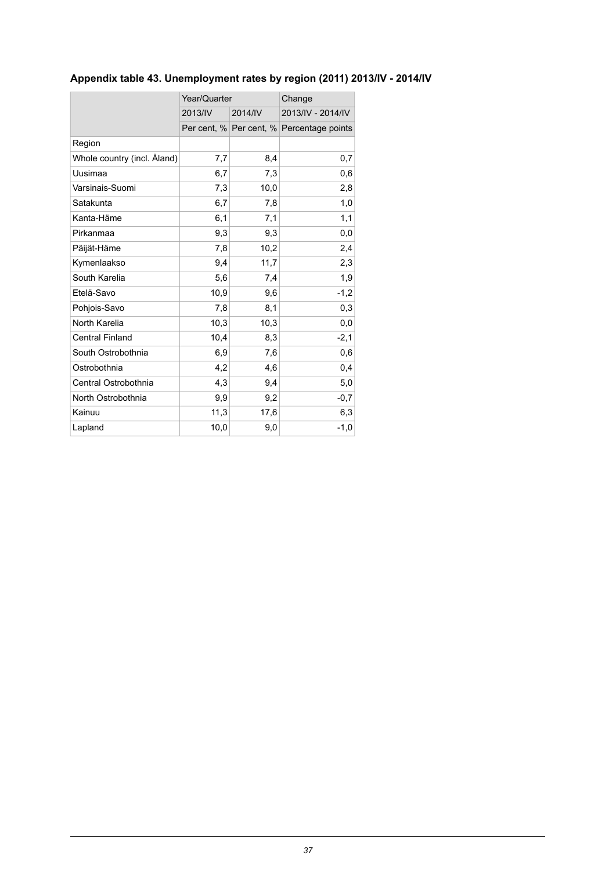## <span id="page-36-0"></span>**Appendix table 43. Unemployment rates by region (2011) 2013/IV - 2014/IV**

|                             | Year/Quarter |         | Change                                    |
|-----------------------------|--------------|---------|-------------------------------------------|
|                             | 2013/IV      | 2014/IV | 2013/IV - 2014/IV                         |
|                             |              |         | Per cent, % Per cent, % Percentage points |
| Region                      |              |         |                                           |
| Whole country (incl. Åland) | 7,7          | 8,4     | 0,7                                       |
| Uusimaa                     | 6,7          | 7,3     | 0,6                                       |
| Varsinais-Suomi             | 7,3          | 10,0    | 2,8                                       |
| Satakunta                   | 6,7          | 7,8     | 1,0                                       |
| Kanta-Häme                  | 6,1          | 7,1     | 1,1                                       |
| Pirkanmaa                   | 9,3          | 9,3     | 0,0                                       |
| Päijät-Häme                 | 7,8          | 10,2    | 2,4                                       |
| Kymenlaakso                 | 9,4          | 11,7    | 2,3                                       |
| South Karelia               | 5,6          | 7,4     | 1,9                                       |
| Etelä-Savo                  | 10,9         | 9,6     | $-1,2$                                    |
| Pohjois-Savo                | 7,8          | 8,1     | 0,3                                       |
| North Karelia               | 10,3         | 10,3    | 0,0                                       |
| <b>Central Finland</b>      | 10,4         | 8,3     | $-2,1$                                    |
| South Ostrobothnia          | 6,9          | 7,6     | 0,6                                       |
| Ostrobothnia                | 4,2          | 4,6     | 0,4                                       |
| Central Ostrobothnia        | 4,3          | 9,4     | 5,0                                       |
| North Ostrobothnia          | 9,9          | 9,2     | $-0,7$                                    |
| Kainuu                      | 11,3         | 17,6    | 6,3                                       |
| Lapland                     | 10,0         | 9,0     | $-1,0$                                    |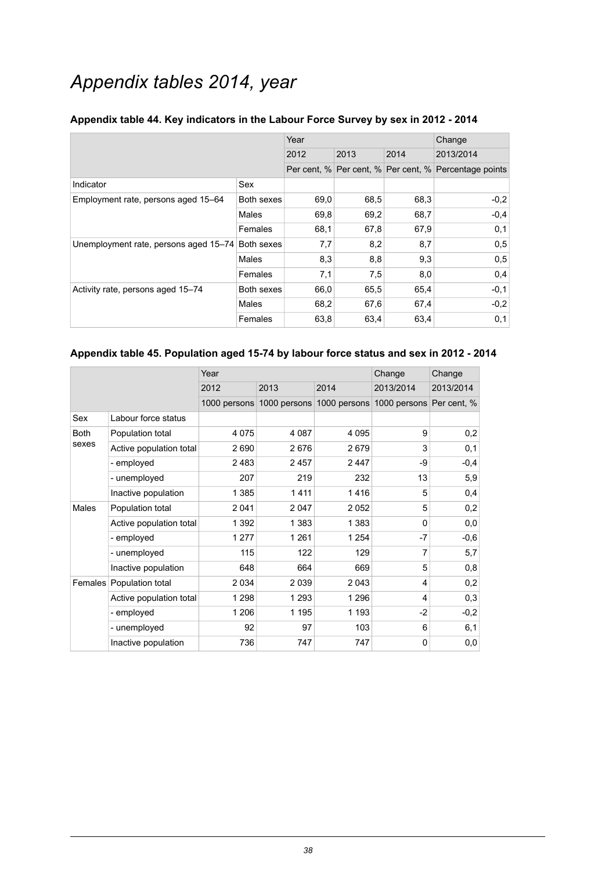## *Appendix tables 2014, year*

|                                       |            | Year |      | Change |                                                       |
|---------------------------------------|------------|------|------|--------|-------------------------------------------------------|
|                                       |            | 2012 | 2013 | 2014   | 2013/2014                                             |
|                                       |            |      |      |        | Per cent, % Per cent, % Per cent, % Percentage points |
| Indicator                             | Sex        |      |      |        |                                                       |
| Employment rate, persons aged 15–64   | Both sexes | 69,0 | 68,5 | 68,3   | $-0,2$                                                |
|                                       | Males      | 69,8 | 69,2 | 68,7   | $-0,4$                                                |
|                                       | Females    | 68,1 | 67,8 | 67,9   | 0,1                                                   |
| Unemployment rate, persons aged 15-74 | Both sexes | 7,7  | 8,2  | 8,7    | 0,5                                                   |
|                                       | Males      | 8,3  | 8,8  | 9,3    | 0,5                                                   |
|                                       | Females    | 7,1  | 7,5  | 8,0    | 0,4                                                   |
| Activity rate, persons aged 15-74     | Both sexes | 66,0 | 65.5 | 65,4   | $-0,1$                                                |
|                                       | Males      | 68,2 | 67,6 | 67,4   | $-0,2$                                                |
|                                       | Females    | 63,8 | 63,4 | 63,4   | 0,1                                                   |

#### <span id="page-37-0"></span>**Appendix table 44. Key indicators in the Labour Force Survey by sex in 2012 - 2014**

#### <span id="page-37-1"></span>**Appendix table 45. Population aged 15-74 by labour force status and sex in 2012 - 2014**

|              |                         | Year         |         |                           | Change                   | Change    |
|--------------|-------------------------|--------------|---------|---------------------------|--------------------------|-----------|
|              |                         | 2012         | 2013    | 2014                      | 2013/2014                | 2013/2014 |
|              |                         | 1000 persons |         | 1000 persons 1000 persons | 1000 persons Per cent, % |           |
| Sex          | Labour force status     |              |         |                           |                          |           |
| <b>Both</b>  | Population total        | 4 0 7 5      | 4 0 8 7 | 4 0 9 5                   | 9                        | 0,2       |
| sexes        | Active population total | 2690         | 2676    | 2679                      | 3                        | 0,1       |
|              | - employed              | 2 4 8 3      | 2457    | 2447                      | -9                       | $-0,4$    |
|              | - unemployed            | 207          | 219     | 232                       | 13                       | 5,9       |
|              | Inactive population     | 1 3 8 5      | 1411    | 1416                      | 5                        | 0,4       |
| <b>Males</b> | Population total        | 2 0 4 1      | 2047    | 2 0 5 2                   | 5                        | 0,2       |
|              | Active population total | 1 3 9 2      | 1 3 8 3 | 1 3 8 3                   | $\Omega$                 | 0,0       |
|              | - employed              | 1 277        | 1 2 6 1 | 1 2 5 4                   | -7                       | $-0,6$    |
|              | - unemployed            | 115          | 122     | 129                       | 7                        | 5,7       |
|              | Inactive population     | 648          | 664     | 669                       | 5                        | 0,8       |
| Females      | Population total        | 2 0 3 4      | 2 0 3 9 | 2 0 4 3                   | 4                        | 0,2       |
|              | Active population total | 1 2 9 8      | 1 2 9 3 | 1 2 9 6                   | 4                        | 0,3       |
|              | - employed              | 1 206        | 1 1 9 5 | 1 1 9 3                   | $-2$                     | $-0,2$    |
|              | - unemployed            | 92           | 97      | 103                       | 6                        | 6,1       |
|              | Inactive population     | 736          | 747     | 747                       | $\mathbf 0$              | 0,0       |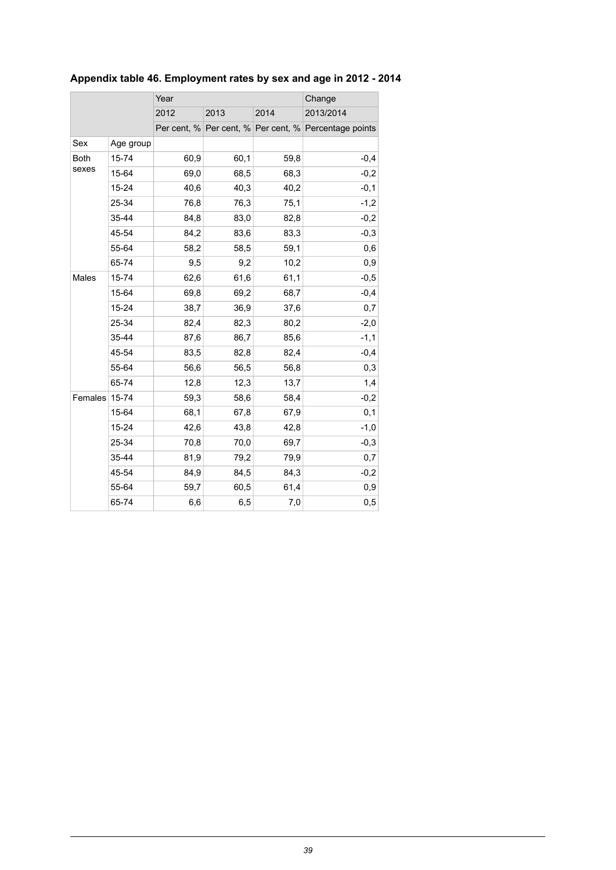|             |           | Year | Change |      |                                                       |
|-------------|-----------|------|--------|------|-------------------------------------------------------|
|             |           | 2012 | 2013   | 2014 | 2013/2014                                             |
|             |           |      |        |      | Per cent, % Per cent, % Per cent, % Percentage points |
| Sex         | Age group |      |        |      |                                                       |
| <b>Both</b> | 15-74     | 60,9 | 60,1   | 59,8 | $-0,4$                                                |
| sexes       | 15-64     | 69,0 | 68,5   | 68,3 | $-0,2$                                                |
|             | 15-24     | 40,6 | 40,3   | 40,2 | $-0,1$                                                |
|             | 25-34     | 76,8 | 76,3   | 75,1 | $-1,2$                                                |
|             | 35-44     | 84,8 | 83,0   | 82,8 | $-0,2$                                                |
|             | 45-54     | 84,2 | 83,6   | 83,3 | $-0,3$                                                |
|             | 55-64     | 58,2 | 58,5   | 59,1 | 0,6                                                   |
|             | 65-74     | 9,5  | 9,2    | 10,2 | 0,9                                                   |
| Males       | 15-74     | 62,6 | 61,6   | 61,1 | $-0,5$                                                |
|             | 15-64     | 69,8 | 69,2   | 68,7 | $-0,4$                                                |
|             | 15-24     | 38,7 | 36,9   | 37,6 | 0,7                                                   |
|             | 25-34     | 82,4 | 82,3   | 80,2 | $-2,0$                                                |
|             | 35-44     | 87,6 | 86,7   | 85,6 | $-1,1$                                                |
|             | 45-54     | 83,5 | 82,8   | 82,4 | $-0,4$                                                |
|             | 55-64     | 56,6 | 56,5   | 56,8 | 0,3                                                   |
|             | 65-74     | 12,8 | 12,3   | 13,7 | 1,4                                                   |
| Females     | 15-74     | 59,3 | 58,6   | 58,4 | $-0,2$                                                |
|             | 15-64     | 68,1 | 67,8   | 67,9 | 0,1                                                   |
|             | 15-24     | 42,6 | 43,8   | 42,8 | $-1,0$                                                |
|             | 25-34     | 70,8 | 70,0   | 69,7 | $-0,3$                                                |
|             | 35-44     | 81,9 | 79,2   | 79,9 | 0,7                                                   |
|             | 45-54     | 84,9 | 84,5   | 84,3 | $-0,2$                                                |
|             | 55-64     | 59,7 | 60,5   | 61,4 | 0,9                                                   |
|             | 65-74     | 6,6  | 6,5    | 7,0  | 0,5                                                   |

## <span id="page-38-0"></span>**Appendix table 46. Employment rates by sex and age in 2012 - 2014**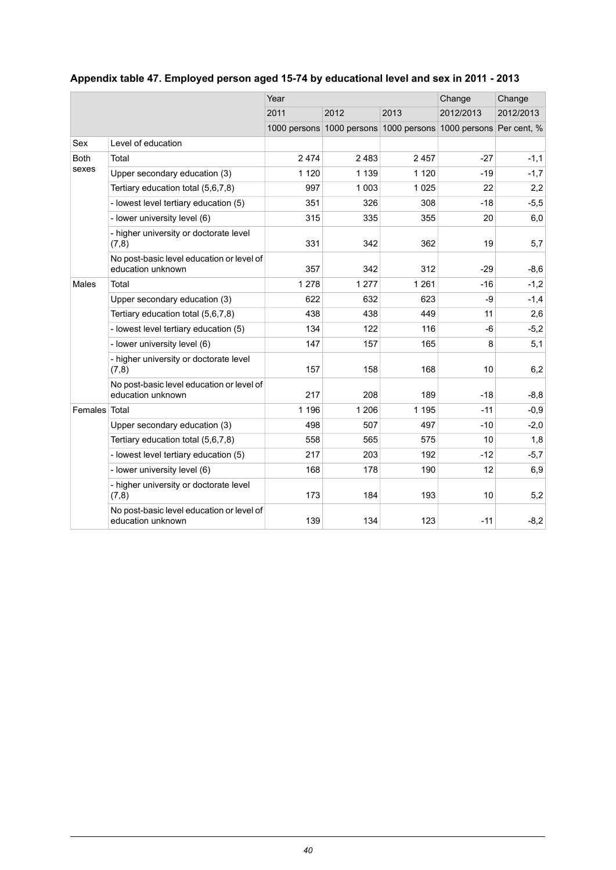|             |                                                                | Year    |         |         | Change                                                          | Change    |
|-------------|----------------------------------------------------------------|---------|---------|---------|-----------------------------------------------------------------|-----------|
|             |                                                                | 2011    | 2012    | 2013    | 2012/2013                                                       | 2012/2013 |
|             |                                                                |         |         |         | 1000 persons 1000 persons 1000 persons 1000 persons Per cent, % |           |
| Sex         | Level of education                                             |         |         |         |                                                                 |           |
| <b>Both</b> | Total                                                          | 2474    | 2 4 8 3 | 2 4 5 7 | $-27$                                                           | $-1,1$    |
| sexes       | Upper secondary education (3)                                  | 1 1 2 0 | 1 1 3 9 | 1 1 2 0 | $-19$                                                           | $-1,7$    |
|             | Tertiary education total (5,6,7,8)                             | 997     | 1 0 0 3 | 1 0 2 5 | 22                                                              | 2,2       |
|             | - lowest level tertiary education (5)                          | 351     | 326     | 308     | $-18$                                                           | $-5,5$    |
|             | - lower university level (6)                                   | 315     | 335     | 355     | 20                                                              | 6,0       |
|             | - higher university or doctorate level<br>(7,8)                | 331     | 342     | 362     | 19                                                              | 5,7       |
|             | No post-basic level education or level of<br>education unknown | 357     | 342     | 312     | $-29$                                                           | $-8,6$    |
| Males       | Total                                                          | 1 2 7 8 | 1 2 7 7 | 1 2 6 1 | $-16$                                                           | $-1,2$    |
|             | Upper secondary education (3)                                  | 622     | 632     | 623     | -9                                                              | $-1,4$    |
|             | Tertiary education total (5,6,7,8)                             | 438     | 438     | 449     | 11                                                              | 2,6       |
|             | - lowest level tertiary education (5)                          | 134     | 122     | 116     | $-6$                                                            | $-5,2$    |
|             | - lower university level (6)                                   | 147     | 157     | 165     | 8                                                               | 5,1       |
|             | - higher university or doctorate level<br>(7, 8)               | 157     | 158     | 168     | 10                                                              | 6,2       |
|             | No post-basic level education or level of<br>education unknown | 217     | 208     | 189     | $-18$                                                           | $-8,8$    |
| Females     | Total                                                          | 1 1 9 6 | 1 2 0 6 | 1 1 9 5 | $-11$                                                           | $-0,9$    |
|             | Upper secondary education (3)                                  | 498     | 507     | 497     | $-10$                                                           | $-2,0$    |
|             | Tertiary education total (5,6,7,8)                             | 558     | 565     | 575     | 10                                                              | 1,8       |
|             | - lowest level tertiary education (5)                          | 217     | 203     | 192     | $-12$                                                           | $-5,7$    |
|             | - lower university level (6)                                   | 168     | 178     | 190     | 12                                                              | 6,9       |
|             | - higher university or doctorate level<br>(7,8)                | 173     | 184     | 193     | 10                                                              | 5,2       |
|             | No post-basic level education or level of<br>education unknown | 139     | 134     | 123     | $-11$                                                           | $-8,2$    |

## <span id="page-39-0"></span>**Appendix table 47. Employed person aged 15-74 by educational level and sex in 2011 - 2013**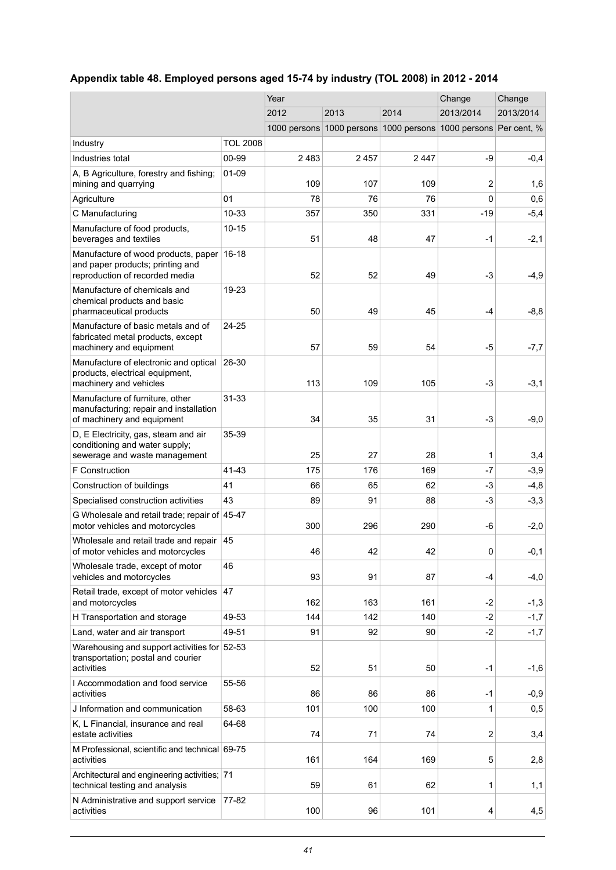## <span id="page-40-0"></span>**Appendix table 48. Employed persons aged 15-74 by industry (TOL 2008) in 2012 - 2014**

|                                                                                                           |                 | Year |                           |                                                                 | Change         | Change    |
|-----------------------------------------------------------------------------------------------------------|-----------------|------|---------------------------|-----------------------------------------------------------------|----------------|-----------|
|                                                                                                           |                 | 2012 | 2013<br>2014<br>2013/2014 |                                                                 |                | 2013/2014 |
|                                                                                                           |                 |      |                           | 1000 persons 1000 persons 1000 persons 1000 persons Per cent, % |                |           |
| Industry                                                                                                  | <b>TOL 2008</b> |      |                           |                                                                 |                |           |
| Industries total                                                                                          | 00-99           | 2483 | 2457                      | 2447                                                            | -9             | $-0,4$    |
| A, B Agriculture, forestry and fishing;<br>mining and quarrying                                           | $01 - 09$       | 109  | 107                       | 109                                                             | $\overline{2}$ | 1,6       |
| Agriculture                                                                                               | 01              | 78   | 76                        | 76                                                              | $\Omega$       | 0,6       |
| C Manufacturing                                                                                           | 10-33           | 357  | 350                       | 331                                                             | $-19$          | $-5,4$    |
| Manufacture of food products,<br>beverages and textiles                                                   | $10 - 15$       | 51   | 48                        | 47                                                              | $-1$           | $-2,1$    |
| Manufacture of wood products, paper<br>and paper products; printing and<br>reproduction of recorded media | $16 - 18$       | 52   | 52                        | 49                                                              | $-3$           | $-4,9$    |
| Manufacture of chemicals and<br>chemical products and basic<br>pharmaceutical products                    | 19-23           | 50   | 49                        | 45                                                              | $-4$           | $-8,8$    |
| Manufacture of basic metals and of<br>fabricated metal products, except<br>machinery and equipment        | 24-25           | 57   | 59                        | 54                                                              | -5             | $-7,7$    |
| Manufacture of electronic and optical<br>products, electrical equipment,<br>machinery and vehicles        | 26-30           | 113  | 109                       | 105                                                             | $-3$           | $-3,1$    |
| Manufacture of furniture, other<br>manufacturing; repair and installation<br>of machinery and equipment   | $31 - 33$       | 34   | 35                        | 31                                                              | $-3$           | $-9,0$    |
| D, E Electricity, gas, steam and air<br>conditioning and water supply;<br>sewerage and waste management   | 35-39           | 25   | 27                        | 28                                                              | 1              | 3,4       |
| <b>F</b> Construction                                                                                     | 41-43           | 175  | 176                       | 169                                                             | $-7$           | $-3,9$    |
| Construction of buildings                                                                                 | 41              | 66   | 65                        | 62                                                              | -3             | $-4,8$    |
| Specialised construction activities                                                                       | 43              | 89   | 91                        | 88                                                              | $-3$           | $-3,3$    |
| G Wholesale and retail trade; repair of 45-47<br>motor vehicles and motorcycles                           |                 | 300  | 296                       | 290                                                             | -6             | $-2,0$    |
| Wholesale and retail trade and repair<br>of motor vehicles and motorcycles                                | 45              | 46   | 42                        | 42                                                              | 0              | $-0,1$    |
| Wholesale trade, except of motor<br>vehicles and motorcycles                                              | 46              | 93   | 91                        | 87                                                              | $-4$           | $-4,0$    |
| Retail trade, except of motor vehicles<br>and motorcycles                                                 | 47              | 162  | 163                       | 161                                                             | -2             | $-1,3$    |
| H Transportation and storage                                                                              | 49-53           | 144  | 142                       | 140                                                             | $-2$           | $-1,7$    |
| Land, water and air transport                                                                             | 49-51           | 91   | 92                        | 90                                                              | $-2$           | $-1,7$    |
| Warehousing and support activities for 52-53<br>transportation; postal and courier<br>activities          |                 | 52   | 51                        | 50                                                              | $-1$           | $-1,6$    |
| I Accommodation and food service<br>activities                                                            | 55-56           | 86   | 86                        | 86                                                              | $-1$           | $-0,9$    |
| J Information and communication                                                                           | 58-63           | 101  | 100                       | 100                                                             | 1              | 0,5       |
| K, L Financial, insurance and real<br>estate activities                                                   | 64-68           | 74   | 71                        | 74                                                              | $\overline{2}$ | 3,4       |
| M Professional, scientific and technical 69-75<br>activities                                              |                 | 161  | 164                       | 169                                                             | 5              | 2,8       |
| Architectural and engineering activities; 71<br>technical testing and analysis                            |                 | 59   | 61                        | 62                                                              | 1              | 1,1       |
| N Administrative and support service<br>activities                                                        | 77-82           | 100  | 96                        | 101                                                             | 4              | 4,5       |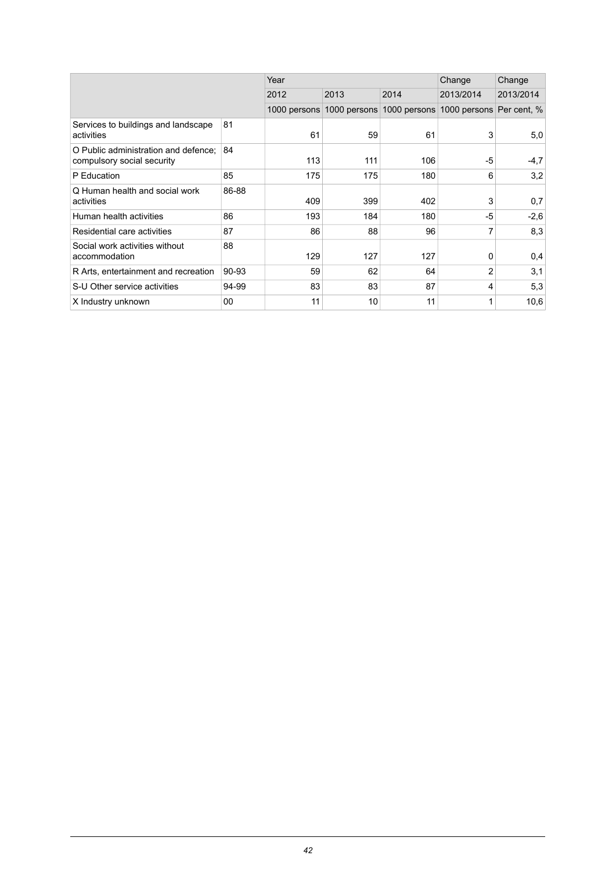|                                                                    |        | Year         |              | Change       | Change       |             |
|--------------------------------------------------------------------|--------|--------------|--------------|--------------|--------------|-------------|
|                                                                    |        | 2012         | 2013         | 2014         | 2013/2014    | 2013/2014   |
|                                                                    |        | 1000 persons | 1000 persons | 1000 persons | 1000 persons | Per cent, % |
| Services to buildings and landscape<br>activities                  | 81     | 61           | 59           | 61           | 3            | 5,0         |
| O Public administration and defence:<br>compulsory social security | 84     | 113          | 111          | 106          | -5           | $-4,7$      |
| P Education                                                        | 85     | 175          | 175          | 180          | 6            | 3,2         |
| Q Human health and social work<br>activities                       | 86-88  | 409          | 399          | 402          | 3            | 0,7         |
| Human health activities                                            | 86     | 193          | 184          | 180          | -5           | $-2,6$      |
| Residential care activities                                        | 87     | 86           | 88           | 96           | 7            | 8,3         |
| Social work activities without<br>accommodation                    | 88     | 129          | 127          | 127          | 0            | 0,4         |
| R Arts, entertainment and recreation                               | 90-93  | 59           | 62           | 64           | 2            | 3,1         |
| S-U Other service activities                                       | 94-99  | 83           | 83           | 87           | 4            | 5,3         |
| X Industry unknown                                                 | $00\,$ | 11           | 10           | 11           | 1            | 10,6        |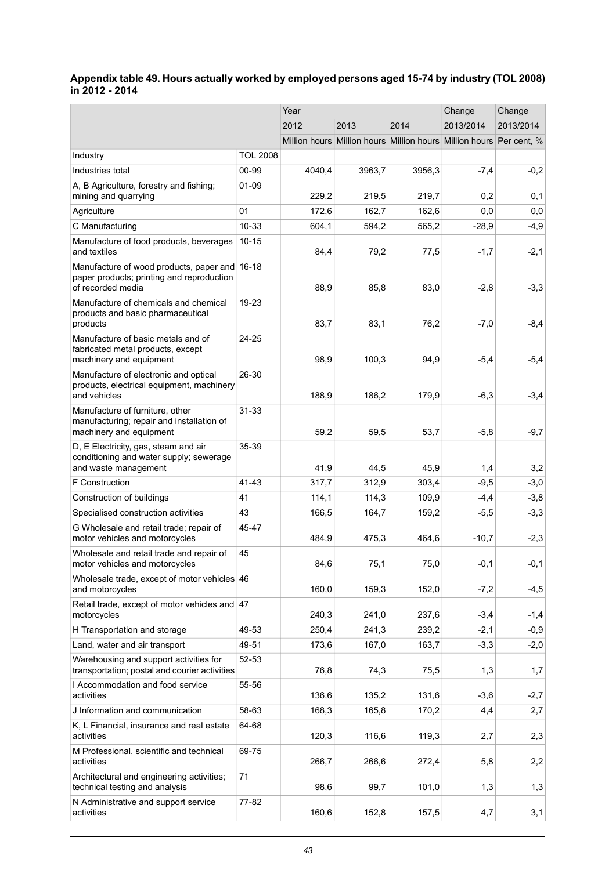#### <span id="page-42-0"></span>**Appendix table 49. Hours actually worked by employed persons aged 15-74 by industry (TOL 2008) in 2012 - 2014**

|                                                                                                                 |                 | Year   |        |        | Change                                                              | Change    |
|-----------------------------------------------------------------------------------------------------------------|-----------------|--------|--------|--------|---------------------------------------------------------------------|-----------|
|                                                                                                                 |                 | 2012   | 2013   | 2014   | 2013/2014                                                           | 2013/2014 |
|                                                                                                                 |                 |        |        |        | Million hours Million hours Million hours Million hours Per cent, % |           |
| Industry                                                                                                        | <b>TOL 2008</b> |        |        |        |                                                                     |           |
| Industries total                                                                                                | 00-99           | 4040,4 | 3963,7 | 3956,3 | $-7,4$                                                              | $-0,2$    |
| A, B Agriculture, forestry and fishing;<br>mining and quarrying                                                 | 01-09           | 229,2  | 219,5  | 219,7  | 0,2                                                                 | 0,1       |
| Agriculture                                                                                                     | 01              | 172,6  | 162,7  | 162,6  | 0,0                                                                 | 0,0       |
| C Manufacturing                                                                                                 | 10-33           | 604,1  | 594,2  | 565,2  | $-28,9$                                                             | $-4,9$    |
| Manufacture of food products, beverages<br>and textiles                                                         | $10 - 15$       | 84,4   | 79,2   | 77,5   | $-1,7$                                                              | $-2,1$    |
| Manufacture of wood products, paper and 16-18<br>paper products; printing and reproduction<br>of recorded media |                 | 88,9   | 85,8   | 83,0   | $-2,8$                                                              | $-3,3$    |
| Manufacture of chemicals and chemical<br>products and basic pharmaceutical<br>products                          | 19-23           | 83,7   | 83,1   | 76,2   | $-7,0$                                                              | $-8,4$    |
| Manufacture of basic metals and of<br>fabricated metal products, except<br>machinery and equipment              | 24-25           | 98,9   | 100,3  | 94,9   | $-5,4$                                                              | $-5,4$    |
| Manufacture of electronic and optical<br>products, electrical equipment, machinery<br>and vehicles              | 26-30           | 188,9  | 186,2  | 179,9  | $-6,3$                                                              | $-3,4$    |
| Manufacture of furniture, other<br>manufacturing; repair and installation of<br>machinery and equipment         | $31 - 33$       | 59,2   | 59,5   | 53,7   | $-5,8$                                                              | $-9,7$    |
| D, E Electricity, gas, steam and air<br>conditioning and water supply; sewerage<br>and waste management         | 35-39           | 41,9   | 44,5   | 45,9   | 1,4                                                                 | 3,2       |
| <b>F</b> Construction                                                                                           | 41-43           | 317,7  | 312,9  | 303,4  | $-9,5$                                                              | $-3,0$    |
| Construction of buildings                                                                                       | 41              | 114,1  | 114,3  | 109,9  | $-4,4$                                                              | $-3,8$    |
| Specialised construction activities                                                                             | 43              | 166,5  | 164,7  | 159,2  | $-5,5$                                                              | $-3,3$    |
| G Wholesale and retail trade; repair of<br>motor vehicles and motorcycles                                       | 45-47           | 484,9  | 475,3  | 464,6  | $-10,7$                                                             | $-2,3$    |
| Wholesale and retail trade and repair of<br>motor vehicles and motorcycles                                      | 45              | 84,6   | 75,1   | 75,0   | $-0,1$                                                              | $-0,1$    |
| Wholesale trade, except of motor vehicles 46<br>and motorcycles                                                 |                 | 160,0  | 159,3  | 152,0  | $-7,2$                                                              | $-4,5$    |
| Retail trade, except of motor vehicles and<br>motorcycles                                                       | 47              | 240,3  | 241,0  | 237,6  | $-3,4$                                                              | $-1,4$    |
| H Transportation and storage                                                                                    | 49-53           | 250,4  | 241,3  | 239,2  | $-2,1$                                                              | $-0,9$    |
| Land, water and air transport                                                                                   | 49-51           | 173,6  | 167,0  | 163,7  | $-3,3$                                                              | $-2,0$    |
| Warehousing and support activities for<br>transportation; postal and courier activities                         | 52-53           | 76,8   | 74,3   | 75,5   | 1,3                                                                 | 1,7       |
| I Accommodation and food service<br>activities                                                                  | 55-56           | 136,6  | 135,2  | 131,6  | $-3,6$                                                              | $-2,7$    |
| J Information and communication                                                                                 | 58-63           | 168,3  | 165,8  | 170,2  | 4,4                                                                 | 2,7       |
| K, L Financial, insurance and real estate<br>activities                                                         | 64-68           | 120,3  | 116,6  | 119,3  | 2,7                                                                 | 2,3       |
| M Professional, scientific and technical<br>activities                                                          | 69-75           | 266,7  | 266,6  | 272,4  | 5,8                                                                 | 2,2       |
| Architectural and engineering activities;<br>technical testing and analysis                                     | 71              | 98,6   | 99,7   | 101,0  | 1,3                                                                 | 1,3       |
| N Administrative and support service<br>activities                                                              | 77-82           | 160,6  | 152,8  | 157,5  | 4,7                                                                 | 3,1       |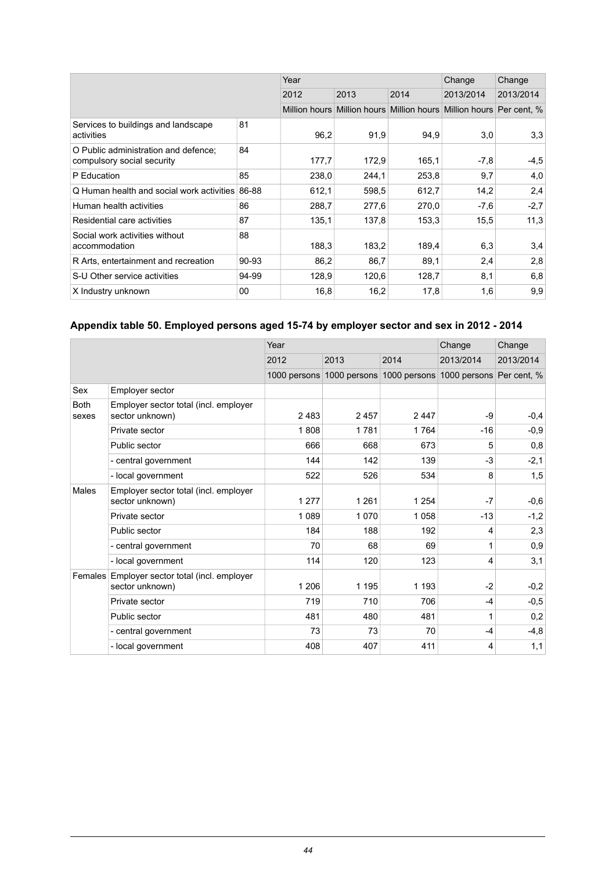|                                                                    |       | Year  |       |       | Change                                                              | Change    |
|--------------------------------------------------------------------|-------|-------|-------|-------|---------------------------------------------------------------------|-----------|
|                                                                    |       | 2012  | 2013  | 2014  | 2013/2014                                                           | 2013/2014 |
|                                                                    |       |       |       |       | Million hours Million hours Million hours Million hours Per cent, % |           |
| Services to buildings and landscape<br>activities                  | 81    | 96,2  | 91,9  | 94,9  | 3,0                                                                 | 3,3       |
| O Public administration and defence;<br>compulsory social security | 84    | 177,7 | 172,9 | 165.1 | $-7,8$                                                              | $-4,5$    |
| P Education                                                        | 85    | 238,0 | 244,1 | 253,8 | 9,7                                                                 | 4,0       |
| Q Human health and social work activities                          | 86-88 | 612,1 | 598,5 | 612,7 | 14,2                                                                | 2,4       |
| Human health activities                                            | 86    | 288,7 | 277,6 | 270,0 | $-7,6$                                                              | $-2,7$    |
| Residential care activities                                        | 87    | 135,1 | 137,8 | 153,3 | 15,5                                                                | 11,3      |
| Social work activities without<br>accommodation                    | 88    | 188,3 | 183,2 | 189,4 | 6,3                                                                 | 3,4       |
| R Arts, entertainment and recreation                               | 90-93 | 86,2  | 86,7  | 89.1  | 2,4                                                                 | 2,8       |
| S-U Other service activities                                       | 94-99 | 128,9 | 120,6 | 128,7 | 8,1                                                                 | 6,8       |
| X Industry unknown                                                 | 00    | 16,8  | 16,2  | 17,8  | 1,6                                                                 | 9,9       |

## <span id="page-43-0"></span>**Appendix table 50. Employed persons aged 15-74 by employer sector and sex in 2012 - 2014**

|                      |                                                          | Year    |         |                                        | Change                   | Change    |
|----------------------|----------------------------------------------------------|---------|---------|----------------------------------------|--------------------------|-----------|
|                      |                                                          | 2012    | 2013    | 2014                                   | 2013/2014                | 2013/2014 |
|                      |                                                          |         |         | 1000 persons 1000 persons 1000 persons | 1000 persons Per cent, % |           |
| Sex                  | Employer sector                                          |         |         |                                        |                          |           |
| <b>Both</b><br>sexes | Employer sector total (incl. employer<br>sector unknown) | 2483    | 2457    | 2447                                   | -9                       | $-0,4$    |
|                      | Private sector                                           | 1808    | 1781    | 1764                                   | $-16$                    | $-0,9$    |
|                      | Public sector                                            | 666     | 668     | 673                                    | 5                        | 0,8       |
|                      | - central government                                     | 144     | 142     | 139                                    | $-3$                     | $-2,1$    |
|                      | - local government                                       | 522     | 526     | 534                                    | 8                        | 1,5       |
| <b>Males</b>         | Employer sector total (incl. employer<br>sector unknown) | 1 2 7 7 | 1 2 6 1 | 1 2 5 4                                | $-7$                     | $-0,6$    |
|                      | Private sector                                           | 1 0 8 9 | 1 0 7 0 | 1 0 5 8                                | $-13$                    | $-1,2$    |
|                      | Public sector                                            | 184     | 188     | 192                                    | 4                        | 2,3       |
|                      | - central government                                     | 70      | 68      | 69                                     | 1                        | 0,9       |
|                      | - local government                                       | 114     | 120     | 123                                    | 4                        | 3,1       |
| Females              | Employer sector total (incl. employer<br>sector unknown) | 1 206   | 1 1 9 5 | 1 1 9 3                                | $-2$                     | $-0,2$    |
|                      | Private sector                                           | 719     | 710     | 706                                    | $-4$                     | $-0,5$    |
|                      | Public sector                                            | 481     | 480     | 481                                    | 1                        | 0,2       |
|                      | - central government                                     | 73      | 73      | 70                                     | $-4$                     | $-4,8$    |
|                      | - local government                                       | 408     | 407     | 411                                    | 4                        | 1,1       |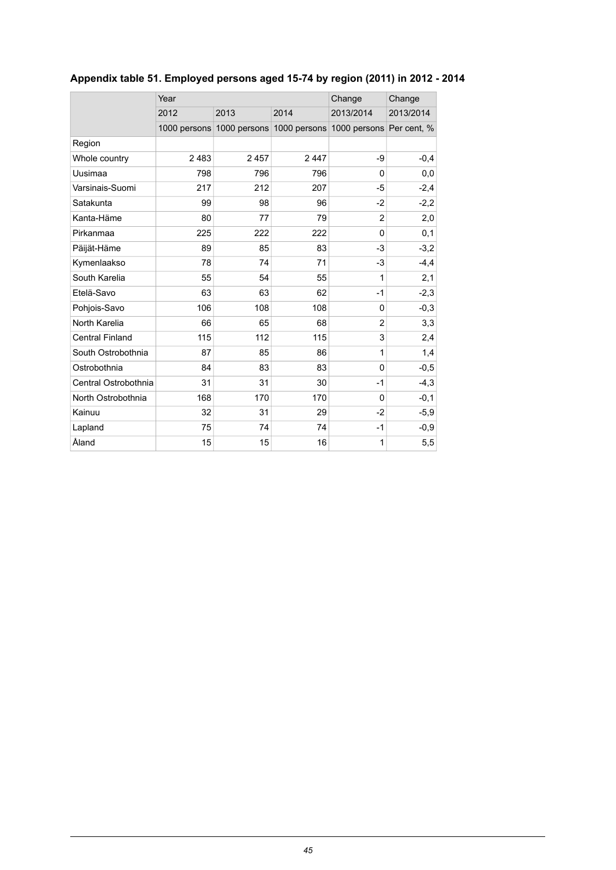|                        | Year |                                        | Change | Change                   |           |
|------------------------|------|----------------------------------------|--------|--------------------------|-----------|
|                        | 2012 | 2013                                   | 2014   | 2013/2014                | 2013/2014 |
|                        |      | 1000 persons 1000 persons 1000 persons |        | 1000 persons Per cent, % |           |
| Region                 |      |                                        |        |                          |           |
| Whole country          | 2483 | 2457                                   | 2447   | -9                       | $-0,4$    |
| Uusimaa                | 798  | 796                                    | 796    | $\Omega$                 | 0,0       |
| Varsinais-Suomi        | 217  | 212                                    | 207    | $-5$                     | $-2,4$    |
| Satakunta              | 99   | 98                                     | 96     | $-2$                     | $-2,2$    |
| Kanta-Häme             | 80   | 77                                     | 79     | $\overline{2}$           | 2,0       |
| Pirkanmaa              | 225  | 222                                    | 222    | $\Omega$                 | 0,1       |
| Päijät-Häme            | 89   | 85                                     | 83     | -3                       | $-3,2$    |
| Kymenlaakso            | 78   | 74                                     | 71     | $-3$                     | $-4,4$    |
| South Karelia          | 55   | 54                                     | 55     | 1                        | 2,1       |
| Etelä-Savo             | 63   | 63                                     | 62     | $-1$                     | $-2,3$    |
| Pohjois-Savo           | 106  | 108                                    | 108    | $\Omega$                 | $-0,3$    |
| North Karelia          | 66   | 65                                     | 68     | $\overline{2}$           | 3,3       |
| <b>Central Finland</b> | 115  | 112                                    | 115    | 3                        | 2,4       |
| South Ostrobothnia     | 87   | 85                                     | 86     | 1                        | 1,4       |
| Ostrobothnia           | 84   | 83                                     | 83     | $\Omega$                 | $-0,5$    |
| Central Ostrobothnia   | 31   | 31                                     | 30     | $-1$                     | $-4,3$    |
| North Ostrobothnia     | 168  | 170                                    | 170    | $\Omega$                 | $-0,1$    |
| Kainuu                 | 32   | 31                                     | 29     | $-2$                     | $-5,9$    |
| Lapland                | 75   | 74                                     | 74     | $-1$                     | $-0,9$    |
| Åland                  | 15   | 15                                     | 16     | 1                        | 5,5       |

## <span id="page-44-0"></span>**Appendix table 51. Employed persons aged 15-74 by region (2011) in 2012 - 2014**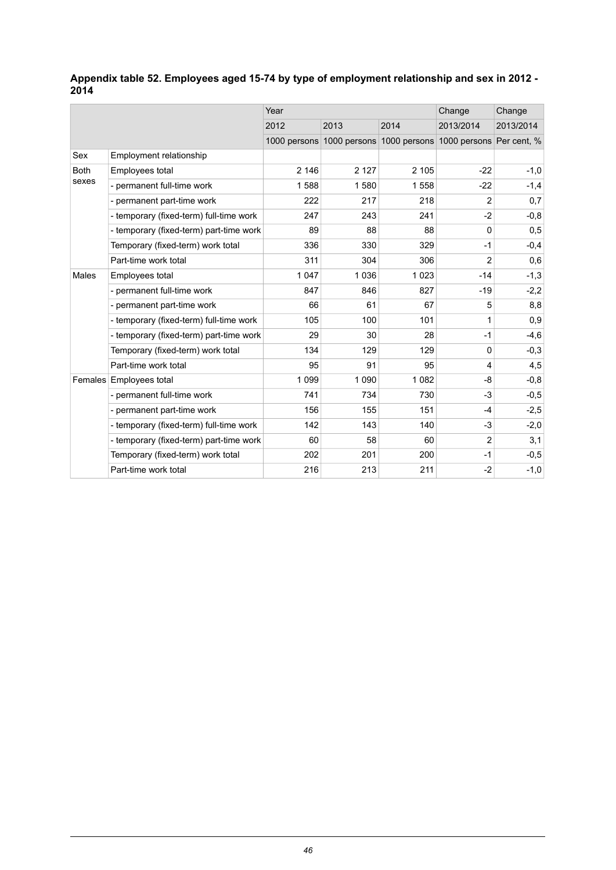## <span id="page-45-0"></span>**Appendix table 52. Employees aged 15-74 by type of employment relationship and sex in 2012 - 2014**

|              |                                         | Year    |         |         | Change                                                          | Change    |
|--------------|-----------------------------------------|---------|---------|---------|-----------------------------------------------------------------|-----------|
|              |                                         | 2012    | 2013    | 2014    | 2013/2014                                                       | 2013/2014 |
|              |                                         |         |         |         | 1000 persons 1000 persons 1000 persons 1000 persons Per cent, % |           |
| Sex          | Employment relationship                 |         |         |         |                                                                 |           |
| <b>Both</b>  | Employees total                         | 2 146   | 2 1 2 7 | 2 1 0 5 | $-22$                                                           | $-1,0$    |
| sexes        | - permanent full-time work              | 1588    | 1580    | 1558    | $-22$                                                           | $-1,4$    |
|              | - permanent part-time work              | 222     | 217     | 218     | 2                                                               | 0,7       |
|              | - temporary (fixed-term) full-time work | 247     | 243     | 241     | $-2$                                                            | $-0,8$    |
|              | - temporary (fixed-term) part-time work | 89      | 88      | 88      | 0                                                               | 0,5       |
|              | Temporary (fixed-term) work total       | 336     | 330     | 329     | $-1$                                                            | $-0,4$    |
|              | Part-time work total                    | 311     | 304     | 306     | 2                                                               | 0,6       |
| <b>Males</b> | Employees total                         | 1 0 4 7 | 1 0 3 6 | 1023    | $-14$                                                           | $-1,3$    |
|              | - permanent full-time work              | 847     | 846     | 827     | $-19$                                                           | $-2,2$    |
|              | - permanent part-time work              | 66      | 61      | 67      | 5                                                               | 8,8       |
|              | - temporary (fixed-term) full-time work | 105     | 100     | 101     | 1                                                               | 0,9       |
|              | - temporary (fixed-term) part-time work | 29      | 30      | 28      | $-1$                                                            | $-4,6$    |
|              | Temporary (fixed-term) work total       | 134     | 129     | 129     | 0                                                               | $-0,3$    |
|              | Part-time work total                    | 95      | 91      | 95      | 4                                                               | 4,5       |
| Females      | <b>Employees total</b>                  | 1 0 9 9 | 1 0 9 0 | 1082    | -8                                                              | $-0,8$    |
|              | - permanent full-time work              | 741     | 734     | 730     | $-3$                                                            | $-0,5$    |
|              | - permanent part-time work              | 156     | 155     | 151     | $-4$                                                            | $-2,5$    |
|              | - temporary (fixed-term) full-time work | 142     | 143     | 140     | $-3$                                                            | $-2,0$    |
|              | - temporary (fixed-term) part-time work | 60      | 58      | 60      | $\overline{2}$                                                  | 3,1       |
|              | Temporary (fixed-term) work total       | 202     | 201     | 200     | $-1$                                                            | $-0,5$    |
|              | Part-time work total                    | 216     | 213     | 211     | $-2$                                                            | $-1,0$    |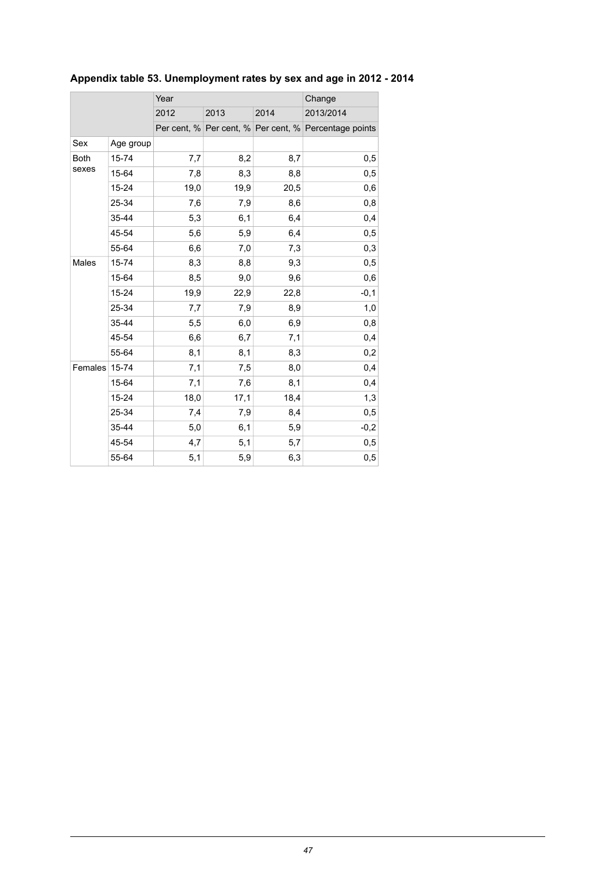|               |           | Year |      |      | Change                                                |  |
|---------------|-----------|------|------|------|-------------------------------------------------------|--|
|               |           | 2012 | 2013 | 2014 | 2013/2014                                             |  |
|               |           |      |      |      | Per cent, % Per cent, % Per cent, % Percentage points |  |
| Sex           | Age group |      |      |      |                                                       |  |
| <b>Both</b>   | 15-74     | 7,7  | 8,2  | 8,7  | 0,5                                                   |  |
| sexes         | 15-64     | 7,8  | 8,3  | 8,8  | 0,5                                                   |  |
|               | 15-24     | 19,0 | 19,9 | 20,5 | 0,6                                                   |  |
|               | 25-34     | 7,6  | 7,9  | 8,6  | 0,8                                                   |  |
|               | 35-44     | 5,3  | 6,1  | 6,4  | 0,4                                                   |  |
|               | 45-54     | 5,6  | 5,9  | 6,4  | 0,5                                                   |  |
|               | 55-64     | 6,6  | 7,0  | 7,3  | 0,3                                                   |  |
| Males         | 15-74     | 8,3  | 8,8  | 9,3  | 0,5                                                   |  |
|               | 15-64     | 8,5  | 9,0  | 9,6  | 0,6                                                   |  |
|               | $15 - 24$ | 19,9 | 22,9 | 22,8 | $-0,1$                                                |  |
|               | 25-34     | 7,7  | 7,9  | 8,9  | 1,0                                                   |  |
|               | 35-44     | 5,5  | 6,0  | 6,9  | 0,8                                                   |  |
|               | 45-54     | 6,6  | 6,7  | 7,1  | 0,4                                                   |  |
|               | 55-64     | 8,1  | 8,1  | 8,3  | 0,2                                                   |  |
| Females 15-74 |           | 7,1  | 7,5  | 8,0  | 0,4                                                   |  |
|               | 15-64     | 7,1  | 7,6  | 8,1  | 0,4                                                   |  |
|               | 15-24     | 18,0 | 17,1 | 18,4 | 1,3                                                   |  |
|               | 25-34     | 7,4  | 7,9  | 8,4  | 0,5                                                   |  |
|               | 35-44     | 5,0  | 6,1  | 5,9  | $-0,2$                                                |  |
|               | 45-54     | 4,7  | 5,1  | 5,7  | 0,5                                                   |  |
|               | 55-64     | 5,1  | 5,9  | 6,3  | 0,5                                                   |  |

## <span id="page-46-0"></span>**Appendix table 53. Unemployment rates by sex and age in 2012 - 2014**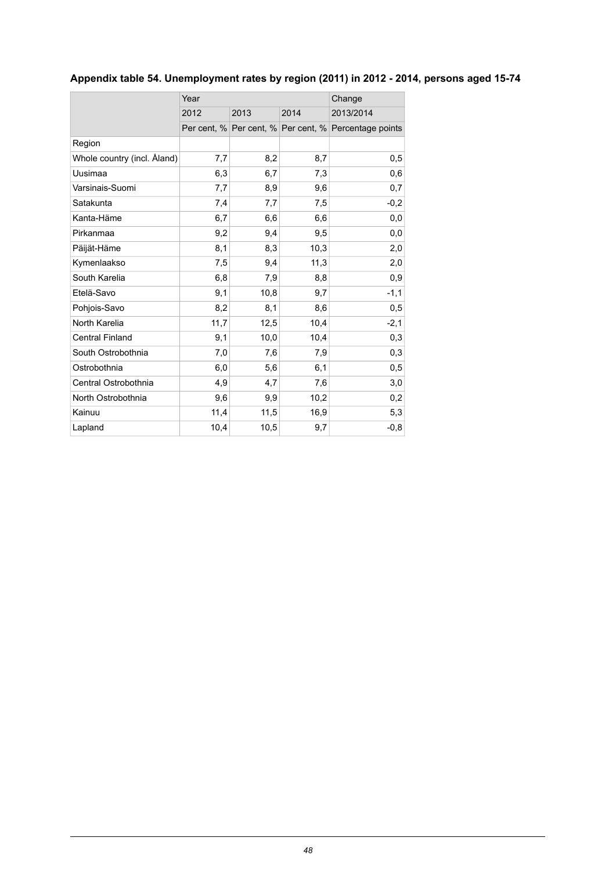## <span id="page-47-0"></span>**Appendix table 54. Unemployment rates by region (2011) in 2012 - 2014, persons aged 15-74**

|                             | Year | Change |      |                                                       |
|-----------------------------|------|--------|------|-------------------------------------------------------|
|                             | 2012 | 2013   | 2014 | 2013/2014                                             |
|                             |      |        |      | Per cent, % Per cent, % Per cent, % Percentage points |
| Region                      |      |        |      |                                                       |
| Whole country (incl. Åland) | 7,7  | 8,2    | 8,7  | 0,5                                                   |
| Uusimaa                     | 6,3  | 6,7    | 7,3  | 0,6                                                   |
| Varsinais-Suomi             | 7,7  | 8,9    | 9,6  | 0,7                                                   |
| Satakunta                   | 7,4  | 7,7    | 7,5  | $-0,2$                                                |
| Kanta-Häme                  | 6,7  | 6,6    | 6,6  | 0,0                                                   |
| Pirkanmaa                   | 9,2  | 9,4    | 9,5  | 0,0                                                   |
| Päijät-Häme                 | 8,1  | 8,3    | 10,3 | 2,0                                                   |
| Kymenlaakso                 | 7,5  | 9,4    | 11,3 | 2,0                                                   |
| South Karelia               | 6,8  | 7,9    | 8,8  | 0,9                                                   |
| Etelä-Savo                  | 9,1  | 10,8   | 9,7  | $-1,1$                                                |
| Pohjois-Savo                | 8,2  | 8,1    | 8,6  | 0,5                                                   |
| North Karelia               | 11,7 | 12,5   | 10,4 | $-2,1$                                                |
| <b>Central Finland</b>      | 9,1  | 10,0   | 10,4 | 0,3                                                   |
| South Ostrobothnia          | 7,0  | 7,6    | 7,9  | 0,3                                                   |
| Ostrobothnia                | 6,0  | 5,6    | 6,1  | 0,5                                                   |
| Central Ostrobothnia        | 4,9  | 4,7    | 7,6  | 3,0                                                   |
| North Ostrobothnia          | 9,6  | 9,9    | 10,2 | 0,2                                                   |
| Kainuu                      | 11,4 | 11,5   | 16,9 | 5,3                                                   |
| Lapland                     | 10,4 | 10,5   | 9,7  | $-0,8$                                                |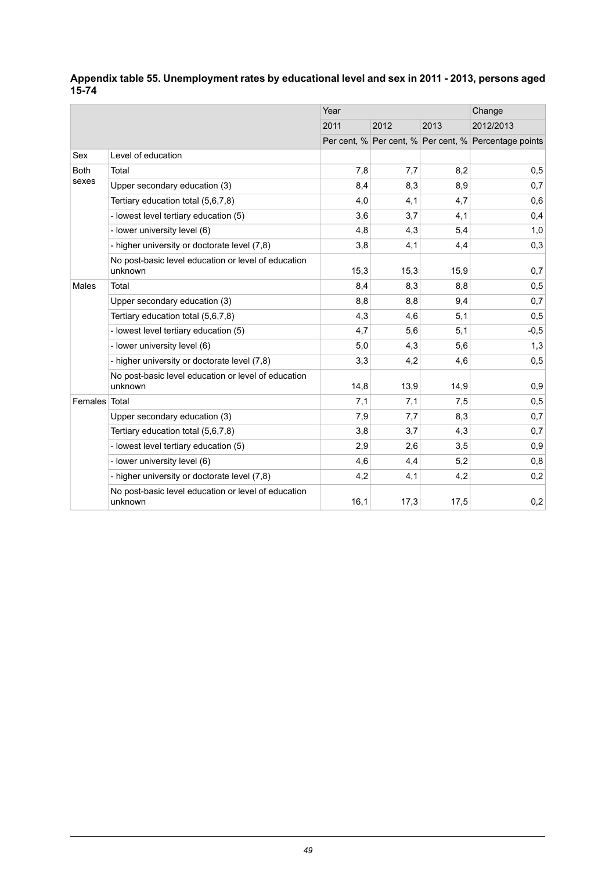|               |                                                                | Year |      |      | Change                                                |
|---------------|----------------------------------------------------------------|------|------|------|-------------------------------------------------------|
|               |                                                                | 2011 | 2012 | 2013 | 2012/2013                                             |
|               |                                                                |      |      |      | Per cent, % Per cent, % Per cent, % Percentage points |
| Sex           | Level of education                                             |      |      |      |                                                       |
| <b>Both</b>   | Total                                                          | 7,8  | 7,7  | 8,2  | 0,5                                                   |
| sexes         | Upper secondary education (3)                                  | 8,4  | 8,3  | 8,9  | 0,7                                                   |
|               | Tertiary education total (5.6.7.8)                             | 4,0  | 4,1  | 4,7  | 0,6                                                   |
|               | - lowest level tertiary education (5)                          | 3,6  | 3,7  | 4,1  | 0,4                                                   |
|               | - lower university level (6)                                   | 4,8  | 4,3  | 5,4  | 1,0                                                   |
|               | - higher university or doctorate level (7,8)                   | 3,8  | 4,1  | 4,4  | 0,3                                                   |
|               | No post-basic level education or level of education<br>unknown | 15,3 | 15,3 | 15,9 | 0,7                                                   |
| Males         | Total                                                          | 8,4  | 8,3  | 8,8  | 0,5                                                   |
|               | Upper secondary education (3)                                  | 8,8  | 8,8  | 9,4  | 0,7                                                   |
|               | Tertiary education total (5,6,7,8)                             | 4,3  | 4,6  | 5,1  | 0,5                                                   |
|               | - lowest level tertiary education (5)                          | 4,7  | 5,6  | 5,1  | $-0,5$                                                |
|               | - lower university level (6)                                   | 5,0  | 4,3  | 5,6  | 1,3                                                   |
|               | - higher university or doctorate level (7,8)                   | 3,3  | 4,2  | 4,6  | 0,5                                                   |
|               | No post-basic level education or level of education<br>unknown | 14,8 | 13,9 | 14,9 | 0,9                                                   |
| Females Total |                                                                | 7,1  | 7,1  | 7,5  | 0,5                                                   |
|               | Upper secondary education (3)                                  | 7,9  | 7,7  | 8,3  | 0,7                                                   |
|               | Tertiary education total (5,6,7,8)                             | 3,8  | 3,7  | 4,3  | 0,7                                                   |
|               | - lowest level tertiary education (5)                          | 2,9  | 2,6  | 3,5  | 0,9                                                   |
|               | - lower university level (6)                                   | 4,6  | 4,4  | 5,2  | 0,8                                                   |
|               | - higher university or doctorate level (7,8)                   | 4,2  | 4,1  | 4,2  | 0,2                                                   |
|               | No post-basic level education or level of education<br>unknown | 16,1 | 17,3 | 17,5 | 0,2                                                   |

#### <span id="page-48-0"></span>**Appendix table 55. Unemployment rates by educational level and sex in 2011 - 2013, persons aged 15-74**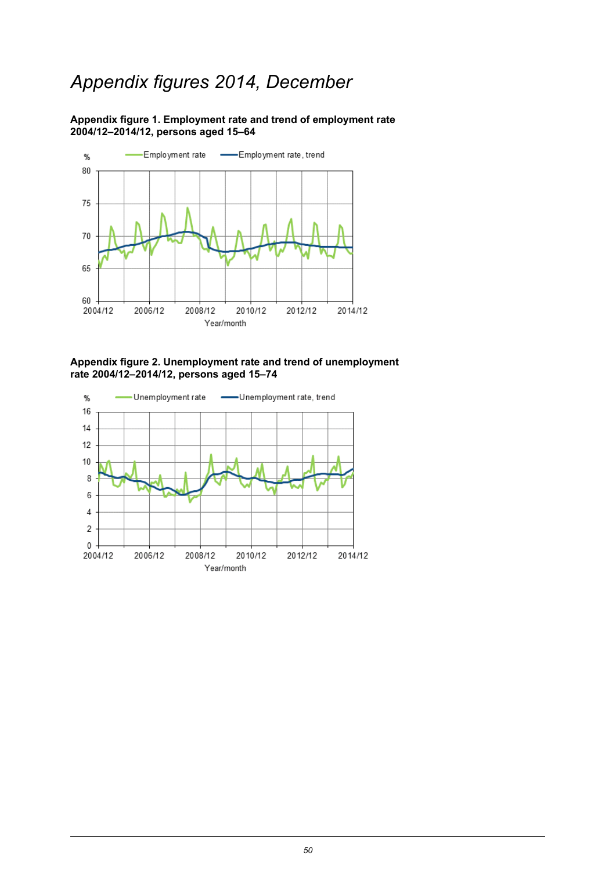## *Appendix figures 2014, December*

<span id="page-49-0"></span>**Appendix figure 1. Employment rate and trend of employment rate 2004/12–2014/12, persons aged 15–64**



<span id="page-49-1"></span>**Appendix figure 2. Unemployment rate and trend of unemployment rate 2004/12–2014/12, persons aged 15–74**

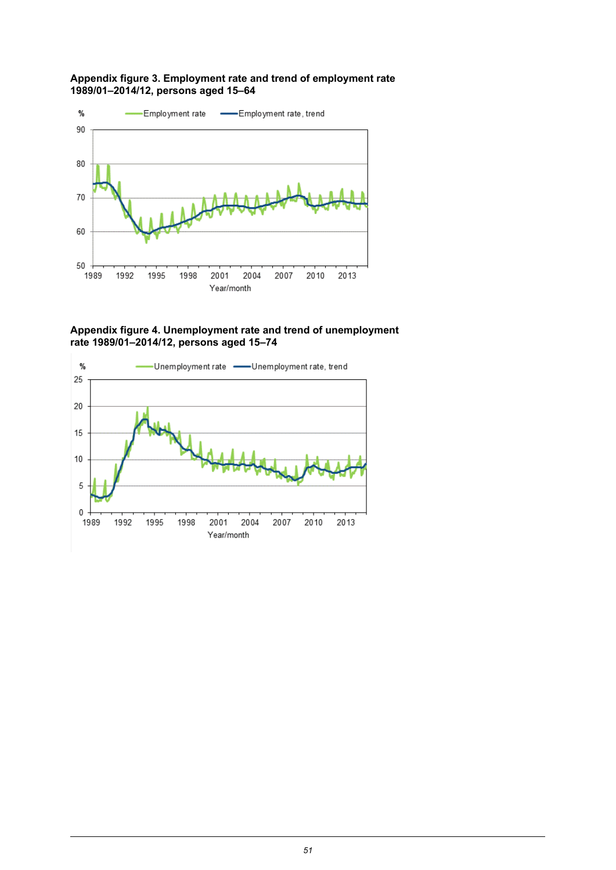#### <span id="page-50-0"></span>**Appendix figure 3. Employment rate and trend of employment rate 1989/01–2014/12, persons aged 15–64**



<span id="page-50-1"></span>**Appendix figure 4. Unemployment rate and trend of unemployment rate 1989/01–2014/12, persons aged 15–74**

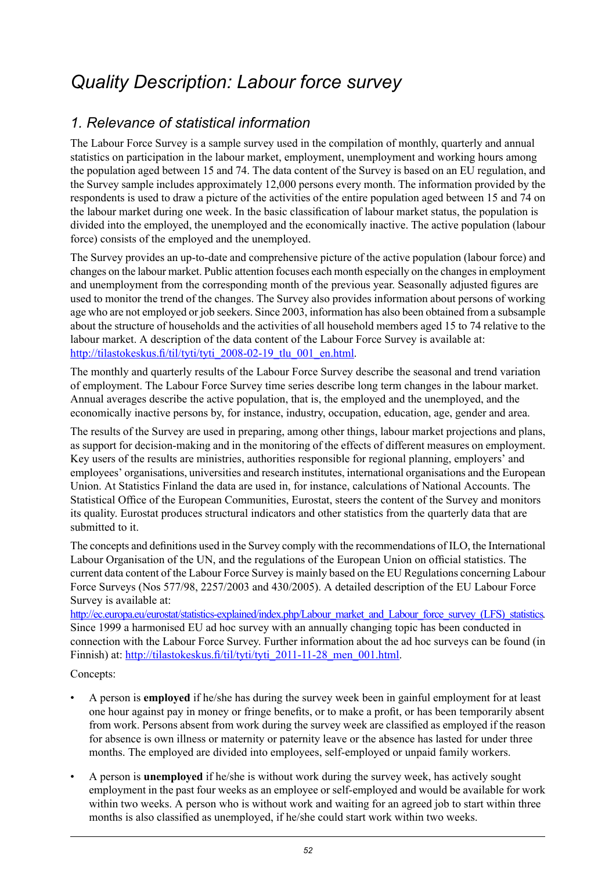## <span id="page-51-0"></span>*Quality Description: Labour force survey*

## *1. Relevance of statistical information*

The Labour Force Survey is a sample survey used in the compilation of monthly, quarterly and annual statistics on participation in the labour market, employment, unemployment and working hours among the population aged between 15 and 74. The data content of the Survey is based on an EU regulation, and the Survey sample includes approximately 12,000 persons every month. The information provided by the respondents is used to draw a picture of the activities of the entire population aged between 15 and 74 on the labour market during one week. In the basic classification of labour market status, the population is divided into the employed, the unemployed and the economically inactive. The active population (labour force) consists of the employed and the unemployed.

The Survey provides an up-to-date and comprehensive picture of the active population (labour force) and changes on the labour market. Public attention focuses each month especially on the changes in employment and unemployment from the corresponding month of the previous year. Seasonally adjusted figures are used to monitor the trend of the changes. The Survey also provides information about persons of working age who are not employed or job seekers. Since 2003, information has also been obtained from a subsample about the structure of households and the activities of all household members aged 15 to 74 relative to the labour market. A description of the data content of the Labour Force Survey is available at: [http://tilastokeskus.fi/til/tyti/tyti\\_2008-02-19\\_tlu\\_001\\_en.html](http://tilastokeskus.fi/til/tyti/tyti_2008-02-19_tlu_001_en.html).

The monthly and quarterly results of the Labour Force Survey describe the seasonal and trend variation of employment. The Labour Force Survey time series describe long term changes in the labour market. Annual averages describe the active population, that is, the employed and the unemployed, and the economically inactive persons by, for instance, industry, occupation, education, age, gender and area.

The results of the Survey are used in preparing, among other things, labour market projections and plans, as support for decision-making and in the monitoring of the effects of different measures on employment. Key users of the results are ministries, authorities responsible for regional planning, employers' and employees' organisations, universities and research institutes, international organisations and the European Union. At Statistics Finland the data are used in, for instance, calculations of National Accounts. The Statistical Office of the European Communities, Eurostat, steers the content of the Survey and monitors its quality. Eurostat produces structural indicators and other statistics from the quarterly data that are submitted to it.

The concepts and definitions used in the Survey comply with the recommendations of ILO, the International Labour Organisation of the UN, and the regulations of the European Union on official statistics. The current data content of the Labour Force Survey is mainly based on the EU Regulations concerning Labour Force Surveys (Nos 577/98, 2257/2003 and 430/2005). A detailed description of the EU Labour Force Survey is available at:

[http://ec.europa.eu/eurostat/statistics-explained/index.php/Labour\\_market\\_and\\_Labour\\_force\\_survey\\_\(LFS\)\\_statistics.](http://ec.europa.eu/eurostat/statistics-explained/index.php/Labour_market_and_Labour_force_survey_(LFS)_statistics) Since 1999 a harmonised EU ad hoc survey with an annually changing topic has been conducted in connection with the Labour Force Survey. Further information about the ad hoc surveys can be found (in Finnish) at: [http://tilastokeskus.fi/til/tyti/tyti\\_2011-11-28\\_men\\_001.html.](http://tilastokeskus.fi/til/tyti/tyti_2011-11-28_men_001.html)

#### Concepts:

- A person is **employed** if he/she has during the survey week been in gainful employment for at least one hour against pay in money or fringe benefits, or to make a profit, or has been temporarily absent from work. Persons absent from work during the survey week are classified as employed if the reason for absence is own illness or maternity or paternity leave or the absence has lasted for under three months. The employed are divided into employees, self-employed or unpaid family workers.
- A person is **unemployed** if he/she is without work during the survey week, has actively sought employment in the past four weeks as an employee or self-employed and would be available for work within two weeks. A person who is without work and waiting for an agreed job to start within three months is also classified as unemployed, if he/she could start work within two weeks.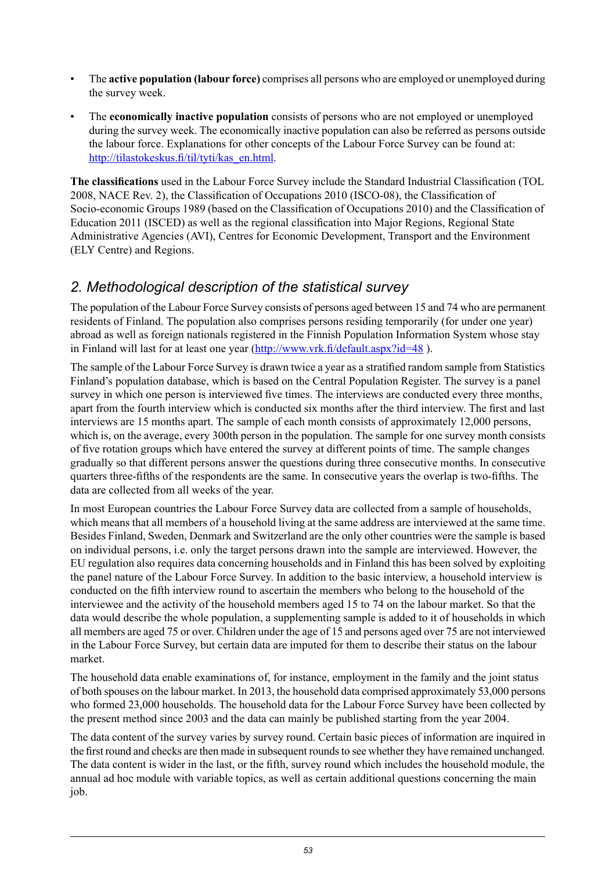- The **active population (labour force)** comprises all persons who are employed or unemployed during the survey week.
- The **economically inactive population** consists of persons who are not employed or unemployed during the survey week. The economically inactive population can also be referred as persons outside the labour force. Explanations for other concepts of the Labour Force Survey can be found at: [http://tilastokeskus.fi/til/tyti/kas\\_en.html](http://tilastokeskus.fi/til/tyti/kas_en.html).

**The classifications** used in the Labour Force Survey include the Standard Industrial Classification (TOL 2008, NACE Rev. 2), the Classification of Occupations 2010 (ISCO-08), the Classification of Socio-economic Groups 1989 (based on the Classification of Occupations 2010) and the Classification of Education 2011 (ISCED) as well as the regional classification into Major Regions, Regional State Administrative Agencies (AVI), Centres for Economic Development, Transport and the Environment (ELY Centre) and Regions.

## *2. Methodological description of the statistical survey*

The population of the Labour Force Survey consists of persons aged between 15 and 74 who are permanent residents of Finland. The population also comprises persons residing temporarily (for under one year) abroad as well as foreign nationals registered in the Finnish Population Information System whose stay in Finland will last for at least one year (<http://www.vrk.fi/default.aspx?id=48> ).

The sample of the Labour Force Survey is drawn twice a year as a stratified random sample from Statistics Finland's population database, which is based on the Central Population Register. The survey is a panel survey in which one person is interviewed five times. The interviews are conducted every three months, apart from the fourth interview which is conducted six months after the third interview. The first and last interviews are 15 months apart. The sample of each month consists of approximately 12,000 persons, which is, on the average, every 300th person in the population. The sample for one survey month consists of five rotation groups which have entered the survey at different points of time. The sample changes gradually so that different persons answer the questions during three consecutive months. In consecutive quarters three-fifths of the respondents are the same. In consecutive years the overlap is two-fifths. The data are collected from all weeks of the year.

In most European countries the Labour Force Survey data are collected from a sample of households, which means that all members of a household living at the same address are interviewed at the same time. Besides Finland, Sweden, Denmark and Switzerland are the only other countries were the sample is based on individual persons, i.e. only the target persons drawn into the sample are interviewed. However, the EU regulation also requires data concerning households and in Finland this has been solved by exploiting the panel nature of the Labour Force Survey. In addition to the basic interview, a household interview is conducted on the fifth interview round to ascertain the members who belong to the household of the interviewee and the activity of the household members aged 15 to 74 on the labour market. So that the data would describe the whole population, a supplementing sample is added to it of households in which all members are aged 75 or over. Children under the age of 15 and persons aged over 75 are not interviewed in the Labour Force Survey, but certain data are imputed for them to describe their status on the labour market.

The household data enable examinations of, for instance, employment in the family and the joint status of both spouses on the labour market. In 2013, the household data comprised approximately 53,000 persons who formed 23,000 households. The household data for the Labour Force Survey have been collected by the present method since 2003 and the data can mainly be published starting from the year 2004.

The data content of the survey varies by survey round. Certain basic pieces of information are inquired in the first round and checks are then made in subsequent rounds to see whether they have remained unchanged. The data content is wider in the last, or the fifth, survey round which includes the household module, the annual ad hoc module with variable topics, as well as certain additional questions concerning the main job.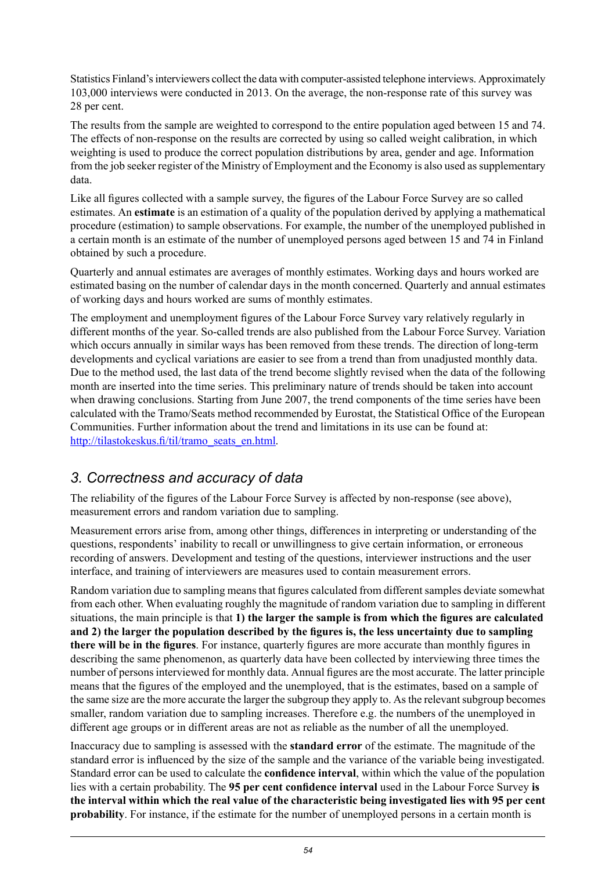Statistics Finland's interviewers collect the data with computer-assisted telephone interviews. Approximately 103,000 interviews were conducted in 2013. On the average, the non-response rate of this survey was 28 per cent.

The results from the sample are weighted to correspond to the entire population aged between 15 and 74. The effects of non-response on the results are corrected by using so called weight calibration, in which weighting is used to produce the correct population distributions by area, gender and age. Information from the job seeker register of the Ministry of Employment and the Economy is also used as supplementary data.

Like all figures collected with a sample survey, the figures of the Labour Force Survey are so called estimates. An **estimate** is an estimation of a quality of the population derived by applying a mathematical procedure (estimation) to sample observations. For example, the number of the unemployed published in a certain month is an estimate of the number of unemployed persons aged between 15 and 74 in Finland obtained by such a procedure.

Quarterly and annual estimates are averages of monthly estimates. Working days and hours worked are estimated basing on the number of calendar days in the month concerned. Quarterly and annual estimates of working days and hours worked are sums of monthly estimates.

The employment and unemployment figures of the Labour Force Survey vary relatively regularly in different months of the year. So-called trends are also published from the Labour Force Survey. Variation which occurs annually in similar ways has been removed from these trends. The direction of long-term developments and cyclical variations are easier to see from a trend than from unadjusted monthly data. Due to the method used, the last data of the trend become slightly revised when the data of the following month are inserted into the time series. This preliminary nature of trends should be taken into account when drawing conclusions. Starting from June 2007, the trend components of the time series have been calculated with the Tramo/Seats method recommended by Eurostat, the Statistical Office of the European Communities. Further information about the trend and limitations in its use can be found at: [http://tilastokeskus.fi/til/tramo\\_seats\\_en.html](http://tilastokeskus.fi/til/tramo_seats_en.html).

## *3. Correctness and accuracy of data*

The reliability of the figures of the Labour Force Survey is affected by non-response (see above), measurement errors and random variation due to sampling.

Measurement errors arise from, among other things, differences in interpreting or understanding of the questions, respondents' inability to recall or unwillingness to give certain information, or erroneous recording of answers. Development and testing of the questions, interviewer instructions and the user interface, and training of interviewers are measures used to contain measurement errors.

Random variation due to sampling means that figures calculated from different samples deviate somewhat from each other. When evaluating roughly the magnitude of random variation due to sampling in different situations, the main principle is that **1) the larger the sample is from which the figures are calculated and 2) the larger the population described by the figures is, the less uncertainty due to sampling there will be in the figures**. For instance, quarterly figures are more accurate than monthly figures in describing the same phenomenon, as quarterly data have been collected by interviewing three times the number of persons interviewed for monthly data. Annual figures are the most accurate. The latter principle means that the figures of the employed and the unemployed, that is the estimates, based on a sample of the same size are the more accurate the larger the subgroup they apply to. As the relevant subgroup becomes smaller, random variation due to sampling increases. Therefore e.g. the numbers of the unemployed in different age groups or in different areas are not as reliable as the number of all the unemployed.

Inaccuracy due to sampling is assessed with the **standard error** of the estimate. The magnitude of the standard error is influenced by the size of the sample and the variance of the variable being investigated. Standard error can be used to calculate the **confidence interval**, within which the value of the population lies with a certain probability. The **95 per cent confidence interval** used in the Labour Force Survey **is the interval within which the real value of the characteristic being investigated lies with 95 per cent probability**. For instance, if the estimate for the number of unemployed persons in a certain month is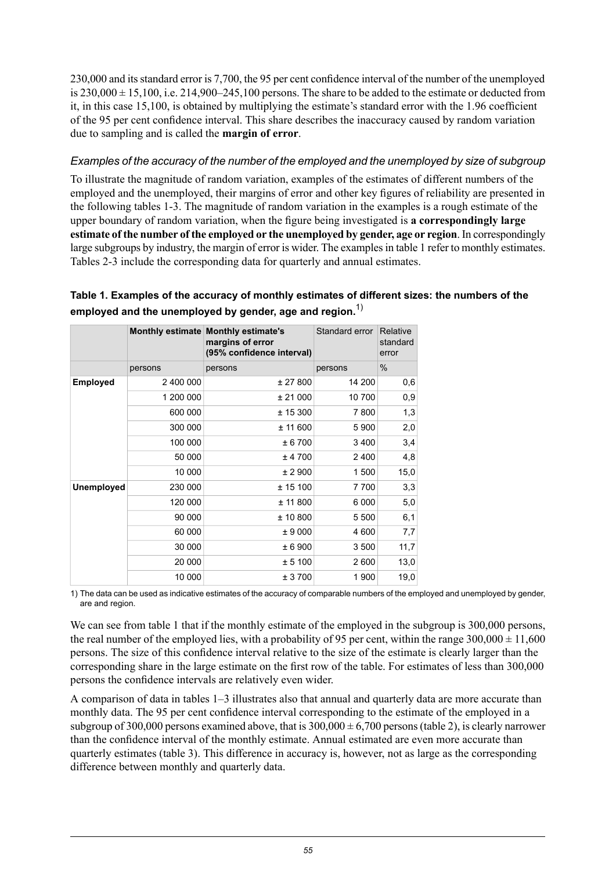230,000 and itsstandard error is 7,700, the 95 per cent confidence interval of the number of the unemployed is  $230,000 \pm 15,100$ , i.e.  $214,900-245,100$  persons. The share to be added to the estimate or deducted from it, in this case 15,100, is obtained by multiplying the estimate's standard error with the 1.96 coefficient of the 95 per cent confidence interval. This share describes the inaccuracy caused by random variation due to sampling and is called the **margin of error**.

#### *Examples of the accuracy of the number of the employed and the unemployed by size of subgroup*

To illustrate the magnitude of random variation, examples of the estimates of different numbers of the employed and the unemployed, their margins of error and other key figures of reliability are presented in the following tables 1-3. The magnitude of random variation in the examples is a rough estimate of the upper boundary of random variation, when the figure being investigated is **a correspondingly large estimate of the number of the employed or the unemployed by gender, age or region**. In correspondingly large subgroups by industry, the margin of error is wider. The examplesin table 1 refer to monthly estimates. Tables 2-3 include the corresponding data for quarterly and annual estimates.

|                   |           | Monthly estimate Monthly estimate's<br>margins of error<br>(95% confidence interval) | Standard error | Relative<br>standard<br>error |
|-------------------|-----------|--------------------------------------------------------------------------------------|----------------|-------------------------------|
|                   | persons   | persons                                                                              | persons        | $\%$                          |
| <b>Employed</b>   | 2 400 000 | ± 27800                                                                              | 14 200         | 0,6                           |
|                   | 1 200 000 | ± 21000                                                                              | 10 700         | 0,9                           |
|                   | 600 000   | ± 15300                                                                              | 7800           | 1,3                           |
|                   | 300 000   | ± 11600                                                                              | 5900           | 2,0                           |
|                   | 100 000   | ± 6700                                                                               | 3400           | 3,4                           |
|                   | 50 000    | ± 4700                                                                               | 2400           | 4,8                           |
|                   | 10 000    | ± 2900                                                                               | 1500           | 15,0                          |
| <b>Unemployed</b> | 230 000   | ± 15100                                                                              | 7700           | 3,3                           |
|                   | 120 000   | ± 11 800                                                                             | 6000           | 5,0                           |
|                   | 90 000    | ± 10800                                                                              | 5 500          | 6,1                           |
|                   | 60 000    | ± 9000                                                                               | 4 600          | 7,7                           |
|                   | 30 000    | ± 6900                                                                               | 3500           | 11,7                          |
|                   | 20 000    | ± 5100                                                                               | 2600           | 13,0                          |
|                   | 10 000    | ± 3700                                                                               | 1900           | 19,0                          |

### **Table 1. Examples of the accuracy of monthly estimates of different sizes: the numbers of the employed and the unemployed by gender, age and region.**1)

1) The data can be used as indicative estimates of the accuracy of comparable numbers of the employed and unemployed by gender, are and region.

We can see from table 1 that if the monthly estimate of the employed in the subgroup is 300,000 persons, the real number of the employed lies, with a probability of 95 per cent, within the range  $300,000 \pm 11,600$ persons. The size of this confidence interval relative to the size of the estimate is clearly larger than the corresponding share in the large estimate on the first row of the table. For estimates of less than 300,000 persons the confidence intervals are relatively even wider.

A comparison of data in tables 1–3 illustrates also that annual and quarterly data are more accurate than monthly data. The 95 per cent confidence interval corresponding to the estimate of the employed in a subgroup of 300,000 persons examined above, that is  $300,000 \pm 6,700$  persons (table 2), is clearly narrower than the confidence interval of the monthly estimate. Annual estimated are even more accurate than quarterly estimates (table 3). This difference in accuracy is, however, not as large as the corresponding difference between monthly and quarterly data.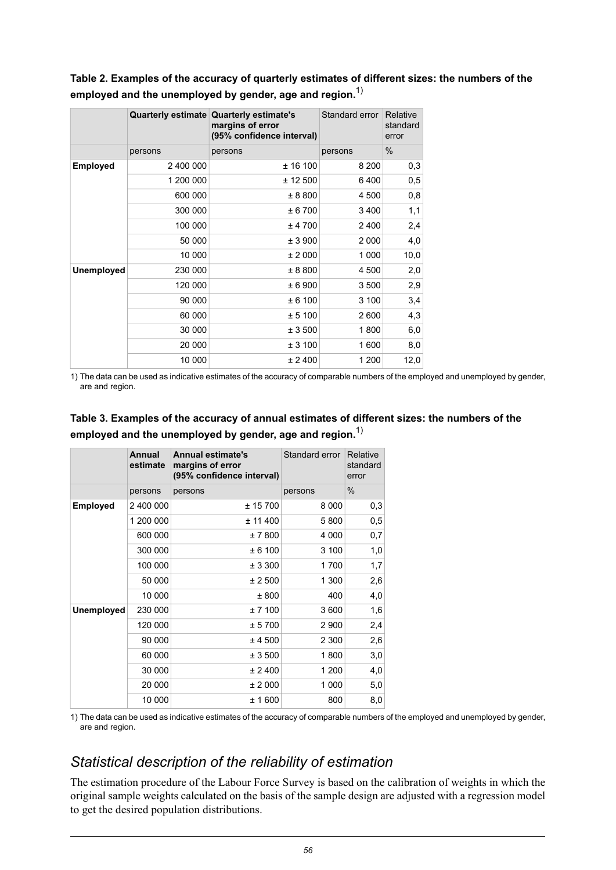**Table 2. Examples of the accuracy of quarterly estimates of different sizes: the numbers of the employed and the unemployed by gender, age and region.**1)

|                   |           | Quarterly estimate Quarterly estimate's<br>margins of error<br>(95% confidence interval) | Standard error | Relative<br>standard<br>error |
|-------------------|-----------|------------------------------------------------------------------------------------------|----------------|-------------------------------|
|                   | persons   | persons                                                                                  | persons        | $\%$                          |
| <b>Employed</b>   | 2 400 000 | ± 16100                                                                                  | 8 2 0 0        | 0,3                           |
|                   | 1 200 000 | ± 12500                                                                                  | 6400           | 0,5                           |
|                   | 600 000   | ± 8800                                                                                   | 4 500          | 0,8                           |
|                   | 300 000   | ± 6700                                                                                   | 3 4 0 0        | 1,1                           |
|                   | 100 000   | ± 4700                                                                                   | 2400           | 2,4                           |
|                   | 50 000    | ± 3900                                                                                   | 2 0 0 0        | 4,0                           |
|                   | 10 000    | ± 2000                                                                                   | 1 0 0 0        | 10,0                          |
| <b>Unemployed</b> | 230 000   | ± 8800                                                                                   | 4 500          | 2,0                           |
|                   | 120 000   | ± 6900                                                                                   | 3500           | 2,9                           |
|                   | 90 000    | ± 6100                                                                                   | 3 100          | 3,4                           |
|                   | 60 000    | ± 5100                                                                                   | 2600           | 4,3                           |
|                   | 30 000    | ± 3500                                                                                   | 1800           | 6,0                           |
|                   | 20 000    | ± 3100                                                                                   | 1600           | 8,0                           |
|                   | 10 000    | ± 2400                                                                                   | 1 200          | 12,0                          |

1) The data can be used as indicative estimates of the accuracy of comparable numbers of the employed and unemployed by gender, are and region.

#### **Table 3. Examples of the accuracy of annual estimates of different sizes: the numbers of the employed and the unemployed by gender, age and region.**1)

|            | <b>Annual</b><br>estimate | <b>Annual estimate's</b><br>margins of error<br>(95% confidence interval) | Standard error | Relative<br>standard<br>error |
|------------|---------------------------|---------------------------------------------------------------------------|----------------|-------------------------------|
|            | persons                   | persons                                                                   | persons        | $\%$                          |
| Employed   | 2 400 000                 | ± 15700                                                                   | 8 0 0 0        | 0,3                           |
|            | 1 200 000                 | ± 11400                                                                   | 5800           | 0,5                           |
|            | 600 000                   | ± 7 800                                                                   | 4 0 0 0        | 0,7                           |
|            | 300 000                   | ± 6100                                                                    | 3 100          | 1,0                           |
|            | 100 000                   | ± 3300                                                                    | 1700           | 1,7                           |
|            | 50 000                    | ± 2500                                                                    | 1 300          | 2,6                           |
|            | 10 000                    | ± 800                                                                     | 400            | 4,0                           |
| Unemployed | 230 000                   | ± 7100                                                                    | 3 600          | 1,6                           |
|            | 120 000                   | ± 5700                                                                    | 2 900          | 2,4                           |
|            | 90 000                    | ± 4 500                                                                   | 2 300          | 2,6                           |
|            | 60 000                    | ± 3500                                                                    | 1800           | 3,0                           |
|            | 30 000                    | ± 2400                                                                    | 1 200          | 4,0                           |
|            | 20 000                    | ± 2000                                                                    | 1 000          | 5,0                           |
|            | 10 000                    | ± 1 600                                                                   | 800            | 8,0                           |

1) The data can be used as indicative estimates of the accuracy of comparable numbers of the employed and unemployed by gender, are and region.

## *Statistical description of the reliability of estimation*

The estimation procedure of the Labour Force Survey is based on the calibration of weights in which the original sample weights calculated on the basis of the sample design are adjusted with a regression model to get the desired population distributions.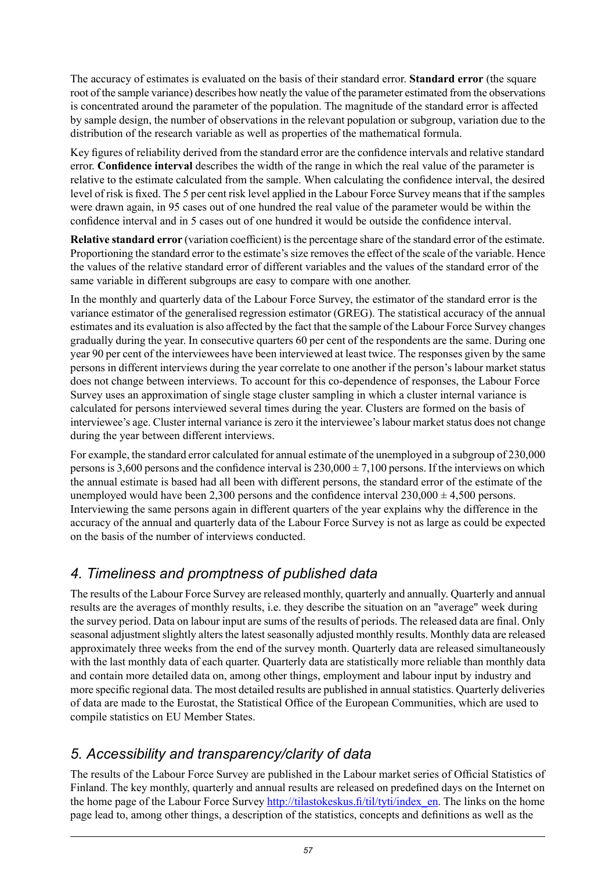The accuracy of estimates is evaluated on the basis of their standard error. **Standard error** (the square root of the sample variance) describes how neatly the value of the parameter estimated from the observations is concentrated around the parameter of the population. The magnitude of the standard error is affected by sample design, the number of observations in the relevant population or subgroup, variation due to the distribution of the research variable as well as properties of the mathematical formula.

Key figures of reliability derived from the standard error are the confidence intervals and relative standard error. **Confidence interval** describes the width of the range in which the real value of the parameter is relative to the estimate calculated from the sample. When calculating the confidence interval, the desired level of risk is fixed. The 5 per cent risk level applied in the Labour Force Survey meansthat if the samples were drawn again, in 95 cases out of one hundred the real value of the parameter would be within the confidence interval and in 5 cases out of one hundred it would be outside the confidence interval.

**Relative standard error** (variation coefficient) isthe percentage share of the standard error of the estimate. Proportioning the standard error to the estimate's size removes the effect of the scale of the variable. Hence the values of the relative standard error of different variables and the values of the standard error of the same variable in different subgroups are easy to compare with one another.

In the monthly and quarterly data of the Labour Force Survey, the estimator of the standard error is the variance estimator of the generalised regression estimator (GREG). The statistical accuracy of the annual estimates and its evaluation is also affected by the fact that the sample of the Labour Force Survey changes gradually during the year. In consecutive quarters 60 per cent of the respondents are the same. During one year 90 per cent of the interviewees have been interviewed at least twice. The responses given by the same persons in different interviews during the year correlate to one another if the person's labour market status does not change between interviews. To account for this co-dependence of responses, the Labour Force Survey uses an approximation of single stage cluster sampling in which a cluster internal variance is calculated for persons interviewed several times during the year. Clusters are formed on the basis of interviewee's age. Cluster internal variance is zero it the interviewee's labour market status does not change during the year between different interviews.

For example, the standard error calculated for annual estimate of the unemployed in a subgroup of 230,000 persons is 3,600 persons and the confidence interval is  $230,000 \pm 7,100$  persons. If the interviews on which the annual estimate is based had all been with different persons, the standard error of the estimate of the unemployed would have been 2,300 persons and the confidence interval  $230,000 \pm 4,500$  persons. Interviewing the same persons again in different quarters of the year explains why the difference in the accuracy of the annual and quarterly data of the Labour Force Survey is not as large as could be expected on the basis of the number of interviews conducted.

## *4. Timeliness and promptness of published data*

The results of the Labour Force Survey are released monthly, quarterly and annually. Quarterly and annual results are the averages of monthly results, i.e. they describe the situation on an "average" week during the survey period. Data on labour input are sums of the results of periods. The released data are final. Only seasonal adjustment slightly alters the latest seasonally adjusted monthly results. Monthly data are released approximately three weeks from the end of the survey month. Quarterly data are released simultaneously with the last monthly data of each quarter. Quarterly data are statistically more reliable than monthly data and contain more detailed data on, among other things, employment and labour input by industry and more specific regional data. The most detailed results are published in annual statistics. Quarterly deliveries of data are made to the Eurostat, the Statistical Office of the European Communities, which are used to compile statistics on EU Member States.

## *5. Accessibility and transparency/clarity of data*

The results of the Labour Force Survey are published in the Labour market series of Official Statistics of Finland. The key monthly, quarterly and annual results are released on predefined days on the Internet on the home page of the Labour Force Survey [http://tilastokeskus.fi/til/tyti/index\\_en](http://tilastokeskus.fi/til/tyti/index_en). The links on the home page lead to, among other things, a description of the statistics, concepts and definitions as well as the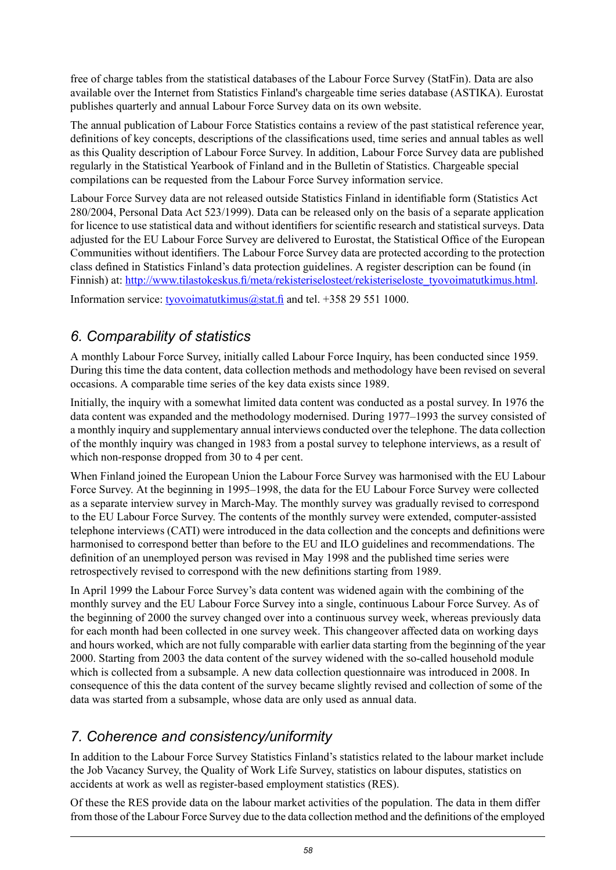free of charge tables from the statistical databases of the Labour Force Survey (StatFin). Data are also available over the Internet from Statistics Finland's chargeable time series database (ASTIKA). Eurostat publishes quarterly and annual Labour Force Survey data on its own website.

The annual publication of Labour Force Statistics contains a review of the past statistical reference year, definitions of key concepts, descriptions of the classifications used, time series and annual tables as well as this Quality description of Labour Force Survey. In addition, Labour Force Survey data are published regularly in the Statistical Yearbook of Finland and in the Bulletin of Statistics. Chargeable special compilations can be requested from the Labour Force Survey information service.

Labour Force Survey data are not released outside Statistics Finland in identifiable form (Statistics Act 280/2004, Personal Data Act 523/1999). Data can be released only on the basis of a separate application for licence to use statistical data and without identifiers for scientific research and statistical surveys. Data adjusted for the EU Labour Force Survey are delivered to Eurostat, the Statistical Office of the European Communities without identifiers. The Labour Force Survey data are protected according to the protection class defined in Statistics Finland's data protection guidelines. A register description can be found (in Finnish) at: [http://www.tilastokeskus.fi/meta/rekisteriselosteet/rekisteriseloste\\_tyovoimatutkimus.html](http://www.tilastokeskus.fi/meta/rekisteriselosteet/rekisteriseloste_tyovoimatutkimus.html).

Information service: [tyovoimatutkimus@stat.fi](mailto:tyovoimatutkimus@stat.fi) and tel. +358 29 551 1000.

## *6. Comparability of statistics*

A monthly Labour Force Survey, initially called Labour Force Inquiry, has been conducted since 1959. During this time the data content, data collection methods and methodology have been revised on several occasions. A comparable time series of the key data exists since 1989.

Initially, the inquiry with a somewhat limited data content was conducted as a postal survey. In 1976 the data content was expanded and the methodology modernised. During 1977–1993 the survey consisted of a monthly inquiry and supplementary annual interviews conducted over the telephone. The data collection of the monthly inquiry was changed in 1983 from a postal survey to telephone interviews, as a result of which non-response dropped from 30 to 4 per cent.

When Finland joined the European Union the Labour Force Survey was harmonised with the EU Labour Force Survey. At the beginning in 1995–1998, the data for the EU Labour Force Survey were collected as a separate interview survey in March-May. The monthly survey was gradually revised to correspond to the EU Labour Force Survey. The contents of the monthly survey were extended, computer-assisted telephone interviews (CATI) were introduced in the data collection and the concepts and definitions were harmonised to correspond better than before to the EU and ILO guidelines and recommendations. The definition of an unemployed person was revised in May 1998 and the published time series were retrospectively revised to correspond with the new definitions starting from 1989.

In April 1999 the Labour Force Survey's data content was widened again with the combining of the monthly survey and the EU Labour Force Survey into a single, continuous Labour Force Survey. As of the beginning of 2000 the survey changed over into a continuous survey week, whereas previously data for each month had been collected in one survey week. This changeover affected data on working days and hours worked, which are not fully comparable with earlier data starting from the beginning of the year 2000. Starting from 2003 the data content of the survey widened with the so-called household module which is collected from a subsample. A new data collection questionnaire was introduced in 2008. In consequence of this the data content of the survey became slightly revised and collection of some of the data was started from a subsample, whose data are only used as annual data.

## *7. Coherence and consistency/uniformity*

In addition to the Labour Force Survey Statistics Finland's statistics related to the labour market include the Job Vacancy Survey, the Quality of Work Life Survey, statistics on labour disputes, statistics on accidents at work as well as register-based employment statistics (RES).

Of these the RES provide data on the labour market activities of the population. The data in them differ from those of the Labour Force Survey due to the data collection method and the definitions of the employed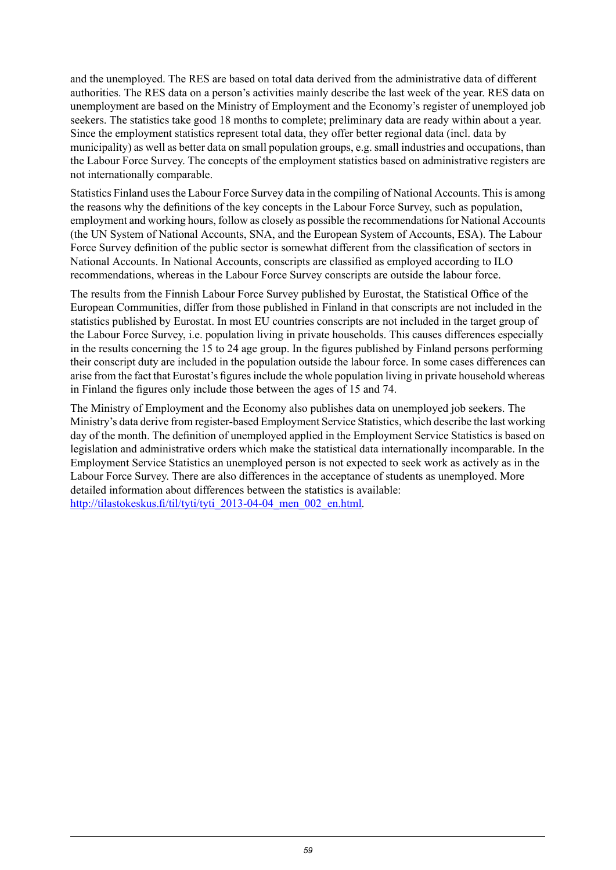and the unemployed. The RES are based on total data derived from the administrative data of different authorities. The RES data on a person's activities mainly describe the last week of the year. RES data on unemployment are based on the Ministry of Employment and the Economy's register of unemployed job seekers. The statistics take good 18 months to complete; preliminary data are ready within about a year. Since the employment statistics represent total data, they offer better regional data (incl. data by municipality) as well as better data on small population groups, e.g. small industries and occupations, than the Labour Force Survey. The concepts of the employment statistics based on administrative registers are not internationally comparable.

Statistics Finland uses the Labour Force Survey data in the compiling of National Accounts. This is among the reasons why the definitions of the key concepts in the Labour Force Survey, such as population, employment and working hours, follow as closely as possible the recommendations for National Accounts (the UN System of National Accounts, SNA, and the European System of Accounts, ESA). The Labour Force Survey definition of the public sector is somewhat different from the classification of sectors in National Accounts. In National Accounts, conscripts are classified as employed according to ILO recommendations, whereas in the Labour Force Survey conscripts are outside the labour force.

The results from the Finnish Labour Force Survey published by Eurostat, the Statistical Office of the European Communities, differ from those published in Finland in that conscripts are not included in the statistics published by Eurostat. In most EU countries conscripts are not included in the target group of the Labour Force Survey, i.e. population living in private households. This causes differences especially in the results concerning the 15 to 24 age group. In the figures published by Finland persons performing their conscript duty are included in the population outside the labour force. In some cases differences can arise from the fact that Eurostat's figures include the whole population living in private household whereas in Finland the figures only include those between the ages of 15 and 74.

The Ministry of Employment and the Economy also publishes data on unemployed job seekers. The Ministry's data derive from register-based Employment Service Statistics, which describe the last working day of the month. The definition of unemployed applied in the Employment Service Statistics is based on legislation and administrative orders which make the statistical data internationally incomparable. In the Employment Service Statistics an unemployed person is not expected to seek work as actively as in the Labour Force Survey. There are also differences in the acceptance of students as unemployed. More detailed information about differences between the statistics is available: [http://tilastokeskus.fi/til/tyti/tyti\\_2013-04-04\\_men\\_002\\_en.html.](http://tilastokeskus.fi/til/tyti/tyti_2013-04-04_men_002_en.html)